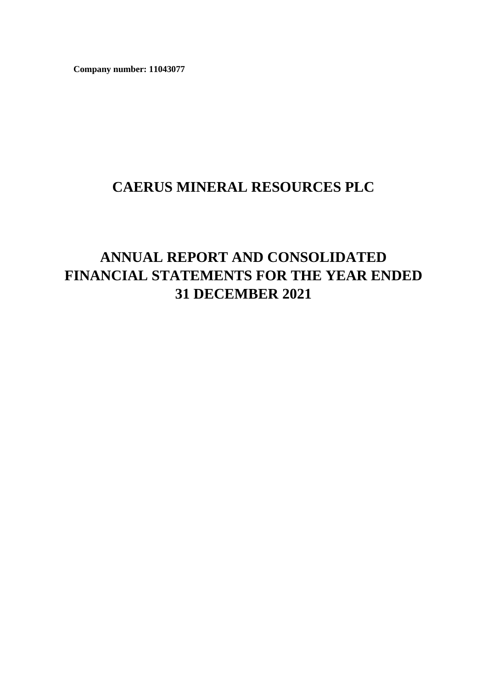**Company number: 11043077**

# **CAERUS MINERAL RESOURCES PLC**

# **ANNUAL REPORT AND CONSOLIDATED FINANCIAL STATEMENTS FOR THE YEAR ENDED 31 DECEMBER 2021**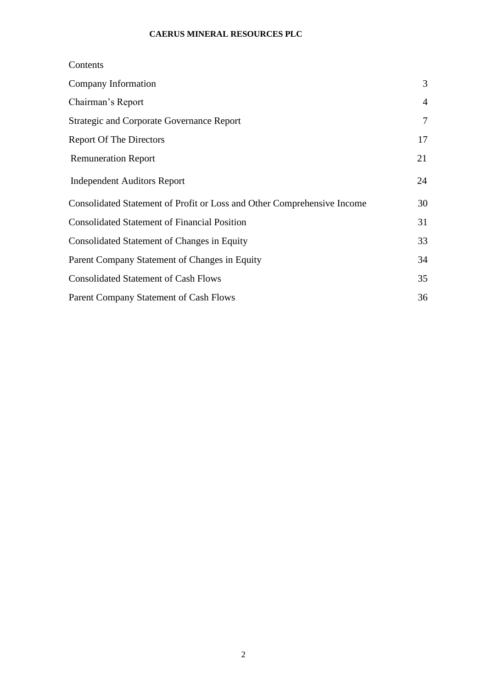| Contents                                                                |                |
|-------------------------------------------------------------------------|----------------|
| Company Information                                                     | 3              |
| Chairman's Report                                                       | $\overline{4}$ |
| <b>Strategic and Corporate Governance Report</b>                        | 7              |
| <b>Report Of The Directors</b>                                          | 17             |
| <b>Remuneration Report</b>                                              | 21             |
| <b>Independent Auditors Report</b>                                      | 24             |
| Consolidated Statement of Profit or Loss and Other Comprehensive Income | 30             |
| <b>Consolidated Statement of Financial Position</b>                     | 31             |
| Consolidated Statement of Changes in Equity                             | 33             |
| Parent Company Statement of Changes in Equity                           | 34             |
| <b>Consolidated Statement of Cash Flows</b>                             | 35             |
| Parent Company Statement of Cash Flows                                  | 36             |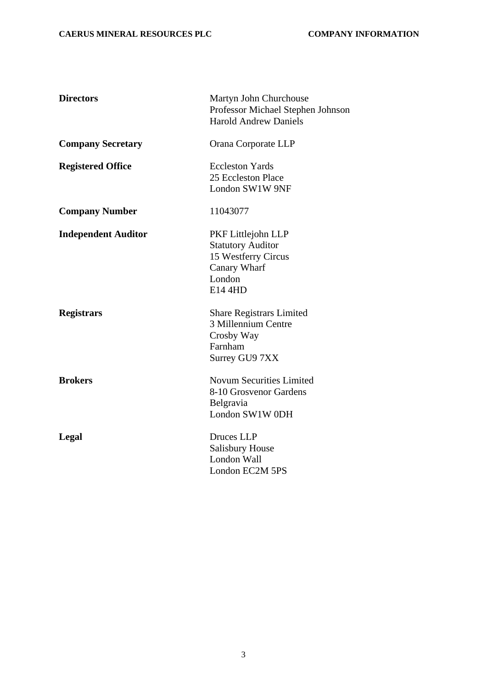| <b>Directors</b>           | Martyn John Churchouse<br>Professor Michael Stephen Johnson<br><b>Harold Andrew Daniels</b>                |
|----------------------------|------------------------------------------------------------------------------------------------------------|
| <b>Company Secretary</b>   | Orana Corporate LLP                                                                                        |
| <b>Registered Office</b>   | <b>Eccleston Yards</b><br>25 Eccleston Place<br>London SW1W 9NF                                            |
| <b>Company Number</b>      | 11043077                                                                                                   |
| <b>Independent Auditor</b> | PKF Littlejohn LLP<br><b>Statutory Auditor</b><br>15 Westferry Circus<br>Canary Wharf<br>London<br>E14 4HD |
| <b>Registrars</b>          | <b>Share Registrars Limited</b><br>3 Millennium Centre<br>Crosby Way<br>Farnham<br>Surrey GU9 7XX          |
| <b>Brokers</b>             | <b>Novum Securities Limited</b><br>8-10 Grosvenor Gardens<br>Belgravia<br>London SW1W 0DH                  |
| Legal                      | Druces LLP<br><b>Salisbury House</b><br>London Wall<br>London EC2M 5PS                                     |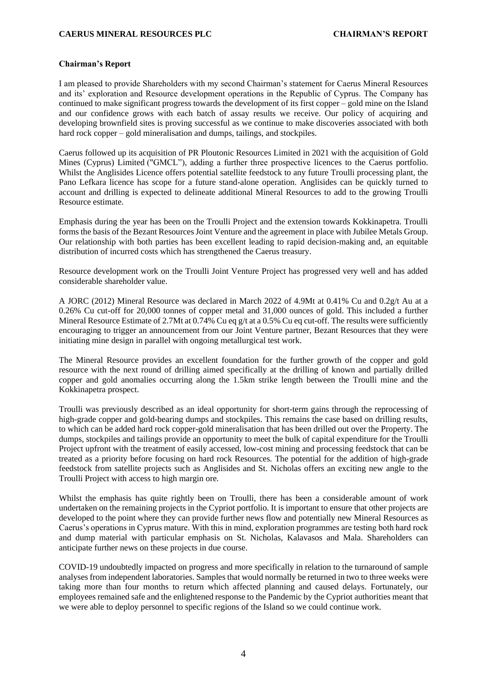#### <span id="page-3-0"></span>**Chairman's Report**

I am pleased to provide Shareholders with my second Chairman's statement for Caerus Mineral Resources and its' exploration and Resource development operations in the Republic of Cyprus. The Company has continued to make significant progress towards the development of its first copper – gold mine on the Island and our confidence grows with each batch of assay results we receive. Our policy of acquiring and developing brownfield sites is proving successful as we continue to make discoveries associated with both hard rock copper – gold mineralisation and dumps, tailings, and stockpiles.

Caerus followed up its acquisition of PR Ploutonic Resources Limited in 2021 with the acquisition of Gold Mines (Cyprus) Limited ("GMCL"), adding a further three prospective licences to the Caerus portfolio. Whilst the Anglisides Licence offers potential satellite feedstock to any future Troulli processing plant, the Pano Lefkara licence has scope for a future stand-alone operation. Anglisides can be quickly turned to account and drilling is expected to delineate additional Mineral Resources to add to the growing Troulli Resource estimate.

Emphasis during the year has been on the Troulli Project and the extension towards Kokkinapetra. Troulli forms the basis of the Bezant Resources Joint Venture and the agreement in place with Jubilee Metals Group. Our relationship with both parties has been excellent leading to rapid decision-making and, an equitable distribution of incurred costs which has strengthened the Caerus treasury.

Resource development work on the Troulli Joint Venture Project has progressed very well and has added considerable shareholder value.

A JORC (2012) Mineral Resource was declared in March 2022 of 4.9Mt at 0.41% Cu and 0.2g/t Au at a 0.26% Cu cut-off for 20,000 tonnes of copper metal and 31,000 ounces of gold. This included a further Mineral Resource Estimate of 2.7Mt at 0.74% Cu eq g/t at a 0.5% Cu eq cut-off. The results were sufficiently encouraging to trigger an announcement from our Joint Venture partner, Bezant Resources that they were initiating mine design in parallel with ongoing metallurgical test work.

The Mineral Resource provides an excellent foundation for the further growth of the copper and gold resource with the next round of drilling aimed specifically at the drilling of known and partially drilled copper and gold anomalies occurring along the 1.5km strike length between the Troulli mine and the Kokkinapetra prospect.

Troulli was previously described as an ideal opportunity for short-term gains through the reprocessing of high-grade copper and gold-bearing dumps and stockpiles. This remains the case based on drilling results, to which can be added hard rock copper-gold mineralisation that has been drilled out over the Property. The dumps, stockpiles and tailings provide an opportunity to meet the bulk of capital expenditure for the Troulli Project upfront with the treatment of easily accessed, low-cost mining and processing feedstock that can be treated as a priority before focusing on hard rock Resources. The potential for the addition of high-grade feedstock from satellite projects such as Anglisides and St. Nicholas offers an exciting new angle to the Troulli Project with access to high margin ore.

Whilst the emphasis has quite rightly been on Troulli, there has been a considerable amount of work undertaken on the remaining projects in the Cypriot portfolio. It is important to ensure that other projects are developed to the point where they can provide further news flow and potentially new Mineral Resources as Caerus's operations in Cyprus mature. With this in mind, exploration programmes are testing both hard rock and dump material with particular emphasis on St. Nicholas, Kalavasos and Mala. Shareholders can anticipate further news on these projects in due course.

COVID-19 undoubtedly impacted on progress and more specifically in relation to the turnaround of sample analyses from independent laboratories. Samples that would normally be returned in two to three weeks were taking more than four months to return which affected planning and caused delays. Fortunately, our employees remained safe and the enlightened response to the Pandemic by the Cypriot authorities meant that we were able to deploy personnel to specific regions of the Island so we could continue work.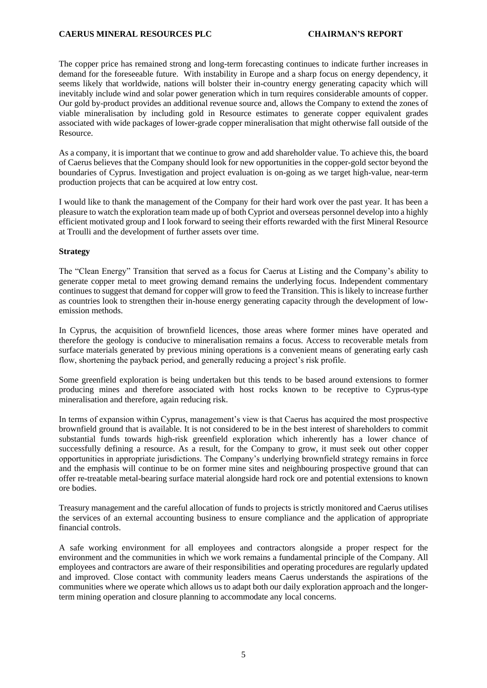### **CAERUS MINERAL RESOURCES PLC CHAIRMAN'S REPORT**

The copper price has remained strong and long-term forecasting continues to indicate further increases in demand for the foreseeable future. With instability in Europe and a sharp focus on energy dependency, it seems likely that worldwide, nations will bolster their in-country energy generating capacity which will inevitably include wind and solar power generation which in turn requires considerable amounts of copper. Our gold by-product provides an additional revenue source and, allows the Company to extend the zones of viable mineralisation by including gold in Resource estimates to generate copper equivalent grades associated with wide packages of lower-grade copper mineralisation that might otherwise fall outside of the Resource.

As a company, it is important that we continue to grow and add shareholder value. To achieve this, the board of Caerus believes that the Company should look for new opportunities in the copper-gold sector beyond the boundaries of Cyprus. Investigation and project evaluation is on-going as we target high-value, near-term production projects that can be acquired at low entry cost.

I would like to thank the management of the Company for their hard work over the past year. It has been a pleasure to watch the exploration team made up of both Cypriot and overseas personnel develop into a highly efficient motivated group and I look forward to seeing their efforts rewarded with the first Mineral Resource at Troulli and the development of further assets over time.

### **Strategy**

The "Clean Energy" Transition that served as a focus for Caerus at Listing and the Company's ability to generate copper metal to meet growing demand remains the underlying focus. Independent commentary continues to suggest that demand for copper will grow to feed the Transition. This is likely to increase further as countries look to strengthen their in-house energy generating capacity through the development of lowemission methods.

In Cyprus, the acquisition of brownfield licences, those areas where former mines have operated and therefore the geology is conducive to mineralisation remains a focus. Access to recoverable metals from surface materials generated by previous mining operations is a convenient means of generating early cash flow, shortening the payback period, and generally reducing a project's risk profile.

Some greenfield exploration is being undertaken but this tends to be based around extensions to former producing mines and therefore associated with host rocks known to be receptive to Cyprus-type mineralisation and therefore, again reducing risk.

In terms of expansion within Cyprus, management's view is that Caerus has acquired the most prospective brownfield ground that is available. It is not considered to be in the best interest of shareholders to commit substantial funds towards high-risk greenfield exploration which inherently has a lower chance of successfully defining a resource. As a result, for the Company to grow, it must seek out other copper opportunities in appropriate jurisdictions. The Company's underlying brownfield strategy remains in force and the emphasis will continue to be on former mine sites and neighbouring prospective ground that can offer re-treatable metal-bearing surface material alongside hard rock ore and potential extensions to known ore bodies.

Treasury management and the careful allocation of funds to projects is strictly monitored and Caerus utilises the services of an external accounting business to ensure compliance and the application of appropriate financial controls.

A safe working environment for all employees and contractors alongside a proper respect for the environment and the communities in which we work remains a fundamental principle of the Company. All employees and contractors are aware of their responsibilities and operating procedures are regularly updated and improved. Close contact with community leaders means Caerus understands the aspirations of the communities where we operate which allows us to adapt both our daily exploration approach and the longerterm mining operation and closure planning to accommodate any local concerns.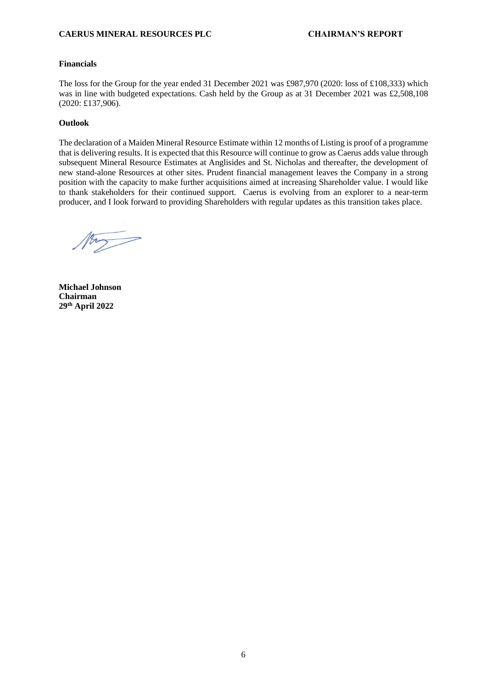#### **Financials**

The loss for the Group for the year ended 31 December 2021 was £987,970 (2020: loss of £108,333) which was in line with budgeted expectations. Cash held by the Group as at 31 December 2021 was £2,508,108 (2020: £137,906).

### **Outlook**

The declaration of a Maiden Mineral Resource Estimate within 12 months of Listing is proof of a programme that is delivering results. It is expected that this Resource will continue to grow as Caerus adds value through subsequent Mineral Resource Estimates at Anglisides and St. Nicholas and thereafter, the development of new stand-alone Resources at other sites. Prudent financial management leaves the Company in a strong position with the capacity to make further acquisitions aimed at increasing Shareholder value. I would like to thank stakeholders for their continued support. Caerus is evolving from an explorer to a near-term producer, and I look forward to providing Shareholders with regular updates as this transition takes place.

 $\sqrt{2}$ 

**Michael Johnson Chairman 29 th April 2022**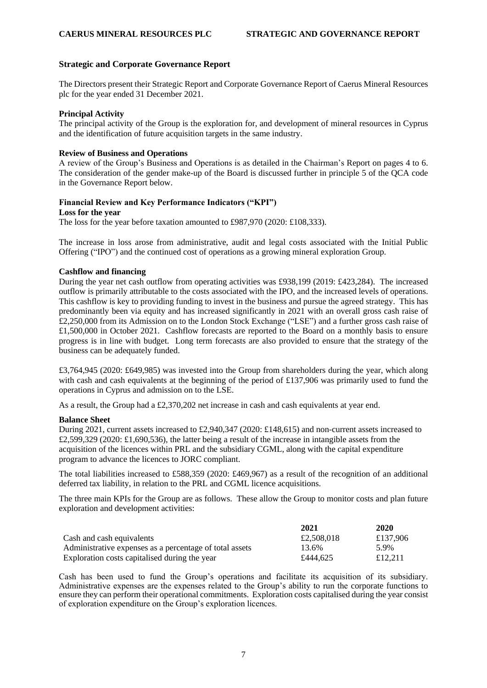### <span id="page-6-0"></span>**Strategic and Corporate Governance Report**

The Directors present their Strategic Report and Corporate Governance Report of Caerus Mineral Resources plc for the year ended 31 December 2021.

### **Principal Activity**

The principal activity of the Group is the exploration for, and development of mineral resources in Cyprus and the identification of future acquisition targets in the same industry.

### **Review of Business and Operations**

A review of the Group's Business and Operations is as detailed in the Chairman's Report on pages 4 to 6. The consideration of the gender make-up of the Board is discussed further in principle 5 of the QCA code in the Governance Report below.

### **Financial Review and Key Performance Indicators ("KPI")**

#### **Loss for the year**

The loss for the year before taxation amounted to £987,970 (2020: £108,333).

The increase in loss arose from administrative, audit and legal costs associated with the Initial Public Offering ("IPO") and the continued cost of operations as a growing mineral exploration Group.

### **Cashflow and financing**

During the year net cash outflow from operating activities was £938,199 (2019: £423,284). The increased outflow is primarily attributable to the costs associated with the IPO, and the increased levels of operations. This cashflow is key to providing funding to invest in the business and pursue the agreed strategy. This has predominantly been via equity and has increased significantly in 2021 with an overall gross cash raise of £2,250,000 from its Admission on to the London Stock Exchange ("LSE") and a further gross cash raise of £1,500,000 in October 2021. Cashflow forecasts are reported to the Board on a monthly basis to ensure progress is in line with budget. Long term forecasts are also provided to ensure that the strategy of the business can be adequately funded.

£3,764,945 (2020: £649,985) was invested into the Group from shareholders during the year, which along with cash and cash equivalents at the beginning of the period of £137,906 was primarily used to fund the operations in Cyprus and admission on to the LSE.

As a result, the Group had a £2,370,202 net increase in cash and cash equivalents at year end.

### **Balance Sheet**

During 2021, current assets increased to £2,940,347 (2020: £148,615) and non-current assets increased to £2,599,329 (2020: £1,690,536), the latter being a result of the increase in intangible assets from the acquisition of the licences within PRL and the subsidiary CGML, along with the capital expenditure program to advance the licences to JORC compliant.

The total liabilities increased to £588,359 (2020: £469,967) as a result of the recognition of an additional deferred tax liability, in relation to the PRL and CGML licence acquisitions.

The three main KPIs for the Group are as follows. These allow the Group to monitor costs and plan future exploration and development activities:

|                                                         | 2021       | 2020     |
|---------------------------------------------------------|------------|----------|
| Cash and cash equivalents                               | £2,508,018 | £137,906 |
| Administrative expenses as a percentage of total assets | 13.6%      | 5.9%     |
| Exploration costs capitalised during the year           | £444.625   | £12.211  |

Cash has been used to fund the Group's operations and facilitate its acquisition of its subsidiary. Administrative expenses are the expenses related to the Group's ability to run the corporate functions to ensure they can perform their operational commitments. Exploration costs capitalised during the year consist of exploration expenditure on the Group's exploration licences.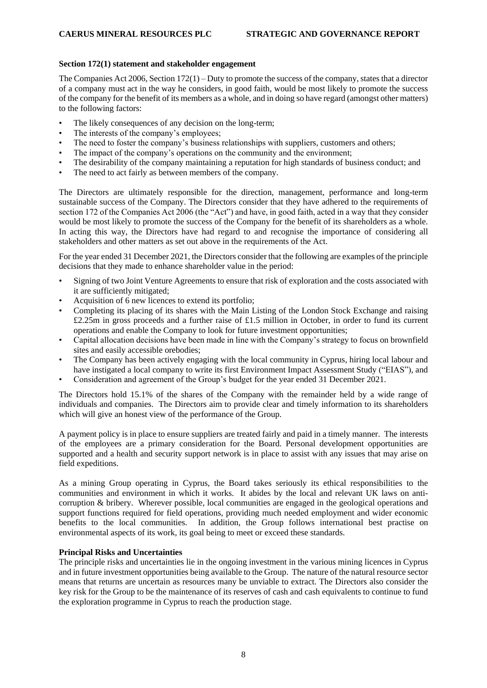### **Section 172(1) statement and stakeholder engagement**

The Companies Act 2006, Section 172(1) – Duty to promote the success of the company, states that a director of a company must act in the way he considers, in good faith, would be most likely to promote the success of the company for the benefit of its members as a whole, and in doing so have regard (amongst other matters) to the following factors:

- The likely consequences of any decision on the long-term;
- The interests of the company's employees:
- The need to foster the company's business relationships with suppliers, customers and others;
- The impact of the company's operations on the community and the environment;
- The desirability of the company maintaining a reputation for high standards of business conduct; and
- The need to act fairly as between members of the company.

The Directors are ultimately responsible for the direction, management, performance and long-term sustainable success of the Company. The Directors consider that they have adhered to the requirements of section 172 of the Companies Act 2006 (the "Act") and have, in good faith, acted in a way that they consider would be most likely to promote the success of the Company for the benefit of its shareholders as a whole. In acting this way, the Directors have had regard to and recognise the importance of considering all stakeholders and other matters as set out above in the requirements of the Act.

For the year ended 31 December 2021, the Directors consider that the following are examples of the principle decisions that they made to enhance shareholder value in the period:

- Signing of two Joint Venture Agreements to ensure that risk of exploration and the costs associated with it are sufficiently mitigated;
- Acquisition of 6 new licences to extend its portfolio;
- Completing its placing of its shares with the Main Listing of the London Stock Exchange and raising £2.25m in gross proceeds and a further raise of £1.5 million in October, in order to fund its current operations and enable the Company to look for future investment opportunities;
- Capital allocation decisions have been made in line with the Company's strategy to focus on brownfield sites and easily accessible orebodies;
- The Company has been actively engaging with the local community in Cyprus, hiring local labour and have instigated a local company to write its first Environment Impact Assessment Study ("EIAS"), and
- Consideration and agreement of the Group's budget for the year ended 31 December 2021.

The Directors hold 15.1% of the shares of the Company with the remainder held by a wide range of individuals and companies. The Directors aim to provide clear and timely information to its shareholders which will give an honest view of the performance of the Group.

A payment policy is in place to ensure suppliers are treated fairly and paid in a timely manner. The interests of the employees are a primary consideration for the Board. Personal development opportunities are supported and a health and security support network is in place to assist with any issues that may arise on field expeditions.

As a mining Group operating in Cyprus, the Board takes seriously its ethical responsibilities to the communities and environment in which it works. It abides by the local and relevant UK laws on anticorruption & bribery. Wherever possible, local communities are engaged in the geological operations and support functions required for field operations, providing much needed employment and wider economic benefits to the local communities. In addition, the Group follows international best practise on environmental aspects of its work, its goal being to meet or exceed these standards.

### **Principal Risks and Uncertainties**

The principle risks and uncertainties lie in the ongoing investment in the various mining licences in Cyprus and in future investment opportunities being available to the Group. The nature of the natural resource sector means that returns are uncertain as resources many be unviable to extract. The Directors also consider the key risk for the Group to be the maintenance of its reserves of cash and cash equivalents to continue to fund the exploration programme in Cyprus to reach the production stage.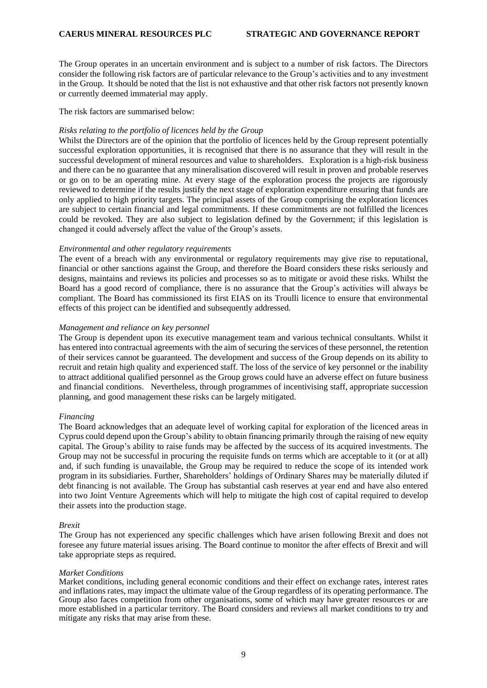The Group operates in an uncertain environment and is subject to a number of risk factors. The Directors consider the following risk factors are of particular relevance to the Group's activities and to any investment in the Group. It should be noted that the list is not exhaustive and that other risk factors not presently known or currently deemed immaterial may apply.

The risk factors are summarised below:

#### *Risks relating to the portfolio of licences held by the Group*

Whilst the Directors are of the opinion that the portfolio of licences held by the Group represent potentially successful exploration opportunities, it is recognised that there is no assurance that they will result in the successful development of mineral resources and value to shareholders. Exploration is a high-risk business and there can be no guarantee that any mineralisation discovered will result in proven and probable reserves or go on to be an operating mine. At every stage of the exploration process the projects are rigorously reviewed to determine if the results justify the next stage of exploration expenditure ensuring that funds are only applied to high priority targets. The principal assets of the Group comprising the exploration licences are subject to certain financial and legal commitments. If these commitments are not fulfilled the licences could be revoked. They are also subject to legislation defined by the Government; if this legislation is changed it could adversely affect the value of the Group's assets.

#### *Environmental and other regulatory requirements*

The event of a breach with any environmental or regulatory requirements may give rise to reputational, financial or other sanctions against the Group, and therefore the Board considers these risks seriously and designs, maintains and reviews its policies and processes so as to mitigate or avoid these risks. Whilst the Board has a good record of compliance, there is no assurance that the Group's activities will always be compliant. The Board has commissioned its first EIAS on its Troulli licence to ensure that environmental effects of this project can be identified and subsequently addressed.

#### *Management and reliance on key personnel*

The Group is dependent upon its executive management team and various technical consultants. Whilst it has entered into contractual agreements with the aim of securing the services of these personnel, the retention of their services cannot be guaranteed. The development and success of the Group depends on its ability to recruit and retain high quality and experienced staff. The loss of the service of key personnel or the inability to attract additional qualified personnel as the Group grows could have an adverse effect on future business and financial conditions. Nevertheless, through programmes of incentivising staff, appropriate succession planning, and good management these risks can be largely mitigated.

#### *Financing*

The Board acknowledges that an adequate level of working capital for exploration of the licenced areas in Cyprus could depend upon the Group's ability to obtain financing primarily through the raising of new equity capital. The Group's ability to raise funds may be affected by the success of its acquired investments. The Group may not be successful in procuring the requisite funds on terms which are acceptable to it (or at all) and, if such funding is unavailable, the Group may be required to reduce the scope of its intended work program in its subsidiaries. Further, Shareholders' holdings of Ordinary Shares may be materially diluted if debt financing is not available. The Group has substantial cash reserves at year end and have also entered into two Joint Venture Agreements which will help to mitigate the high cost of capital required to develop their assets into the production stage.

#### *Brexit*

The Group has not experienced any specific challenges which have arisen following Brexit and does not foresee any future material issues arising. The Board continue to monitor the after effects of Brexit and will take appropriate steps as required.

#### *Market Conditions*

Market conditions, including general economic conditions and their effect on exchange rates, interest rates and inflations rates, may impact the ultimate value of the Group regardless of its operating performance. The Group also faces competition from other organisations, some of which may have greater resources or are more established in a particular territory. The Board considers and reviews all market conditions to try and mitigate any risks that may arise from these.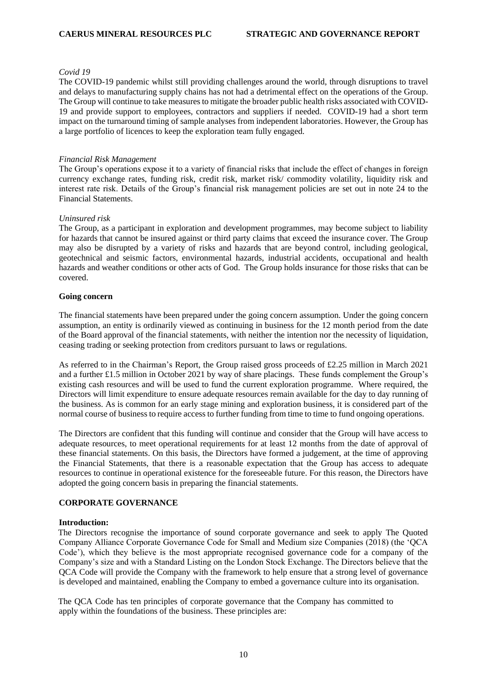#### *Covid 19*

The COVID-19 pandemic whilst still providing challenges around the world, through disruptions to travel and delays to manufacturing supply chains has not had a detrimental effect on the operations of the Group. The Group will continue to take measures to mitigate the broader public health risks associated with COVID-19 and provide support to employees, contractors and suppliers if needed. COVID-19 had a short term impact on the turnaround timing of sample analyses from independent laboratories. However, the Group has a large portfolio of licences to keep the exploration team fully engaged.

#### *Financial Risk Management*

The Group's operations expose it to a variety of financial risks that include the effect of changes in foreign currency exchange rates, funding risk, credit risk, market risk/ commodity volatility, liquidity risk and interest rate risk. Details of the Group's financial risk management policies are set out in note 24 to the Financial Statements.

#### *Uninsured risk*

The Group, as a participant in exploration and development programmes, may become subject to liability for hazards that cannot be insured against or third party claims that exceed the insurance cover. The Group may also be disrupted by a variety of risks and hazards that are beyond control, including geological, geotechnical and seismic factors, environmental hazards, industrial accidents, occupational and health hazards and weather conditions or other acts of God. The Group holds insurance for those risks that can be covered.

#### **Going concern**

The financial statements have been prepared under the going concern assumption. Under the going concern assumption, an entity is ordinarily viewed as continuing in business for the 12 month period from the date of the Board approval of the financial statements, with neither the intention nor the necessity of liquidation, ceasing trading or seeking protection from creditors pursuant to laws or regulations.

As referred to in the Chairman's Report, the Group raised gross proceeds of £2.25 million in March 2021 and a further £1.5 million in October 2021 by way of share placings. These funds complement the Group's existing cash resources and will be used to fund the current exploration programme. Where required, the Directors will limit expenditure to ensure adequate resources remain available for the day to day running of the business. As is common for an early stage mining and exploration business, it is considered part of the normal course of business to require access to further funding from time to time to fund ongoing operations.

The Directors are confident that this funding will continue and consider that the Group will have access to adequate resources, to meet operational requirements for at least 12 months from the date of approval of these financial statements. On this basis, the Directors have formed a judgement, at the time of approving the Financial Statements, that there is a reasonable expectation that the Group has access to adequate resources to continue in operational existence for the foreseeable future. For this reason, the Directors have adopted the going concern basis in preparing the financial statements.

### **CORPORATE GOVERNANCE**

### **Introduction:**

The Directors recognise the importance of sound corporate governance and seek to apply The Quoted Company Alliance Corporate Governance Code for Small and Medium size Companies (2018) (the 'QCA Code'), which they believe is the most appropriate recognised governance code for a company of the Company's size and with a Standard Listing on the London Stock Exchange. The Directors believe that the QCA Code will provide the Company with the framework to help ensure that a strong level of governance is developed and maintained, enabling the Company to embed a governance culture into its organisation.

The QCA Code has ten principles of corporate governance that the Company has committed to apply within the foundations of the business. These principles are: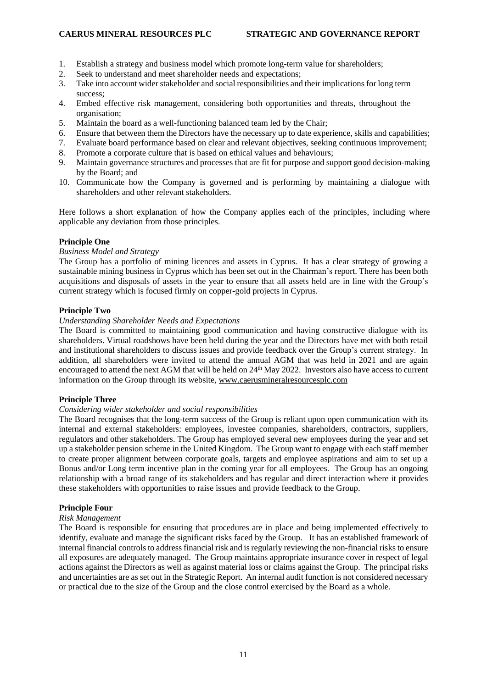- 1. Establish a strategy and business model which promote long-term value for shareholders;
- 2. Seek to understand and meet shareholder needs and expectations;
- 3. Take into account wider stakeholder and social responsibilities and their implications for long term success;
- 4. Embed effective risk management, considering both opportunities and threats, throughout the organisation;
- 5. Maintain the board as a well-functioning balanced team led by the Chair;
- 6. Ensure that between them the Directors have the necessary up to date experience, skills and capabilities;
- 7. Evaluate board performance based on clear and relevant objectives, seeking continuous improvement;
- 8. Promote a corporate culture that is based on ethical values and behaviours;
- 9. Maintain governance structures and processes that are fit for purpose and support good decision-making by the Board; and
- 10. Communicate how the Company is governed and is performing by maintaining a dialogue with shareholders and other relevant stakeholders.

Here follows a short explanation of how the Company applies each of the principles, including where applicable any deviation from those principles.

#### **Principle One**

#### *Business Model and Strategy*

The Group has a portfolio of mining licences and assets in Cyprus. It has a clear strategy of growing a sustainable mining business in Cyprus which has been set out in the Chairman's report. There has been both acquisitions and disposals of assets in the year to ensure that all assets held are in line with the Group's current strategy which is focused firmly on copper-gold projects in Cyprus.

#### **Principle Two**

#### *Understanding Shareholder Needs and Expectations*

The Board is committed to maintaining good communication and having constructive dialogue with its shareholders. Virtual roadshows have been held during the year and the Directors have met with both retail and institutional shareholders to discuss issues and provide feedback over the Group's current strategy. In addition, all shareholders were invited to attend the annual AGM that was held in 2021 and are again encouraged to attend the next AGM that will be held on 24<sup>th</sup> May 2022. Investors also have access to current information on the Group through its website, [www.caerusmineralresourcesplc.com](http://www.caerusmineralresourcesplc.com/)

#### **Principle Three**

#### *Considering wider stakeholder and social responsibilities*

The Board recognises that the long-term success of the Group is reliant upon open communication with its internal and external stakeholders: employees, investee companies, shareholders, contractors, suppliers, regulators and other stakeholders. The Group has employed several new employees during the year and set up a stakeholder pension scheme in the United Kingdom. The Group want to engage with each staff member to create proper alignment between corporate goals, targets and employee aspirations and aim to set up a Bonus and/or Long term incentive plan in the coming year for all employees. The Group has an ongoing relationship with a broad range of its stakeholders and has regular and direct interaction where it provides these stakeholders with opportunities to raise issues and provide feedback to the Group.

### **Principle Four**

#### *Risk Management*

The Board is responsible for ensuring that procedures are in place and being implemented effectively to identify, evaluate and manage the significant risks faced by the Group. It has an established framework of internal financial controls to address financial risk and is regularly reviewing the non-financial risks to ensure all exposures are adequately managed. The Group maintains appropriate insurance cover in respect of legal actions against the Directors as well as against material loss or claims against the Group. The principal risks and uncertainties are as set out in the Strategic Report. An internal audit function is not considered necessary or practical due to the size of the Group and the close control exercised by the Board as a whole.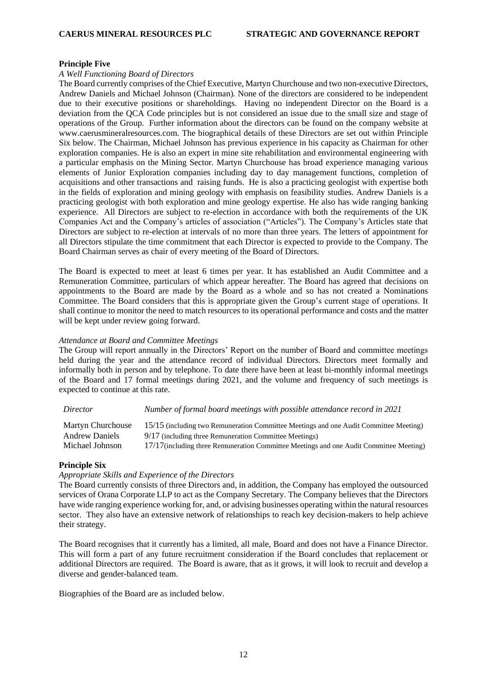#### **Principle Five**

#### *A Well Functioning Board of Directors*

The Board currently comprises of the Chief Executive, Martyn Churchouse and two non-executive Directors, Andrew Daniels and Michael Johnson (Chairman). None of the directors are considered to be independent due to their executive positions or shareholdings. Having no independent Director on the Board is a deviation from the QCA Code principles but is not considered an issue due to the small size and stage of operations of the Group. Further information about the directors can be found on the company website at www.caerusmineralresources.com. The biographical details of these Directors are set out within Principle Six below. The Chairman, Michael Johnson has previous experience in his capacity as Chairman for other exploration companies. He is also an expert in mine site rehabilitation and environmental engineering with a particular emphasis on the Mining Sector. Martyn Churchouse has broad experience managing various elements of Junior Exploration companies including day to day management functions, completion of acquisitions and other transactions and raising funds. He is also a practicing geologist with expertise both in the fields of exploration and mining geology with emphasis on feasibility studies. Andrew Daniels is a practicing geologist with both exploration and mine geology expertise. He also has wide ranging banking experience. All Directors are subject to re-election in accordance with both the requirements of the UK Companies Act and the Company's articles of association ("Articles"). The Company's Articles state that Directors are subject to re-election at intervals of no more than three years. The letters of appointment for all Directors stipulate the time commitment that each Director is expected to provide to the Company. The Board Chairman serves as chair of every meeting of the Board of Directors.

The Board is expected to meet at least 6 times per year. It has established an Audit Committee and a Remuneration Committee, particulars of which appear hereafter. The Board has agreed that decisions on appointments to the Board are made by the Board as a whole and so has not created a Nominations Committee. The Board considers that this is appropriate given the Group's current stage of operations. It shall continue to monitor the need to match resources to its operational performance and costs and the matter will be kept under review going forward.

#### *Attendance at Board and Committee Meetings*

The Group will report annually in the Directors' Report on the number of Board and committee meetings held during the year and the attendance record of individual Directors. Directors meet formally and informally both in person and by telephone. To date there have been at least bi-monthly informal meetings of the Board and 17 formal meetings during 2021, and the volume and frequency of such meetings is expected to continue at this rate.

| Director                 | Number of formal board meetings with possible attendance record in 2021                 |
|--------------------------|-----------------------------------------------------------------------------------------|
| <b>Martyn Churchouse</b> | 15/15 (including two Remuneration Committee Meetings and one Audit Committee Meeting)   |
| <b>Andrew Daniels</b>    | $9/17$ (including three Remuneration Committee Meetings)                                |
| Michael Johnson          | 17/17 (including three Remuneration Committee Meetings and one Audit Committee Meeting) |

### **Principle Six**

#### *Appropriate Skills and Experience of the Directors*

The Board currently consists of three Directors and, in addition, the Company has employed the outsourced services of Orana Corporate LLP to act as the Company Secretary. The Company believes that the Directors have wide ranging experience working for, and, or advising businesses operating within the natural resources sector. They also have an extensive network of relationships to reach key decision-makers to help achieve their strategy.

The Board recognises that it currently has a limited, all male, Board and does not have a Finance Director. This will form a part of any future recruitment consideration if the Board concludes that replacement or additional Directors are required. The Board is aware, that as it grows, it will look to recruit and develop a diverse and gender-balanced team.

Biographies of the Board are as included below.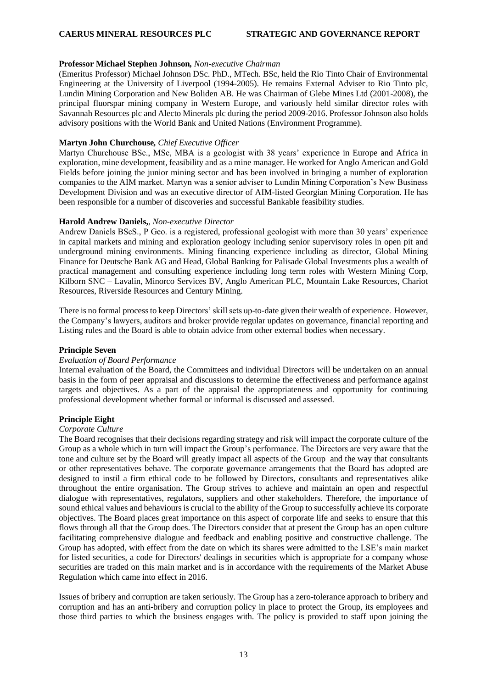#### **Professor Michael Stephen Johnson***, Non-executive Chairman*

(Emeritus Professor) Michael Johnson DSc. PhD., MTech. BSc, held the Rio Tinto Chair of Environmental Engineering at the University of Liverpool (1994-2005). He remains External Adviser to Rio Tinto plc, Lundin Mining Corporation and New Boliden AB. He was Chairman of Glebe Mines Ltd (2001-2008), the principal fluorspar mining company in Western Europe, and variously held similar director roles with Savannah Resources plc and Alecto Minerals plc during the period 2009-2016. Professor Johnson also holds advisory positions with the World Bank and United Nations (Environment Programme).

### **Martyn John Churchouse***, Chief Executive Officer*

Martyn Churchouse BSc., MSc, MBA is a geologist with 38 years' experience in Europe and Africa in exploration, mine development, feasibility and as a mine manager. He worked for Anglo American and Gold Fields before joining the junior mining sector and has been involved in bringing a number of exploration companies to the AIM market. Martyn was a senior adviser to Lundin Mining Corporation's New Business Development Division and was an executive director of AIM-listed Georgian Mining Corporation. He has been responsible for a number of discoveries and successful Bankable feasibility studies.

#### **Harold Andrew Daniels,***, Non-executive Director*

Andrew Daniels BScS., P Geo. is a registered, professional geologist with more than 30 years' experience in capital markets and mining and exploration geology including senior supervisory roles in open pit and underground mining environments. Mining financing experience including as director, Global Mining Finance for Deutsche Bank AG and Head, Global Banking for Palisade Global Investments plus a wealth of practical management and consulting experience including long term roles with Western Mining Corp, Kilborn SNC – Lavalin, Minorco Services BV, Anglo American PLC, Mountain Lake Resources, Chariot Resources, Riverside Resources and Century Mining.

There is no formal process to keep Directors' skill sets up-to-date given their wealth of experience. However, the Company's lawyers, auditors and broker provide regular updates on governance, financial reporting and Listing rules and the Board is able to obtain advice from other external bodies when necessary.

#### **Principle Seven**

#### *Evaluation of Board Performance*

Internal evaluation of the Board, the Committees and individual Directors will be undertaken on an annual basis in the form of peer appraisal and discussions to determine the effectiveness and performance against targets and objectives. As a part of the appraisal the appropriateness and opportunity for continuing professional development whether formal or informal is discussed and assessed.

#### **Principle Eight**

#### *Corporate Culture*

The Board recognises that their decisions regarding strategy and risk will impact the corporate culture of the Group as a whole which in turn will impact the Group's performance. The Directors are very aware that the tone and culture set by the Board will greatly impact all aspects of the Group and the way that consultants or other representatives behave. The corporate governance arrangements that the Board has adopted are designed to instil a firm ethical code to be followed by Directors, consultants and representatives alike throughout the entire organisation. The Group strives to achieve and maintain an open and respectful dialogue with representatives, regulators, suppliers and other stakeholders. Therefore, the importance of sound ethical values and behaviours is crucial to the ability of the Group to successfully achieve its corporate objectives. The Board places great importance on this aspect of corporate life and seeks to ensure that this flows through all that the Group does. The Directors consider that at present the Group has an open culture facilitating comprehensive dialogue and feedback and enabling positive and constructive challenge. The Group has adopted, with effect from the date on which its shares were admitted to the LSE's main market for listed securities, a code for Directors' dealings in securities which is appropriate for a company whose securities are traded on this main market and is in accordance with the requirements of the Market Abuse Regulation which came into effect in 2016.

Issues of bribery and corruption are taken seriously. The Group has a zero-tolerance approach to bribery and corruption and has an anti-bribery and corruption policy in place to protect the Group, its employees and those third parties to which the business engages with. The policy is provided to staff upon joining the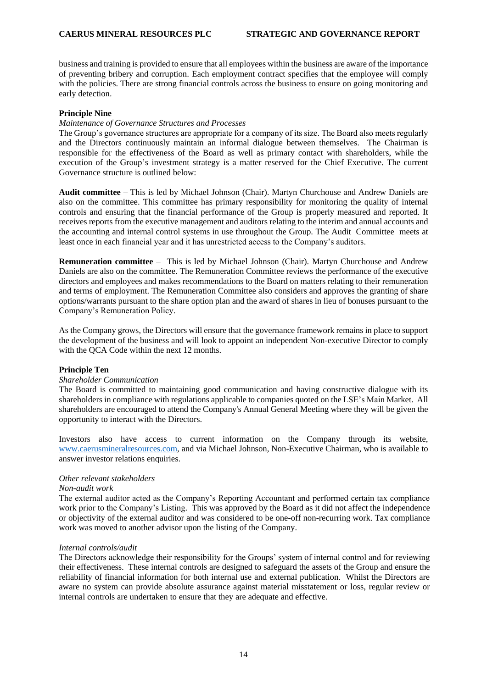business and training is provided to ensure that all employees within the business are aware of the importance of preventing bribery and corruption. Each employment contract specifies that the employee will comply with the policies. There are strong financial controls across the business to ensure on going monitoring and early detection.

#### **Principle Nine**

#### *Maintenance of Governance Structures and Processes*

The Group's governance structures are appropriate for a company of its size. The Board also meets regularly and the Directors continuously maintain an informal dialogue between themselves. The Chairman is responsible for the effectiveness of the Board as well as primary contact with shareholders, while the execution of the Group's investment strategy is a matter reserved for the Chief Executive. The current Governance structure is outlined below:

**Audit committee** – This is led by Michael Johnson (Chair). Martyn Churchouse and Andrew Daniels are also on the committee. This committee has primary responsibility for monitoring the quality of internal controls and ensuring that the financial performance of the Group is properly measured and reported. It receives reports from the executive management and auditors relating to the interim and annual accounts and the accounting and internal control systems in use throughout the Group. The Audit Committee meets at least once in each financial year and it has unrestricted access to the Company's auditors.

**Remuneration committee** – This is led by Michael Johnson (Chair). Martyn Churchouse and Andrew Daniels are also on the committee. The Remuneration Committee reviews the performance of the executive directors and employees and makes recommendations to the Board on matters relating to their remuneration and terms of employment. The Remuneration Committee also considers and approves the granting of share options/warrants pursuant to the share option plan and the award of shares in lieu of bonuses pursuant to the Company's Remuneration Policy.

As the Company grows, the Directors will ensure that the governance framework remains in place to support the development of the business and will look to appoint an independent Non-executive Director to comply with the QCA Code within the next 12 months.

### **Principle Ten**

#### *Shareholder Communication*

The Board is committed to maintaining good communication and having constructive dialogue with its shareholders in compliance with regulations applicable to companies quoted on the LSE's Main Market. All shareholders are encouraged to attend the Company's Annual General Meeting where they will be given the opportunity to interact with the Directors.

Investors also have access to current information on the Company through its website, [www.caerusmineralresources.com,](http://www.caerusmineralresources.com/) and via Michael Johnson, Non-Executive Chairman, who is available to answer investor relations enquiries.

#### *Other relevant stakeholders*

#### *Non-audit work*

The external auditor acted as the Company's Reporting Accountant and performed certain tax compliance work prior to the Company's Listing. This was approved by the Board as it did not affect the independence or objectivity of the external auditor and was considered to be one-off non-recurring work. Tax compliance work was moved to another advisor upon the listing of the Company.

#### *Internal controls/audit*

The Directors acknowledge their responsibility for the Groups' system of internal control and for reviewing their effectiveness. These internal controls are designed to safeguard the assets of the Group and ensure the reliability of financial information for both internal use and external publication. Whilst the Directors are aware no system can provide absolute assurance against material misstatement or loss, regular review or internal controls are undertaken to ensure that they are adequate and effective.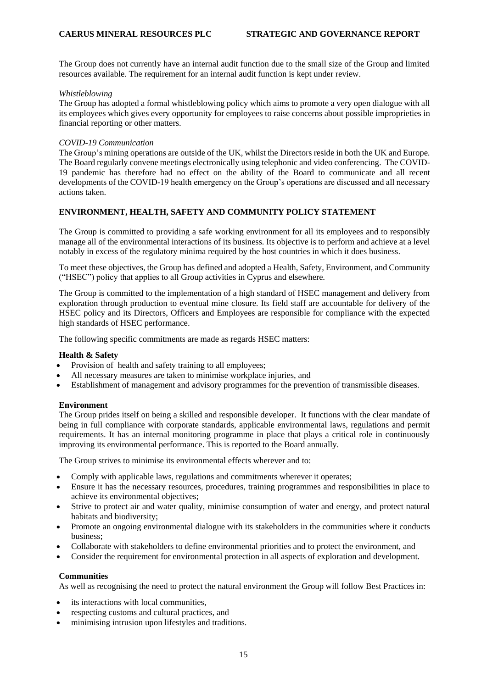The Group does not currently have an internal audit function due to the small size of the Group and limited resources available. The requirement for an internal audit function is kept under review.

#### *Whistleblowing*

The Group has adopted a formal whistleblowing policy which aims to promote a very open dialogue with all its employees which gives every opportunity for employees to raise concerns about possible improprieties in financial reporting or other matters.

#### *COVID-19 Communication*

The Group's mining operations are outside of the UK, whilst the Directors reside in both the UK and Europe. The Board regularly convene meetings electronically using telephonic and video conferencing. The COVID-19 pandemic has therefore had no effect on the ability of the Board to communicate and all recent developments of the COVID-19 health emergency on the Group's operations are discussed and all necessary actions taken.

### **ENVIRONMENT, HEALTH, SAFETY AND COMMUNITY POLICY STATEMENT**

The Group is committed to providing a safe working environment for all its employees and to responsibly manage all of the environmental interactions of its business. Its objective is to perform and achieve at a level notably in excess of the regulatory minima required by the host countries in which it does business.

To meet these objectives, the Group has defined and adopted a Health, Safety, Environment, and Community ("HSEC") policy that applies to all Group activities in Cyprus and elsewhere.

The Group is committed to the implementation of a high standard of HSEC management and delivery from exploration through production to eventual mine closure. Its field staff are accountable for delivery of the HSEC policy and its Directors, Officers and Employees are responsible for compliance with the expected high standards of HSEC performance.

The following specific commitments are made as regards HSEC matters:

### **Health & Safety**

- Provision of health and safety training to all employees;
- All necessary measures are taken to minimise workplace injuries, and
- Establishment of management and advisory programmes for the prevention of transmissible diseases.

### **Environment**

The Group prides itself on being a skilled and responsible developer. It functions with the clear mandate of being in full compliance with corporate standards, applicable environmental laws, regulations and permit requirements. It has an internal monitoring programme in place that plays a critical role in continuously improving its environmental performance. This is reported to the Board annually.

The Group strives to minimise its environmental effects wherever and to:

- Comply with applicable laws, regulations and commitments wherever it operates;
- Ensure it has the necessary resources, procedures, training programmes and responsibilities in place to achieve its environmental objectives;
- Strive to protect air and water quality, minimise consumption of water and energy, and protect natural habitats and biodiversity;
- Promote an ongoing environmental dialogue with its stakeholders in the communities where it conducts business;
- Collaborate with stakeholders to define environmental priorities and to protect the environment, and
- Consider the requirement for environmental protection in all aspects of exploration and development.

### **Communities**

As well as recognising the need to protect the natural environment the Group will follow Best Practices in:

- its interactions with local communities,
- respecting customs and cultural practices, and
- minimising intrusion upon lifestyles and traditions.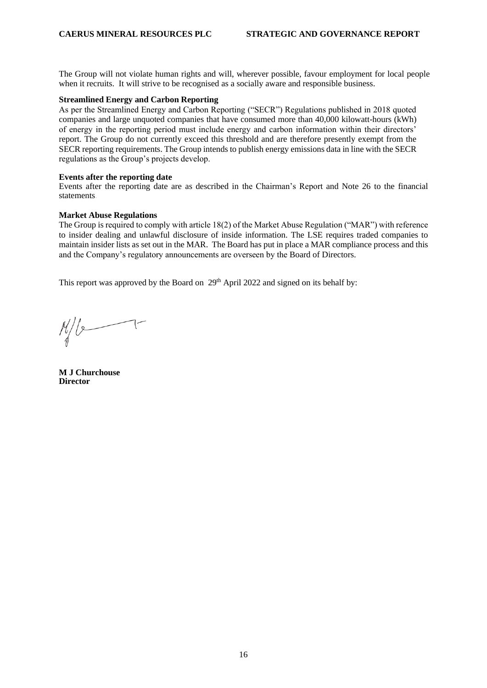The Group will not violate human rights and will, wherever possible, favour employment for local people when it recruits. It will strive to be recognised as a socially aware and responsible business.

#### **Streamlined Energy and Carbon Reporting**

As per the Streamlined Energy and Carbon Reporting ("SECR") Regulations published in 2018 quoted companies and large unquoted companies that have consumed more than 40,000 kilowatt-hours (kWh) of energy in the reporting period must include energy and carbon information within their directors' report. The Group do not currently exceed this threshold and are therefore presently exempt from the SECR reporting requirements. The Group intends to publish energy emissions data in line with the SECR regulations as the Group's projects develop.

### **Events after the reporting date**

Events after the reporting date are as described in the Chairman's Report and Note 26 to the financial statements.

#### **Market Abuse Regulations**

The Group is required to comply with article 18(2) of the Market Abuse Regulation ("MAR") with reference to insider dealing and unlawful disclosure of inside information. The LSE requires traded companies to maintain insider lists as set out in the MAR. The Board has put in place a MAR compliance process and this and the Company's regulatory announcements are overseen by the Board of Directors.

This report was approved by the Board on 29<sup>th</sup> April 2022 and signed on its behalf by:

 $M/b$ 

**M J Churchouse Director**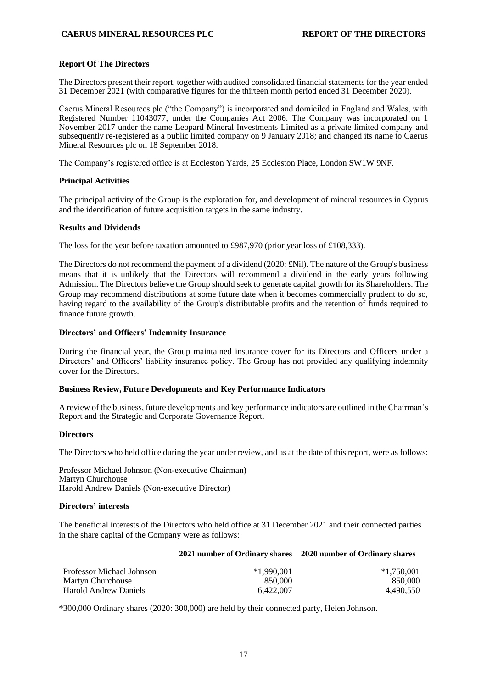### <span id="page-16-0"></span>**Report Of The Directors**

The Directors present their report, together with audited consolidated financial statements for the year ended 31 December 2021 (with comparative figures for the thirteen month period ended 31 December 2020).

Caerus Mineral Resources plc ("the Company") is incorporated and domiciled in England and Wales, with Registered Number 11043077, under the Companies Act 2006. The Company was incorporated on 1 November 2017 under the name Leopard Mineral Investments Limited as a private limited company and subsequently re-registered as a public limited company on 9 January 2018; and changed its name to Caerus Mineral Resources plc on 18 September 2018.

The Company's registered office is at Eccleston Yards, 25 Eccleston Place, London SW1W 9NF.

#### **Principal Activities**

The principal activity of the Group is the exploration for, and development of mineral resources in Cyprus and the identification of future acquisition targets in the same industry.

### **Results and Dividends**

The loss for the year before taxation amounted to £987,970 (prior year loss of £108,333).

The Directors do not recommend the payment of a dividend (2020: £Nil). The nature of the Group's business means that it is unlikely that the Directors will recommend a dividend in the early years following Admission. The Directors believe the Group should seek to generate capital growth for its Shareholders. The Group may recommend distributions at some future date when it becomes commercially prudent to do so, having regard to the availability of the Group's distributable profits and the retention of funds required to finance future growth.

#### **Directors' and Officers' Indemnity Insurance**

During the financial year, the Group maintained insurance cover for its Directors and Officers under a Directors' and Officers' liability insurance policy. The Group has not provided any qualifying indemnity cover for the Directors.

#### **Business Review, Future Developments and Key Performance Indicators**

A review of the business, future developments and key performance indicators are outlined in the Chairman's Report and the Strategic and Corporate Governance Report.

#### **Directors**

The Directors who held office during the year under review, and as at the date of this report, were as follows:

Professor Michael Johnson (Non-executive Chairman) Martyn Churchouse Harold Andrew Daniels (Non-executive Director)

### **Directors' interests**

The beneficial interests of the Directors who held office at 31 December 2021 and their connected parties in the share capital of the Company were as follows:

Harold Andrew Daniels 6,422,007 4,490,550

|                           |              | 2021 number of Ordinary shares 2020 number of Ordinary shares |
|---------------------------|--------------|---------------------------------------------------------------|
| Professor Michael Johnson | $*1.990.001$ | $*1.750.001$                                                  |
| Martyn Churchouse         | 850,000      | 850,000                                                       |

\*300,000 Ordinary shares (2020: 300,000) are held by their connected party, Helen Johnson.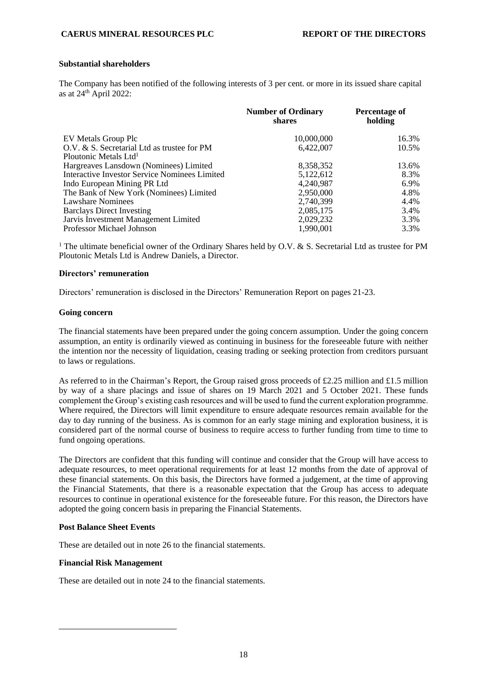### **Substantial shareholders**

The Company has been notified of the following interests of 3 per cent. or more in its issued share capital as at  $24<sup>th</sup>$  April 2022:

|                                                      | <b>Number of Ordinary</b><br>shares | Percentage of<br>holding |
|------------------------------------------------------|-------------------------------------|--------------------------|
| EV Metals Group Plc                                  | 10,000,000                          | 16.3%                    |
| O.V. & S. Secretarial Ltd as trustee for PM          | 6,422,007                           | 10.5%                    |
| Ploutonic Metals Ltd <sup>1</sup>                    |                                     |                          |
| Hargreaves Lansdown (Nominees) Limited               | 8,358,352                           | 13.6%                    |
| <b>Interactive Investor Service Nominees Limited</b> | 5,122,612                           | 8.3%                     |
| Indo European Mining PR Ltd                          | 4,240,987                           | 6.9%                     |
| The Bank of New York (Nominees) Limited              | 2,950,000                           | 4.8%                     |
| <b>Lawshare Nominees</b>                             | 2,740,399                           | 4.4%                     |
| <b>Barclays Direct Investing</b>                     | 2,085,175                           | 3.4%                     |
| Jarvis Investment Management Limited                 | 2,029,232                           | 3.3%                     |
| <b>Professor Michael Johnson</b>                     | 1,990,001                           | 3.3%                     |

<sup>1</sup> The ultimate beneficial owner of the Ordinary Shares held by O.V. & S. Secretarial Ltd as trustee for PM Ploutonic Metals Ltd is Andrew Daniels, a Director.

### **Directors' remuneration**

Directors' remuneration is disclosed in the Directors' Remuneration Report on pages 21-23.

### **Going concern**

The financial statements have been prepared under the going concern assumption. Under the going concern assumption, an entity is ordinarily viewed as continuing in business for the foreseeable future with neither the intention nor the necessity of liquidation, ceasing trading or seeking protection from creditors pursuant to laws or regulations.

As referred to in the Chairman's Report, the Group raised gross proceeds of £2.25 million and £1.5 million by way of a share placings and issue of shares on 19 March 2021 and 5 October 2021. These funds complement the Group's existing cash resources and will be used to fund the current exploration programme. Where required, the Directors will limit expenditure to ensure adequate resources remain available for the day to day running of the business. As is common for an early stage mining and exploration business, it is considered part of the normal course of business to require access to further funding from time to time to fund ongoing operations.

The Directors are confident that this funding will continue and consider that the Group will have access to adequate resources, to meet operational requirements for at least 12 months from the date of approval of these financial statements. On this basis, the Directors have formed a judgement, at the time of approving the Financial Statements, that there is a reasonable expectation that the Group has access to adequate resources to continue in operational existence for the foreseeable future. For this reason, the Directors have adopted the going concern basis in preparing the Financial Statements.

### **Post Balance Sheet Events**

These are detailed out in note 26 to the financial statements.

### **Financial Risk Management**

These are detailed out in note 24 to the financial statements.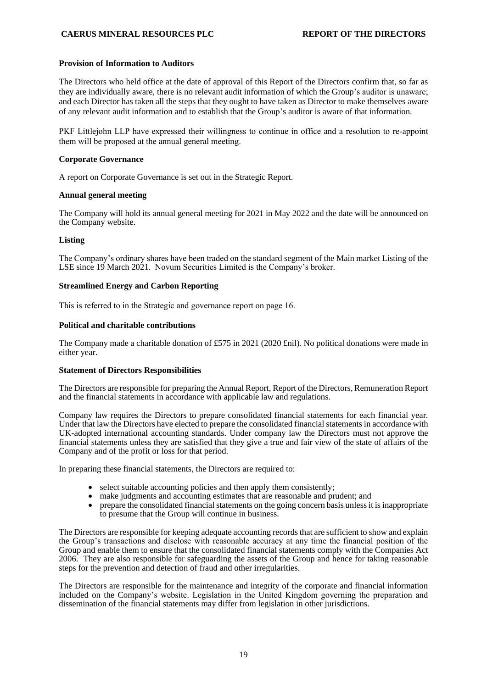### **CAERUS MINERAL RESOURCES PLC REPORT OF THE DIRECTORS**

### **Provision of Information to Auditors**

The Directors who held office at the date of approval of this Report of the Directors confirm that, so far as they are individually aware, there is no relevant audit information of which the Group's auditor is unaware; and each Director has taken all the steps that they ought to have taken as Director to make themselves aware of any relevant audit information and to establish that the Group's auditor is aware of that information.

PKF Littlejohn LLP have expressed their willingness to continue in office and a resolution to re-appoint them will be proposed at the annual general meeting.

#### **Corporate Governance**

A report on Corporate Governance is set out in the Strategic Report.

#### **Annual general meeting**

The Company will hold its annual general meeting for 2021 in May 2022 and the date will be announced on the Company website.

### **Listing**

The Company's ordinary shares have been traded on the standard segment of the Main market Listing of the LSE since 19 March 2021. Novum Securities Limited is the Company's broker.

#### **Streamlined Energy and Carbon Reporting**

This is referred to in the Strategic and governance report on page 16.

#### **Political and charitable contributions**

The Company made a charitable donation of £575 in 2021 (2020 £nil). No political donations were made in either year.

#### **Statement of Directors Responsibilities**

The Directors are responsible for preparing the Annual Report, Report of the Directors, Remuneration Report and the financial statements in accordance with applicable law and regulations.

Company law requires the Directors to prepare consolidated financial statements for each financial year. Under that law the Directors have elected to prepare the consolidated financial statements in accordance with UK-adopted international accounting standards. Under company law the Directors must not approve the financial statements unless they are satisfied that they give a true and fair view of the state of affairs of the Company and of the profit or loss for that period.

In preparing these financial statements, the Directors are required to:

- select suitable accounting policies and then apply them consistently;
- make judgments and accounting estimates that are reasonable and prudent; and
- prepare the consolidated financial statements on the going concern basis unless it is inappropriate to presume that the Group will continue in business.

The Directors are responsible for keeping adequate accounting records that are sufficient to show and explain the Group's transactions and disclose with reasonable accuracy at any time the financial position of the Group and enable them to ensure that the consolidated financial statements comply with the Companies Act 2006. They are also responsible for safeguarding the assets of the Group and hence for taking reasonable steps for the prevention and detection of fraud and other irregularities.

The Directors are responsible for the maintenance and integrity of the corporate and financial information included on the Company's website. Legislation in the United Kingdom governing the preparation and dissemination of the financial statements may differ from legislation in other jurisdictions.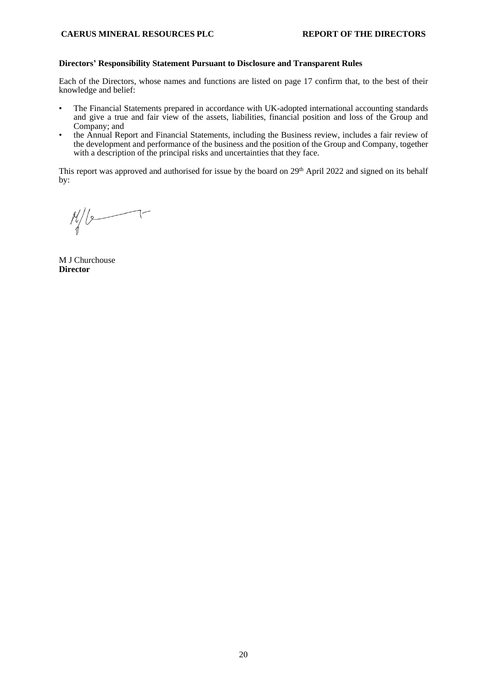### **Directors' Responsibility Statement Pursuant to Disclosure and Transparent Rules**

Each of the Directors, whose names and functions are listed on page 17 confirm that, to the best of their knowledge and belief:

- The Financial Statements prepared in accordance with UK-adopted international accounting standards and give a true and fair view of the assets, liabilities, financial position and loss of the Group and Company; and
- the Annual Report and Financial Statements, including the Business review, includes a fair review of the development and performance of the business and the position of the Group and Company, together with a description of the principal risks and uncertainties that they face.

This report was approved and authorised for issue by the board on 29<sup>th</sup> April 2022 and signed on its behalf by:

 $M/b$ 

M J Churchouse **Director**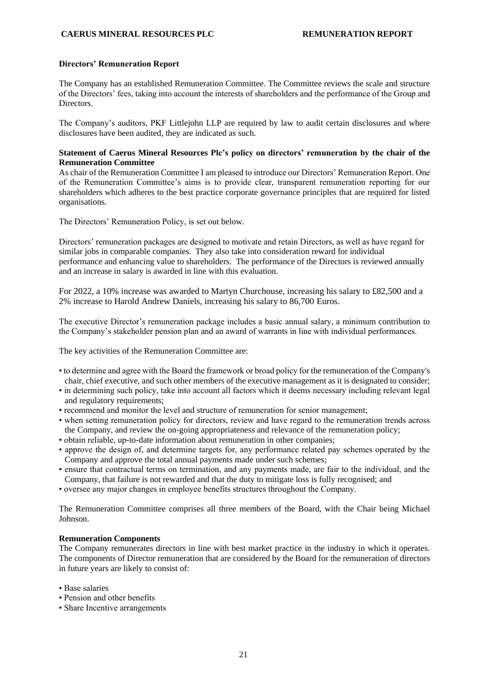### **CAERUS MINERAL RESOURCES PLC REMUNERATION REPORT**

#### **Directors' Remuneration Report**

The Company has an established Remuneration Committee. The Committee reviews the scale and structure of the Directors' fees, taking into account the interests of shareholders and the performance of the Group and Directors.

The Company's auditors, PKF Littlejohn LLP are required by law to audit certain disclosures and where disclosures have been audited, they are indicated as such.

#### **Statement of Caerus Mineral Resources Plc's policy on directors' remuneration by the chair of the Remuneration Committee**

As chair of the Remuneration Committee I am pleased to introduce our Directors' Remuneration Report. One of the Remuneration Committee's aims is to provide clear, transparent remuneration reporting for our shareholders which adheres to the best practice corporate governance principles that are required for listed organisations.

The Directors' Remuneration Policy, is set out below.

Directors' remuneration packages are designed to motivate and retain Directors, as well as have regard for similar jobs in comparable companies. They also take into consideration reward for individual performance and enhancing value to shareholders. The performance of the Directors is reviewed annually and an increase in salary is awarded in line with this evaluation.

For 2022, a 10% increase was awarded to Martyn Churchouse, increasing his salary to £82,500 and a 2% increase to Harold Andrew Daniels, increasing his salary to 86,700 Euros.

The executive Director's remuneration package includes a basic annual salary, a minimum contribution to the Company's stakeholder pension plan and an award of warrants in line with individual performances.

The key activities of the Remuneration Committee are:

- to determine and agree with the Board the framework or broad policy for the remuneration of the Company's chair, chief executive, and such other members of the executive management as it is designated to consider;
- in determining such policy, take into account all factors which it deems necessary including relevant legal and regulatory requirements;
- recommend and monitor the level and structure of remuneration for senior management;
- when setting remuneration policy for directors, review and have regard to the remuneration trends across the Company, and review the on-going appropriateness and relevance of the remuneration policy;
- obtain reliable, up-to-date information about remuneration in other companies;
- approve the design of, and determine targets for, any performance related pay schemes operated by the Company and approve the total annual payments made under such schemes;
- ensure that contractual terms on termination, and any payments made, are fair to the individual, and the Company, that failure is not rewarded and that the duty to mitigate loss is fully recognised; and
- oversee any major changes in employee benefits structures throughout the Company.

The Remuneration Committee comprises all three members of the Board, with the Chair being Michael Johnson.

#### **Remuneration Components**

The Company remunerates directors in line with best market practice in the industry in which it operates. The components of Director remuneration that are considered by the Board for the remuneration of directors in future years are likely to consist of:

- Base salaries
- Pension and other benefits
- Share Incentive arrangements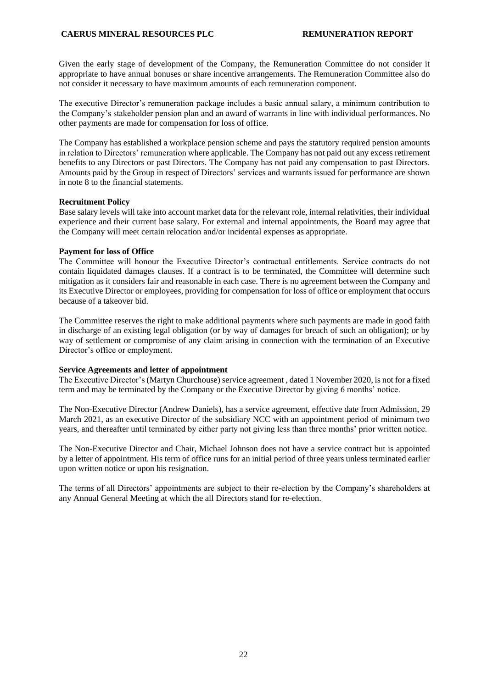Given the early stage of development of the Company, the Remuneration Committee do not consider it appropriate to have annual bonuses or share incentive arrangements. The Remuneration Committee also do not consider it necessary to have maximum amounts of each remuneration component.

The executive Director's remuneration package includes a basic annual salary, a minimum contribution to the Company's stakeholder pension plan and an award of warrants in line with individual performances. No other payments are made for compensation for loss of office.

The Company has established a workplace pension scheme and pays the statutory required pension amounts in relation to Directors' remuneration where applicable. The Company has not paid out any excess retirement benefits to any Directors or past Directors. The Company has not paid any compensation to past Directors. Amounts paid by the Group in respect of Directors' services and warrants issued for performance are shown in note 8 to the financial statements.

#### **Recruitment Policy**

Base salary levels will take into account market data for the relevant role, internal relativities, their individual experience and their current base salary. For external and internal appointments, the Board may agree that the Company will meet certain relocation and/or incidental expenses as appropriate.

### **Payment for loss of Office**

The Committee will honour the Executive Director's contractual entitlements. Service contracts do not contain liquidated damages clauses. If a contract is to be terminated, the Committee will determine such mitigation as it considers fair and reasonable in each case. There is no agreement between the Company and its Executive Director or employees, providing for compensation for loss of office or employment that occurs because of a takeover bid.

The Committee reserves the right to make additional payments where such payments are made in good faith in discharge of an existing legal obligation (or by way of damages for breach of such an obligation); or by way of settlement or compromise of any claim arising in connection with the termination of an Executive Director's office or employment.

### **Service Agreements and letter of appointment**

The Executive Director's (Martyn Churchouse) service agreement , dated 1 November 2020, is not for a fixed term and may be terminated by the Company or the Executive Director by giving 6 months' notice.

The Non-Executive Director (Andrew Daniels), has a service agreement, effective date from Admission, 29 March 2021, as an executive Director of the subsidiary NCC with an appointment period of minimum two years, and thereafter until terminated by either party not giving less than three months' prior written notice.

The Non-Executive Director and Chair, Michael Johnson does not have a service contract but is appointed by a letter of appointment. His term of office runs for an initial period of three years unless terminated earlier upon written notice or upon his resignation.

The terms of all Directors' appointments are subject to their re-election by the Company's shareholders at any Annual General Meeting at which the all Directors stand for re-election.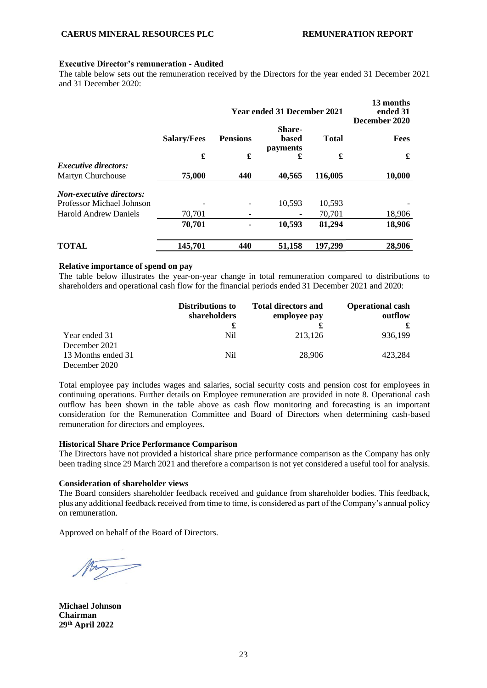#### **Executive Director's remuneration - Audited**

The table below sets out the remuneration received by the Directors for the year ended 31 December 2021 and 31 December 2020:

|                                 |                    | <b>Year ended 31 December 2021</b> |                             |              | 13 months<br>ended 31<br>December 2020 |
|---------------------------------|--------------------|------------------------------------|-----------------------------|--------------|----------------------------------------|
|                                 | <b>Salary/Fees</b> | <b>Pensions</b>                    | Share-<br>based<br>payments | <b>Total</b> | <b>Fees</b>                            |
|                                 | £                  | £                                  | £                           | £            | £                                      |
| <i>Executive directors:</i>     |                    |                                    |                             |              |                                        |
| <b>Martyn Churchouse</b>        | 75,000             | 440                                | 40,565                      | 116,005      | 10,000                                 |
| <b>Non-executive directors:</b> |                    |                                    |                             |              |                                        |
| Professor Michael Johnson       |                    |                                    | 10,593                      | 10,593       |                                        |
| <b>Harold Andrew Daniels</b>    | 70,701             | -                                  |                             | 70,701       | 18,906                                 |
|                                 | 70,701             |                                    | 10,593                      | 81,294       | 18,906                                 |
| <b>TOTAL</b>                    | 145,701            | 440                                | 51,158                      | 197,299      | 28,906                                 |

#### **Relative importance of spend on pay**

The table below illustrates the year-on-year change in total remuneration compared to distributions to shareholders and operational cash flow for the financial periods ended 31 December 2021 and 2020:

|                    | <b>Distributions to</b><br>shareholders | <b>Total directors and</b><br>employee pay | <b>Operational cash</b><br>outflow |
|--------------------|-----------------------------------------|--------------------------------------------|------------------------------------|
|                    | £                                       |                                            |                                    |
| Year ended 31      | Nil                                     | 213,126                                    | 936,199                            |
| December 2021      |                                         |                                            |                                    |
| 13 Months ended 31 | Nil                                     | 28,906                                     | 423,284                            |
| December 2020      |                                         |                                            |                                    |

Total employee pay includes wages and salaries, social security costs and pension cost for employees in continuing operations. Further details on Employee remuneration are provided in note 8. Operational cash outflow has been shown in the table above as cash flow monitoring and forecasting is an important consideration for the Remuneration Committee and Board of Directors when determining cash-based remuneration for directors and employees.

#### **Historical Share Price Performance Comparison**

The Directors have not provided a historical share price performance comparison as the Company has only been trading since 29 March 2021 and therefore a comparison is not yet considered a useful tool for analysis.

#### **Consideration of shareholder views**

The Board considers shareholder feedback received and guidance from shareholder bodies. This feedback, plus any additional feedback received from time to time, is considered as part of the Company's annual policy on remuneration.

Approved on behalf of the Board of Directors.

**Michael Johnson Chairman 29 th April 2022**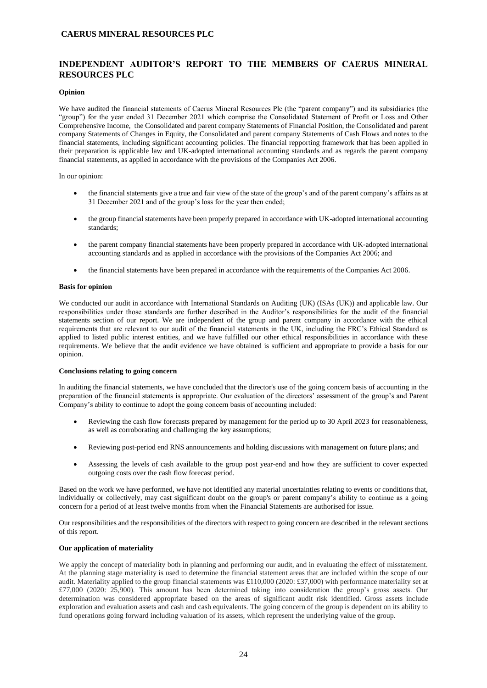### **INDEPENDENT AUDITOR'S REPORT TO THE MEMBERS OF CAERUS MINERAL RESOURCES PLC**

#### **Opinion**

We have audited the financial statements of Caerus Mineral Resources Plc (the "parent company") and its subsidiaries (the "group") for the year ended 31 December 2021 which comprise the Consolidated Statement of Profit or Loss and Other Comprehensive Income, the Consolidated and parent company Statements of Financial Position, the Consolidated and parent company Statements of Changes in Equity, the Consolidated and parent company Statements of Cash Flows and notes to the financial statements, including significant accounting policies. The financial repporting framework that has been applied in their preparation is applicable law and UK-adopted international accounting standards and as regards the parent company financial statements, as applied in accordance with the provisions of the Companies Act 2006.

In our opinion:

- the financial statements give a true and fair view of the state of the group's and of the parent company's affairs as at 31 December 2021 and of the group's loss for the year then ended;
- the group financial statements have been properly prepared in accordance with UK-adopted international accounting standards;
- the parent company financial statements have been properly prepared in accordance with UK-adopted international accounting standards and as applied in accordance with the provisions of the Companies Act 2006; and
- the financial statements have been prepared in accordance with the requirements of the Companies Act 2006.

#### **Basis for opinion**

We conducted our audit in accordance with International Standards on Auditing (UK) (ISAs (UK)) and applicable law. Our responsibilities under those standards are further described in the Auditor's responsibilities for the audit of the financial statements section of our report. We are independent of the group and parent company in accordance with the ethical requirements that are relevant to our audit of the financial statements in the UK, including the FRC's Ethical Standard as applied to listed public interest entities, and we have fulfilled our other ethical responsibilities in accordance with these requirements. We believe that the audit evidence we have obtained is sufficient and appropriate to provide a basis for our opinion.

#### **Conclusions relating to going concern**

In auditing the financial statements, we have concluded that the director's use of the going concern basis of accounting in the preparation of the financial statements is appropriate. Our evaluation of the directors' assessment of the group's and Parent Company's ability to continue to adopt the going concern basis of accounting included:

- Reviewing the cash flow forecasts prepared by management for the period up to 30 April 2023 for reasonableness, as well as corroborating and challenging the key assumptions;
- Reviewing post-period end RNS announcements and holding discussions with management on future plans; and
- Assessing the levels of cash available to the group post year-end and how they are sufficient to cover expected outgoing costs over the cash flow forecast period.

Based on the work we have performed, we have not identified any material uncertainties relating to events or conditions that, individually or collectively, may cast significant doubt on the group's or parent company's ability to continue as a going concern for a period of at least twelve months from when the Financial Statements are authorised for issue.

Our responsibilities and the responsibilities of the directors with respect to going concern are described in the relevant sections of this report.

#### **Our application of materiality**

We apply the concept of materiality both in planning and performing our audit, and in evaluating the effect of misstatement. At the planning stage materiality is used to determine the financial statement areas that are included within the scope of our audit. Materiality applied to the group financial statements was £110,000 (2020: £37,000) with performance materiality set at £77,000 (2020: 25,900). This amount has been determined taking into consideration the group's gross assets. Our determination was considered appropriate based on the areas of significant audit risk identified. Gross assets include exploration and evaluation assets and cash and cash equivalents. The going concern of the group is dependent on its ability to fund operations going forward including valuation of its assets, which represent the underlying value of the group.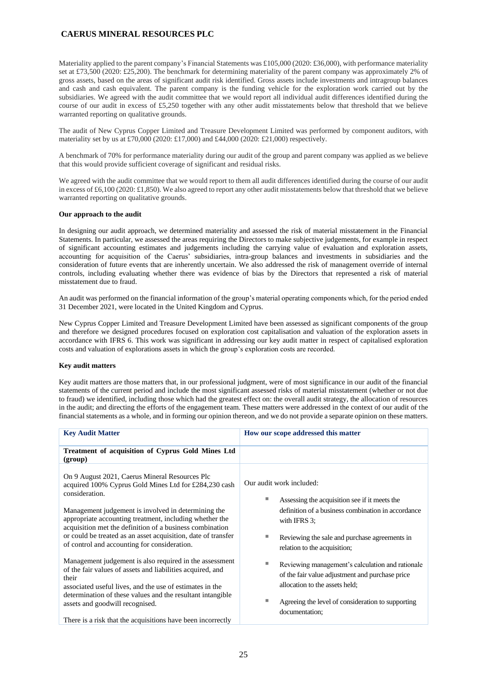Materiality applied to the parent company's Financial Statements was £105,000 (2020: £36,000), with performance materiality set at £73,500 (2020: £25,200). The benchmark for determining materiality of the parent company was approximately 2% of gross assets, based on the areas of significant audit risk identified. Gross assets include investments and intragroup balances and cash and cash equivalent. The parent company is the funding vehicle for the exploration work carried out by the subsidiaries. We agreed with the audit committee that we would report all individual audit differences identified during the course of our audit in excess of £5,250 together with any other audit misstatements below that threshold that we believe warranted reporting on qualitative grounds.

The audit of New Cyprus Copper Limited and Treasure Development Limited was performed by component auditors, with materiality set by us at £70,000 (2020: £17,000) and £44,000 (2020: £21,000) respectively.

A benchmark of 70% for performance materiality during our audit of the group and parent company was applied as we believe that this would provide sufficient coverage of significant and residual risks.

We agreed with the audit committee that we would report to them all audit differences identified during the course of our audit in excess of £6,100 (2020: £1,850). We also agreed to report any other audit misstatements below that threshold that we believe warranted reporting on qualitative grounds.

#### **Our approach to the audit**

In designing our audit approach, we determined materiality and assessed the risk of material misstatement in the Financial Statements. In particular, we assessed the areas requiring the Directors to make subjective judgements, for example in respect of significant accounting estimates and judgements including the carrying value of evaluation and exploration assets, accounting for acquisition of the Caerus' subsidiaries, intra-group balances and investments in subsidiaries and the consideration of future events that are inherently uncertain. We also addressed the risk of management override of internal controls, including evaluating whether there was evidence of bias by the Directors that represented a risk of material misstatement due to fraud.

An audit was performed on the financial information of the group's material operating components which, for the period ended 31 December 2021, were located in the United Kingdom and Cyprus.

New Cyprus Copper Limited and Treasure Development Limited have been assessed as significant components of the group and therefore we designed procedures focused on exploration cost capitalisation and valuation of the exploration assets in accordance with IFRS 6. This work was significant in addressing our key audit matter in respect of capitalised exploration costs and valuation of explorations assets in which the group's exploration costs are recorded.

#### **Key audit matters**

Key audit matters are those matters that, in our professional judgment, were of most significance in our audit of the financial statements of the current period and include the most significant assessed risks of material misstatement (whether or not due to fraud) we identified, including those which had the greatest effect on: the overall audit strategy, the allocation of resources in the audit; and directing the efforts of the engagement team. These matters were addressed in the context of our audit of the financial statements as a whole, and in forming our opinion thereon, and we do not provide a separate opinion on these matters.

| <b>Key Audit Matter</b>                                                                                                                                                                                                                                                                                                                                                                                                  | How our scope addressed this matter                                                                                                                                                                                                      |  |  |
|--------------------------------------------------------------------------------------------------------------------------------------------------------------------------------------------------------------------------------------------------------------------------------------------------------------------------------------------------------------------------------------------------------------------------|------------------------------------------------------------------------------------------------------------------------------------------------------------------------------------------------------------------------------------------|--|--|
| Treatment of acquisition of Cyprus Gold Mines Ltd<br>(group)                                                                                                                                                                                                                                                                                                                                                             |                                                                                                                                                                                                                                          |  |  |
| On 9 August 2021, Caerus Mineral Resources Plc<br>acquired 100% Cyprus Gold Mines Ltd for £284,230 cash<br>consideration.<br>Management judgement is involved in determining the<br>appropriate accounting treatment, including whether the<br>acquisition met the definition of a business combination<br>or could be treated as an asset acquisition, date of transfer<br>of control and accounting for consideration. | Our audit work included:<br>٠<br>Assessing the acquisition see if it meets the<br>definition of a business combination in accordance<br>with IFRS $3$ :<br>Reviewing the sale and purchase agreements in<br>relation to the acquisition; |  |  |
| Management judgement is also required in the assessment<br>of the fair values of assets and liabilities acquired, and<br>their<br>associated useful lives, and the use of estimates in the<br>determination of these values and the resultant intangible<br>assets and goodwill recognised.<br>There is a risk that the acquisitions have been incorrectly                                                               | ٠<br>Reviewing management's calculation and rationale<br>of the fair value adjustment and purchase price<br>allocation to the assets held;<br>٠<br>Agreeing the level of consideration to supporting<br>documentation:                   |  |  |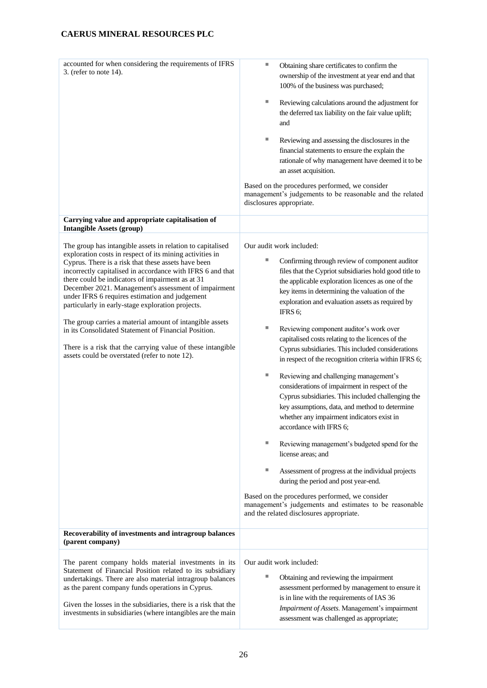| accounted for when considering the requirements of IFRS<br>3. (refer to note $14$ ).                                                                                                                                                                                                                                                                                                                                                                                                                                                                                                                                                                                                                | ш<br>Obtaining share certificates to confirm the<br>ownership of the investment at year end and that<br>100% of the business was purchased;<br>п<br>Reviewing calculations around the adjustment for<br>the deferred tax liability on the fair value uplift;<br>and<br>п<br>Reviewing and assessing the disclosures in the<br>financial statements to ensure the explain the<br>rationale of why management have deemed it to be<br>an asset acquisition.<br>Based on the procedures performed, we consider<br>management's judgements to be reasonable and the related<br>disclosures appropriate.                                                                                                                                                                                                                                                                                                                                                                                                                                                                                                                                                       |
|-----------------------------------------------------------------------------------------------------------------------------------------------------------------------------------------------------------------------------------------------------------------------------------------------------------------------------------------------------------------------------------------------------------------------------------------------------------------------------------------------------------------------------------------------------------------------------------------------------------------------------------------------------------------------------------------------------|-----------------------------------------------------------------------------------------------------------------------------------------------------------------------------------------------------------------------------------------------------------------------------------------------------------------------------------------------------------------------------------------------------------------------------------------------------------------------------------------------------------------------------------------------------------------------------------------------------------------------------------------------------------------------------------------------------------------------------------------------------------------------------------------------------------------------------------------------------------------------------------------------------------------------------------------------------------------------------------------------------------------------------------------------------------------------------------------------------------------------------------------------------------|
| Carrying value and appropriate capitalisation of<br><b>Intangible Assets (group)</b>                                                                                                                                                                                                                                                                                                                                                                                                                                                                                                                                                                                                                |                                                                                                                                                                                                                                                                                                                                                                                                                                                                                                                                                                                                                                                                                                                                                                                                                                                                                                                                                                                                                                                                                                                                                           |
| The group has intangible assets in relation to capitalised<br>exploration costs in respect of its mining activities in<br>Cyprus. There is a risk that these assets have been<br>incorrectly capitalised in accordance with IFRS 6 and that<br>there could be indicators of impairment as at 31<br>December 2021. Management's assessment of impairment<br>under IFRS 6 requires estimation and judgement<br>particularly in early-stage exploration projects.<br>The group carries a material amount of intangible assets<br>in its Consolidated Statement of Financial Position.<br>There is a risk that the carrying value of these intangible<br>assets could be overstated (refer to note 12). | Our audit work included:<br>п<br>Confirming through review of component auditor<br>files that the Cypriot subsidiaries hold good title to<br>the applicable exploration licences as one of the<br>key items in determining the valuation of the<br>exploration and evaluation assets as required by<br>IFRS 6;<br>ш<br>Reviewing component auditor's work over<br>capitalised costs relating to the licences of the<br>Cyprus subsidiaries. This included considerations<br>in respect of the recognition criteria within IFRS 6;<br>ш<br>Reviewing and challenging management's<br>considerations of impairment in respect of the<br>Cyprus subsidiaries. This included challenging the<br>key assumptions, data, and method to determine<br>whether any impairment indicators exist in<br>accordance with IFRS 6;<br>ш<br>Reviewing management's budgeted spend for the<br>license areas; and<br>×<br>Assessment of progress at the individual projects<br>during the period and post year-end.<br>Based on the procedures performed, we consider<br>management's judgements and estimates to be reasonable<br>and the related disclosures appropriate. |
| Recoverability of investments and intragroup balances<br>(parent company)                                                                                                                                                                                                                                                                                                                                                                                                                                                                                                                                                                                                                           |                                                                                                                                                                                                                                                                                                                                                                                                                                                                                                                                                                                                                                                                                                                                                                                                                                                                                                                                                                                                                                                                                                                                                           |
| The parent company holds material investments in its<br>Statement of Financial Position related to its subsidiary<br>undertakings. There are also material intragroup balances<br>as the parent company funds operations in Cyprus.<br>Given the losses in the subsidiaries, there is a risk that the<br>investments in subsidiaries (where intangibles are the main                                                                                                                                                                                                                                                                                                                                | Our audit work included:<br>ш<br>Obtaining and reviewing the impairment<br>assessment performed by management to ensure it<br>is in line with the requirements of IAS 36<br>Impairment of Assets. Management's impairment<br>assessment was challenged as appropriate;                                                                                                                                                                                                                                                                                                                                                                                                                                                                                                                                                                                                                                                                                                                                                                                                                                                                                    |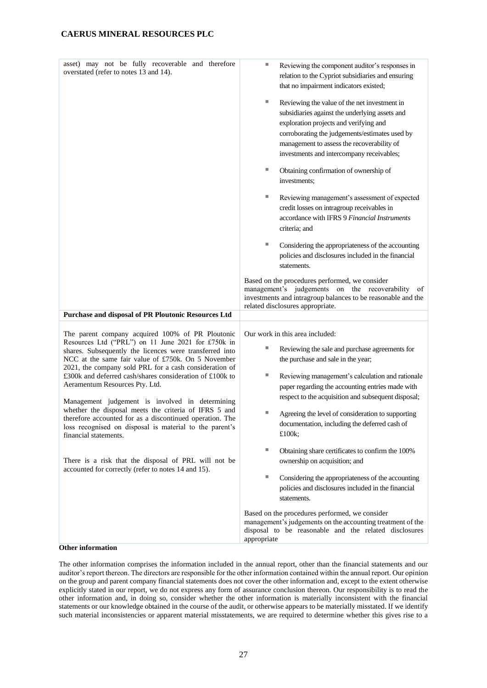| asset) may not be fully recoverable and therefore<br>overstated (refer to notes 13 and 14).                                                                                                                                                                                                                                                                                                                                                                                                                                     | ш<br>Reviewing the component auditor's responses in<br>relation to the Cypriot subsidiaries and ensuring<br>that no impairment indicators existed;                                                                                                                                                                                                                                                                                                                                                                                                       |
|---------------------------------------------------------------------------------------------------------------------------------------------------------------------------------------------------------------------------------------------------------------------------------------------------------------------------------------------------------------------------------------------------------------------------------------------------------------------------------------------------------------------------------|----------------------------------------------------------------------------------------------------------------------------------------------------------------------------------------------------------------------------------------------------------------------------------------------------------------------------------------------------------------------------------------------------------------------------------------------------------------------------------------------------------------------------------------------------------|
|                                                                                                                                                                                                                                                                                                                                                                                                                                                                                                                                 | ш<br>Reviewing the value of the net investment in<br>subsidiaries against the underlying assets and<br>exploration projects and verifying and<br>corroborating the judgements/estimates used by<br>management to assess the recoverability of<br>investments and intercompany receivables;                                                                                                                                                                                                                                                               |
|                                                                                                                                                                                                                                                                                                                                                                                                                                                                                                                                 | ш<br>Obtaining confirmation of ownership of<br>investments;                                                                                                                                                                                                                                                                                                                                                                                                                                                                                              |
|                                                                                                                                                                                                                                                                                                                                                                                                                                                                                                                                 | п<br>Reviewing management's assessment of expected<br>credit losses on intragroup receivables in<br>accordance with IFRS 9 Financial Instruments<br>criteria; and                                                                                                                                                                                                                                                                                                                                                                                        |
|                                                                                                                                                                                                                                                                                                                                                                                                                                                                                                                                 | ш<br>Considering the appropriateness of the accounting<br>policies and disclosures included in the financial<br>statements.                                                                                                                                                                                                                                                                                                                                                                                                                              |
|                                                                                                                                                                                                                                                                                                                                                                                                                                                                                                                                 | Based on the procedures performed, we consider<br>management's judgements on the recoverability<br>of<br>investments and intragroup balances to be reasonable and the<br>related disclosures appropriate.                                                                                                                                                                                                                                                                                                                                                |
| Purchase and disposal of PR Ploutonic Resources Ltd                                                                                                                                                                                                                                                                                                                                                                                                                                                                             |                                                                                                                                                                                                                                                                                                                                                                                                                                                                                                                                                          |
| The parent company acquired 100% of PR Ploutonic<br>Resources Ltd ("PRL") on 11 June 2021 for £750k in<br>shares. Subsequently the licences were transferred into<br>NCC at the same fair value of £750k. On 5 November                                                                                                                                                                                                                                                                                                         | Our work in this area included:<br>ш<br>Reviewing the sale and purchase agreements for                                                                                                                                                                                                                                                                                                                                                                                                                                                                   |
| 2021, the company sold PRL for a cash consideration of<br>£300k and deferred cash/shares consideration of £100k to<br>Aeramentum Resources Pty. Ltd.<br>Management judgement is involved in determining<br>whether the disposal meets the criteria of IFRS 5 and<br>therefore accounted for as a discontinued operation. The<br>loss recognised on disposal is material to the parent's<br>financial statements.<br>There is a risk that the disposal of PRL will not be<br>accounted for correctly (refer to notes 14 and 15). | the purchase and sale in the year;<br>п<br>Reviewing management's calculation and rationale<br>paper regarding the accounting entries made with<br>respect to the acquisition and subsequent disposal;<br>ш<br>Agreeing the level of consideration to supporting<br>documentation, including the deferred cash of<br>£100 $k$ ;<br>ш<br>Obtaining share certificates to confirm the 100%<br>ownership on acquisition; and<br>ш<br>Considering the appropriateness of the accounting<br>policies and disclosures included in the financial<br>statements. |

#### **Other information**

The other information comprises the information included in the annual report, other than the financial statements and our auditor's report thereon. The directors are responsible for the other information contained within the annual report. Our opinion on the group and parent company financial statements does not cover the other information and, except to the extent otherwise explicitly stated in our report, we do not express any form of assurance conclusion thereon. Our responsibility is to read the other information and, in doing so, consider whether the other information is materially inconsistent with the financial statements or our knowledge obtained in the course of the audit, or otherwise appears to be materially misstated. If we identify such material inconsistencies or apparent material misstatements, we are required to determine whether this gives rise to a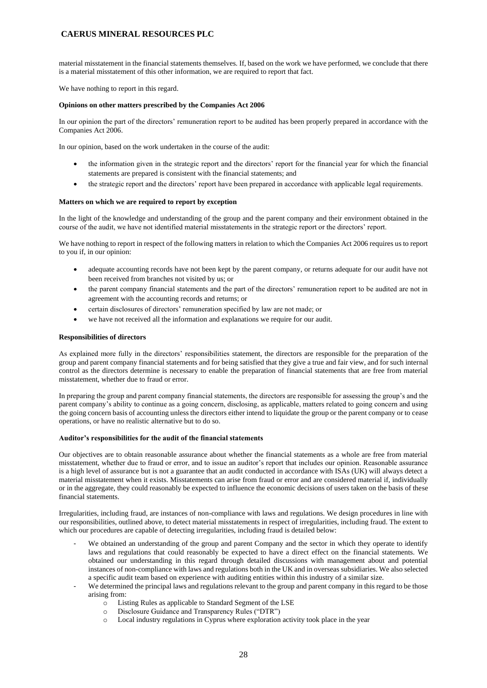material misstatement in the financial statements themselves. If, based on the work we have performed, we conclude that there is a material misstatement of this other information, we are required to report that fact.

We have nothing to report in this regard.

#### **Opinions on other matters prescribed by the Companies Act 2006**

In our opinion the part of the directors' remuneration report to be audited has been properly prepared in accordance with the Companies Act 2006.

In our opinion, based on the work undertaken in the course of the audit:

- the information given in the strategic report and the directors' report for the financial year for which the financial statements are prepared is consistent with the financial statements; and
- the strategic report and the directors' report have been prepared in accordance with applicable legal requirements.

#### **Matters on which we are required to report by exception**

In the light of the knowledge and understanding of the group and the parent company and their environment obtained in the course of the audit, we have not identified material misstatements in the strategic report or the directors' report.

We have nothing to report in respect of the following matters in relation to which the Companies Act 2006 requires us to report to you if, in our opinion:

- adequate accounting records have not been kept by the parent company, or returns adequate for our audit have not been received from branches not visited by us; or
- the parent company financial statements and the part of the directors' remuneration report to be audited are not in agreement with the accounting records and returns; or
- certain disclosures of directors' remuneration specified by law are not made; or
- we have not received all the information and explanations we require for our audit.

#### **Responsibilities of directors**

As explained more fully in the directors' responsibilities statement, the directors are responsible for the preparation of the group and parent company financial statements and for being satisfied that they give a true and fair view, and for such internal control as the directors determine is necessary to enable the preparation of financial statements that are free from material misstatement, whether due to fraud or error.

In preparing the group and parent company financial statements, the directors are responsible for assessing the group's and the parent company's ability to continue as a going concern, disclosing, as applicable, matters related to going concern and using the going concern basis of accounting unless the directors either intend to liquidate the group or the parent company or to cease operations, or have no realistic alternative but to do so.

#### **Auditor's responsibilities for the audit of the financial statements**

Our objectives are to obtain reasonable assurance about whether the financial statements as a whole are free from material misstatement, whether due to fraud or error, and to issue an auditor's report that includes our opinion. Reasonable assurance is a high level of assurance but is not a guarantee that an audit conducted in accordance with ISAs (UK) will always detect a material misstatement when it exists. Misstatements can arise from fraud or error and are considered material if, individually or in the aggregate, they could reasonably be expected to influence the economic decisions of users taken on the basis of these financial statements.

Irregularities, including fraud, are instances of non-compliance with laws and regulations. We design procedures in line with our responsibilities, outlined above, to detect material misstatements in respect of irregularities, including fraud. The extent to which our procedures are capable of detecting irregularities, including fraud is detailed below:

- We obtained an understanding of the group and parent Company and the sector in which they operate to identify laws and regulations that could reasonably be expected to have a direct effect on the financial statements. We obtained our understanding in this regard through detailed discussions with management about and potential instances of non-compliance with laws and regulations both in the UK and in overseas subsidiaries. We also selected a specific audit team based on experience with auditing entities within this industry of a similar size.
- We determined the principal laws and regulations relevant to the group and parent company in this regard to be those arising from:
	- o Listing Rules as applicable to Standard Segment of the LSE
	- o Disclosure Guidance and Transparency Rules ("DTR")
	- o Local industry regulations in Cyprus where exploration activity took place in the year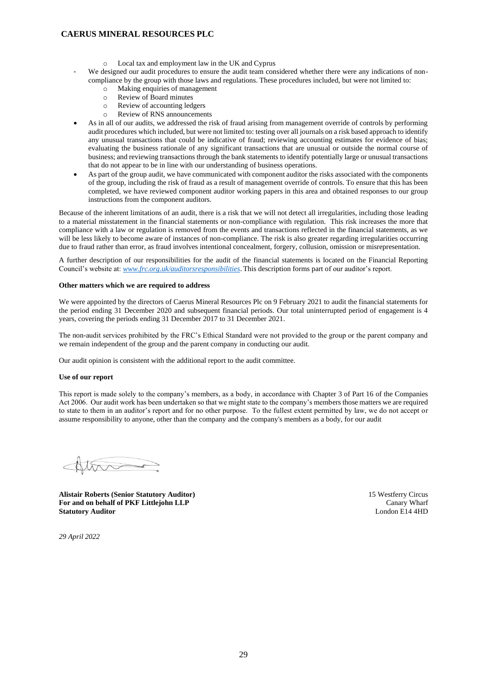- o Local tax and employment law in the UK and Cyprus
- We designed our audit procedures to ensure the audit team considered whether there were any indications of noncompliance by the group with those laws and regulations. These procedures included, but were not limited to:
	- o Making enquiries of management
	- o Review of Board minutes
	- o Review of accounting ledgers
	- o Review of RNS announcements
- As in all of our audits, we addressed the risk of fraud arising from management override of controls by performing audit procedures which included, but were not limited to: testing over all journals on a risk based approach to identify any unusual transactions that could be indicative of fraud; reviewing accounting estimates for evidence of bias; evaluating the business rationale of any significant transactions that are unusual or outside the normal course of business; and reviewing transactions through the bank statements to identify potentially large or unusual transactions that do not appear to be in line with our understanding of business operations.
- As part of the group audit, we have communicated with component auditor the risks associated with the components of the group, including the risk of fraud as a result of management override of controls. To ensure that this has been completed, we have reviewed component auditor working papers in this area and obtained responses to our group instructions from the component auditors.

Because of the inherent limitations of an audit, there is a risk that we will not detect all irregularities, including those leading to a material misstatement in the financial statements or non-compliance with regulation. This risk increases the more that compliance with a law or regulation is removed from the events and transactions reflected in the financial statements, as we will be less likely to become aware of instances of non-compliance. The risk is also greater regarding irregularities occurring due to fraud rather than error, as fraud involves intentional concealment, forgery, collusion, omission or misrepresentation.

A further description of our responsibilities for the audit of the financial statements is located on the Financial Reporting Council's website at: *[www.frc.org.uk/auditorsresponsibilities](http://www.frc.org.uk/auditorsresponsibilities)*. This description forms part of our auditor's report.

#### **Other matters which we are required to address**

We were appointed by the directors of Caerus Mineral Resources Plc on 9 February 2021 to audit the financial statements for the period ending 31 December 2020 and subsequent financial periods. Our total uninterrupted period of engagement is 4 years, covering the periods ending 31 December 2017 to 31 December 2021.

The non-audit services prohibited by the FRC's Ethical Standard were not provided to the group or the parent company and we remain independent of the group and the parent company in conducting our audit.

Our audit opinion is consistent with the additional report to the audit committee.

#### **Use of our report**

This report is made solely to the company's members, as a body, in accordance with Chapter 3 of Part 16 of the Companies Act 2006. Our audit work has been undertaken so that we might state to the company's members those matters we are required to state to them in an auditor's report and for no other purpose. To the fullest extent permitted by law, we do not accept or assume responsibility to anyone, other than the company and the company's members as a body, for our audit

 $\sqrt{\lambda N}$ 

**Alistair Roberts (Senior Statutory Auditor)** 15 Westferry Circus **For and on behalf of PKF Littlejohn LLP** Canary Wharf **Statutory Auditor** London E14 4HD

*29 April 2022*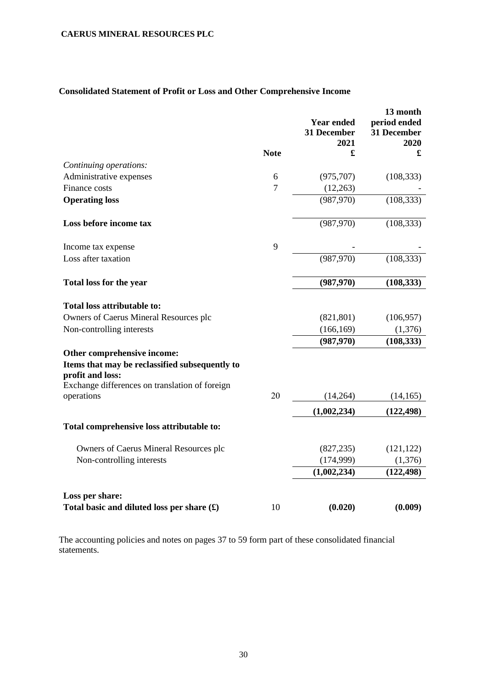## <span id="page-29-0"></span>**Consolidated Statement of Profit or Loss and Other Comprehensive Income**

|                                                                    |                | <b>Year ended</b><br>31 December<br>2021 | 13 month<br>period ended<br>31 December<br>2020 |
|--------------------------------------------------------------------|----------------|------------------------------------------|-------------------------------------------------|
|                                                                    | <b>Note</b>    | £                                        | £                                               |
| Continuing operations:                                             |                |                                          |                                                 |
| Administrative expenses                                            | 6              | (975, 707)                               | (108, 333)                                      |
| Finance costs                                                      | $\overline{7}$ | (12, 263)                                |                                                 |
| <b>Operating loss</b>                                              |                | (987, 970)                               | (108, 333)                                      |
| Loss before income tax                                             |                | (987, 970)                               | (108, 333)                                      |
| Income tax expense                                                 | 9              |                                          |                                                 |
| Loss after taxation                                                |                | (987, 970)                               | (108, 333)                                      |
| Total loss for the year                                            |                | (987, 970)                               | (108, 333)                                      |
| Total loss attributable to:                                        |                |                                          |                                                 |
| Owners of Caerus Mineral Resources plc                             |                | (821, 801)                               | (106, 957)                                      |
| Non-controlling interests                                          |                | (166, 169)                               | (1,376)                                         |
|                                                                    |                | (987, 970)                               | (108, 333)                                      |
| Other comprehensive income:                                        |                |                                          |                                                 |
| Items that may be reclassified subsequently to<br>profit and loss: |                |                                          |                                                 |
| Exchange differences on translation of foreign<br>operations       | 20             | (14,264)                                 | (14, 165)                                       |
|                                                                    |                | (1,002,234)                              | (122, 498)                                      |
| Total comprehensive loss attributable to:                          |                |                                          |                                                 |
| Owners of Caerus Mineral Resources plc                             |                | (827, 235)                               | (121, 122)                                      |
| Non-controlling interests                                          |                | (174,999)                                | (1,376)                                         |
|                                                                    |                | (1,002,234)                              | (122, 498)                                      |
| Loss per share:                                                    |                |                                          |                                                 |
| Total basic and diluted loss per share $(\textbf{\pounds})$        | 10             | (0.020)                                  | (0.009)                                         |

The accounting policies and notes on pages 37 to 59 form part of these consolidated financial statements.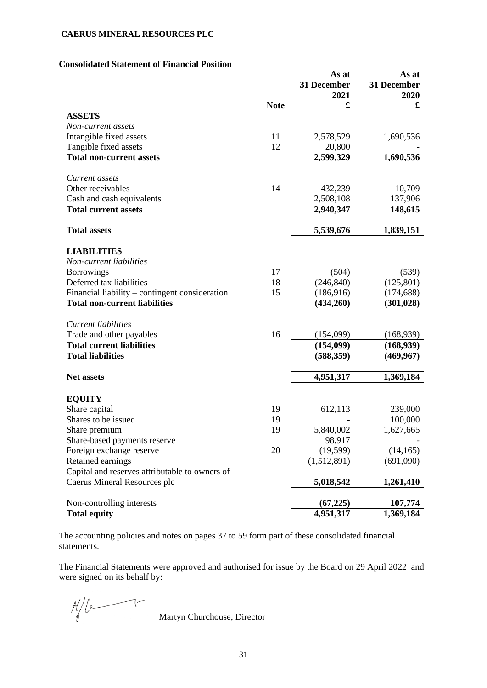### <span id="page-30-0"></span>**Consolidated Statement of Financial Position**

|                                                | <b>Note</b> | As at<br>31 December<br>2021<br>£ | As at<br>31 December<br>2020<br>£ |
|------------------------------------------------|-------------|-----------------------------------|-----------------------------------|
| <b>ASSETS</b>                                  |             |                                   |                                   |
| Non-current assets                             |             |                                   |                                   |
| Intangible fixed assets                        | 11          | 2,578,529                         | 1,690,536                         |
| Tangible fixed assets                          | 12          | 20,800                            |                                   |
| <b>Total non-current assets</b>                |             | 2,599,329                         | 1,690,536                         |
| Current assets                                 |             |                                   |                                   |
| Other receivables                              | 14          | 432,239                           | 10,709                            |
| Cash and cash equivalents                      |             | 2,508,108                         | 137,906                           |
| <b>Total current assets</b>                    |             | 2,940,347                         | 148,615                           |
| <b>Total assets</b>                            |             | 5,539,676                         | 1,839,151                         |
| <b>LIABILITIES</b>                             |             |                                   |                                   |
| Non-current liabilities                        |             |                                   |                                   |
| <b>Borrowings</b>                              | 17          | (504)                             | (539)                             |
| Deferred tax liabilities                       | 18          | (246, 840)                        | (125, 801)                        |
| Financial liability – contingent consideration | 15          | (186, 916)                        | (174, 688)                        |
| <b>Total non-current liabilities</b>           |             | (434,260)                         | (301, 028)                        |
| <b>Current liabilities</b>                     |             |                                   |                                   |
| Trade and other payables                       | 16          | (154,099)                         | (168,939)                         |
| <b>Total current liabilities</b>               |             | (154,099)                         | (168,939)                         |
| <b>Total liabilities</b>                       |             | (588, 359)                        | (469, 967)                        |
| <b>Net assets</b>                              |             | 4,951,317                         | 1,369,184                         |
| <b>EQUITY</b>                                  |             |                                   |                                   |
| Share capital                                  | 19          | 612,113                           | 239,000                           |
| Shares to be issued                            | 19          |                                   | 100,000                           |
| Share premium                                  | 19          | 5,840,002                         | 1,627,665                         |
| Share-based payments reserve                   |             | 98,917                            |                                   |
| Foreign exchange reserve                       | 20          | (19, 599)                         | (14, 165)                         |
| Retained earnings                              |             | (1,512,891)                       | (691,090)                         |
| Capital and reserves attributable to owners of |             |                                   |                                   |
| Caerus Mineral Resources plc                   |             | 5,018,542                         | 1,261,410                         |
| Non-controlling interests                      |             | (67, 225)                         | 107,774                           |
| <b>Total equity</b>                            |             | 4,951,317                         | 1,369,184                         |

The accounting policies and notes on pages 37 to 59 form part of these consolidated financial statements.

The Financial Statements were approved and authorised for issue by the Board on 29 April 2022 and were signed on its behalf by:

 $M/b$ 

Martyn Churchouse, Director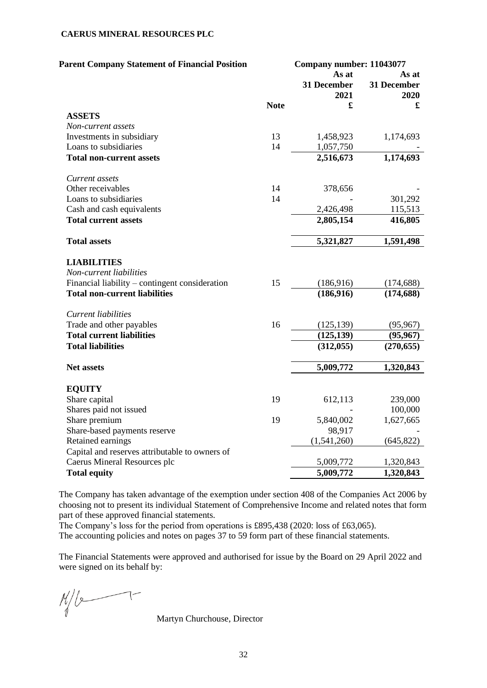| <b>Parent Company Statement of Financial Position</b> |             | Company number: 11043077 |             |  |
|-------------------------------------------------------|-------------|--------------------------|-------------|--|
|                                                       |             | As at                    | As at       |  |
|                                                       |             | <b>31 December</b>       | 31 December |  |
|                                                       | <b>Note</b> | 2021                     | 2020        |  |
|                                                       |             | £                        | £           |  |
| <b>ASSETS</b>                                         |             |                          |             |  |
| Non-current assets                                    |             |                          |             |  |
| Investments in subsidiary                             | 13          | 1,458,923                | 1,174,693   |  |
| Loans to subsidiaries                                 | 14          | 1,057,750                |             |  |
| <b>Total non-current assets</b>                       |             | 2,516,673                | 1,174,693   |  |
| Current assets                                        |             |                          |             |  |
| Other receivables                                     | 14          | 378,656                  |             |  |
| Loans to subsidiaries                                 | 14          |                          | 301,292     |  |
| Cash and cash equivalents                             |             | 2,426,498                | 115,513     |  |
| <b>Total current assets</b>                           |             | 2,805,154                | 416,805     |  |
| <b>Total assets</b>                                   |             | 5,321,827                | 1,591,498   |  |
|                                                       |             |                          |             |  |
| <b>LIABILITIES</b>                                    |             |                          |             |  |
| Non-current liabilities                               |             |                          |             |  |
| Financial liability – contingent consideration        | 15          | (186,916)                | (174, 688)  |  |
| <b>Total non-current liabilities</b>                  |             | (186, 916)               | (174, 688)  |  |
| Current liabilities                                   |             |                          |             |  |
| Trade and other payables                              | 16          | (125, 139)               | (95, 967)   |  |
| <b>Total current liabilities</b>                      |             | (125, 139)               | (95, 967)   |  |
| <b>Total liabilities</b>                              |             | (312, 055)               | (270, 655)  |  |
| Net assets                                            |             | 5,009,772                | 1,320,843   |  |
|                                                       |             |                          |             |  |
| <b>EQUITY</b>                                         |             |                          |             |  |
| Share capital                                         | 19          | 612,113                  | 239,000     |  |
| Shares paid not issued                                |             |                          | 100,000     |  |
| Share premium                                         | 19          | 5,840,002                | 1,627,665   |  |
| Share-based payments reserve                          |             | 98,917                   |             |  |
| Retained earnings                                     |             | (1,541,260)              | (645, 822)  |  |
| Capital and reserves attributable to owners of        |             |                          |             |  |
| Caerus Mineral Resources plc                          |             | 5,009,772                | 1,320,843   |  |
| <b>Total equity</b>                                   |             | 5,009,772                | 1,320,843   |  |

The Company has taken advantage of the exemption under section 408 of the Companies Act 2006 by choosing not to present its individual Statement of Comprehensive Income and related notes that form part of these approved financial statements.

The Company's loss for the period from operations is £895,438 (2020: loss of £63,065).

The accounting policies and notes on pages 37 to 59 form part of these financial statements.

The Financial Statements were approved and authorised for issue by the Board on 29 April 2022 and were signed on its behalf by:

 $M/D$ 

Martyn Churchouse, Director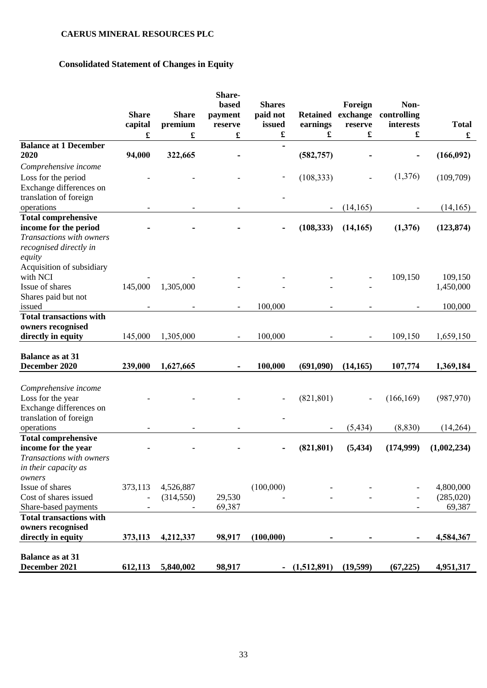## <span id="page-32-0"></span>**Consolidated Statement of Changes in Equity**

|                                          | <b>Share</b><br>capital<br>£ | <b>Share</b><br>premium<br>£ | Share-<br>based<br>payment<br>reserve<br>£ | <b>Shares</b><br>paid not<br>issued<br>$\pmb{\mathfrak{L}}$ | <b>Retained</b><br>earnings<br>£ | Foreign<br>exchange<br>reserve<br>£ | Non-<br>controlling<br>interests<br>£ | <b>Total</b><br>£ |
|------------------------------------------|------------------------------|------------------------------|--------------------------------------------|-------------------------------------------------------------|----------------------------------|-------------------------------------|---------------------------------------|-------------------|
| <b>Balance at 1 December</b>             |                              |                              |                                            |                                                             |                                  |                                     |                                       |                   |
| 2020                                     | 94,000                       | 322,665                      |                                            |                                                             | (582, 757)                       |                                     |                                       | (166,092)         |
| Comprehensive income                     |                              |                              |                                            |                                                             |                                  |                                     |                                       |                   |
| Loss for the period                      |                              |                              |                                            |                                                             | (108, 333)                       |                                     | (1,376)                               | (109,709)         |
| Exchange differences on                  |                              |                              |                                            |                                                             |                                  |                                     |                                       |                   |
| translation of foreign                   |                              |                              |                                            |                                                             |                                  |                                     |                                       |                   |
| operations                               |                              |                              |                                            |                                                             |                                  | (14,165)                            |                                       | (14, 165)         |
| <b>Total comprehensive</b>               |                              |                              |                                            |                                                             |                                  |                                     |                                       |                   |
| income for the period                    |                              |                              |                                            |                                                             | (108, 333)                       | (14, 165)                           | (1,376)                               | (123, 874)        |
| Transactions with owners                 |                              |                              |                                            |                                                             |                                  |                                     |                                       |                   |
| recognised directly in                   |                              |                              |                                            |                                                             |                                  |                                     |                                       |                   |
| equity                                   |                              |                              |                                            |                                                             |                                  |                                     |                                       |                   |
| Acquisition of subsidiary                |                              |                              |                                            |                                                             |                                  |                                     |                                       |                   |
| with NCI                                 |                              |                              |                                            |                                                             |                                  |                                     | 109,150                               | 109,150           |
| Issue of shares                          | 145,000                      | 1,305,000                    |                                            |                                                             |                                  |                                     |                                       | 1,450,000         |
| Shares paid but not                      |                              |                              |                                            |                                                             |                                  |                                     |                                       |                   |
| issued                                   |                              |                              |                                            | 100,000                                                     |                                  |                                     |                                       | 100,000           |
| <b>Total transactions with</b>           |                              |                              |                                            |                                                             |                                  |                                     |                                       |                   |
| owners recognised                        |                              |                              |                                            |                                                             |                                  |                                     |                                       |                   |
| directly in equity                       | 145,000                      | 1,305,000                    |                                            | 100,000                                                     |                                  |                                     | 109,150                               | 1,659,150         |
| <b>Balance as at 31</b><br>December 2020 | 239,000                      | 1,627,665                    |                                            | 100,000                                                     | (691,090)                        | (14, 165)                           | 107,774                               | 1,369,184         |
|                                          |                              |                              |                                            |                                                             |                                  |                                     |                                       |                   |
| Comprehensive income                     |                              |                              |                                            |                                                             |                                  |                                     |                                       |                   |
| Loss for the year                        |                              |                              |                                            |                                                             | (821, 801)                       |                                     | (166, 169)                            | (987, 970)        |
| Exchange differences on                  |                              |                              |                                            |                                                             |                                  |                                     |                                       |                   |
| translation of foreign                   |                              |                              |                                            |                                                             |                                  |                                     |                                       |                   |
| operations                               |                              |                              |                                            |                                                             |                                  | (5, 434)                            | (8, 830)                              | (14,264)          |
| <b>Total comprehensive</b>               |                              |                              |                                            |                                                             |                                  |                                     |                                       |                   |
| income for the year                      |                              |                              |                                            |                                                             | (821, 801)                       | (5, 434)                            | (174,999)                             | (1,002,234)       |
| Transactions with owners                 |                              |                              |                                            |                                                             |                                  |                                     |                                       |                   |
| in their capacity as                     |                              |                              |                                            |                                                             |                                  |                                     |                                       |                   |
| owners                                   |                              |                              |                                            |                                                             |                                  |                                     |                                       |                   |
| Issue of shares                          | 373,113                      | 4,526,887                    |                                            | (100,000)                                                   |                                  |                                     |                                       | 4,800,000         |
| Cost of shares issued                    | $\overline{\phantom{a}}$     | (314, 550)                   | 29,530                                     |                                                             |                                  |                                     |                                       | (285,020)         |
| Share-based payments                     |                              |                              | 69,387                                     |                                                             |                                  |                                     |                                       | 69,387            |
| <b>Total transactions with</b>           |                              |                              |                                            |                                                             |                                  |                                     |                                       |                   |
| owners recognised                        |                              |                              |                                            |                                                             |                                  |                                     |                                       |                   |
| directly in equity                       | 373,113                      | 4,212,337                    | 98,917                                     | (100,000)                                                   |                                  |                                     |                                       | 4,584,367         |
|                                          |                              |                              |                                            |                                                             |                                  |                                     |                                       |                   |
| <b>Balance as at 31</b><br>December 2021 | 612,113                      | 5,840,002                    | 98,917                                     |                                                             | (1,512,891)                      | (19,599)                            | (67, 225)                             | 4,951,317         |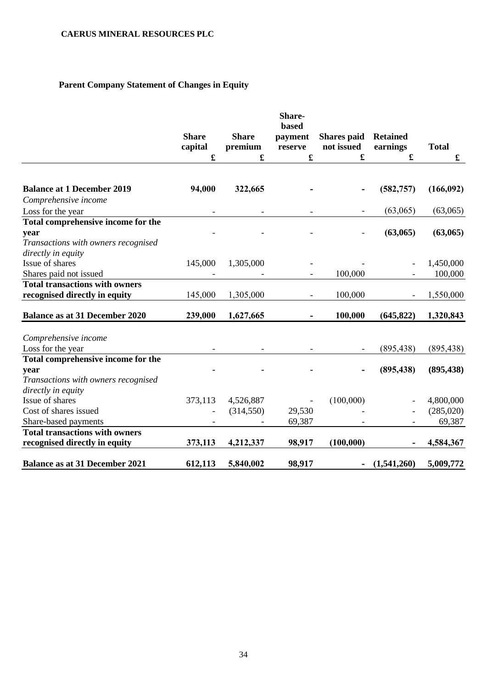## <span id="page-33-0"></span>**Parent Company Statement of Changes in Equity**

|                                       |                          |              | Share-<br><b>based</b> |                                    |                 |                      |
|---------------------------------------|--------------------------|--------------|------------------------|------------------------------------|-----------------|----------------------|
|                                       | <b>Share</b>             | <b>Share</b> | payment                | <b>Shares</b> paid                 | <b>Retained</b> |                      |
|                                       | capital<br>$\mathbf f$   | premium      | reserve                | not issued<br>$\pmb{\mathfrak{L}}$ | earnings<br>£   | <b>Total</b>         |
|                                       |                          | £            | £                      |                                    |                 | $\pmb{\mathfrak{L}}$ |
| <b>Balance at 1 December 2019</b>     | 94,000                   | 322,665      |                        | $\overline{\phantom{a}}$           | (582, 757)      | (166,092)            |
| Comprehensive income                  |                          |              |                        |                                    |                 |                      |
| Loss for the year                     |                          |              |                        |                                    | (63,065)        | (63,065)             |
| Total comprehensive income for the    |                          |              |                        |                                    |                 |                      |
| year                                  |                          |              |                        | $\overline{\phantom{a}}$           | (63,065)        | (63,065)             |
| Transactions with owners recognised   |                          |              |                        |                                    |                 |                      |
| directly in equity                    |                          |              |                        |                                    |                 |                      |
| Issue of shares                       | 145,000                  | 1,305,000    |                        |                                    |                 | 1,450,000            |
| Shares paid not issued                |                          |              |                        | 100,000                            |                 | 100,000              |
| <b>Total transactions with owners</b> |                          |              |                        |                                    |                 |                      |
| recognised directly in equity         | 145,000                  | 1,305,000    |                        | 100,000                            |                 | 1,550,000            |
| <b>Balance as at 31 December 2020</b> | 239,000                  | 1,627,665    |                        | 100,000                            | (645, 822)      | 1,320,843            |
| Comprehensive income                  |                          |              |                        |                                    |                 |                      |
| Loss for the year                     |                          |              |                        |                                    | (895, 438)      | (895, 438)           |
| Total comprehensive income for the    |                          |              |                        |                                    |                 |                      |
| year                                  |                          |              |                        |                                    | (895, 438)      | (895, 438)           |
| Transactions with owners recognised   |                          |              |                        |                                    |                 |                      |
| directly in equity                    |                          |              |                        |                                    |                 |                      |
| Issue of shares                       | 373,113                  | 4,526,887    |                        | (100,000)                          |                 | 4,800,000            |
| Cost of shares issued                 | $\overline{\phantom{0}}$ | (314, 550)   | 29,530                 |                                    |                 | (285,020)            |
| Share-based payments                  |                          |              | 69,387                 |                                    |                 | 69,387               |
| <b>Total transactions with owners</b> |                          |              |                        |                                    |                 |                      |
| recognised directly in equity         | 373,113                  | 4,212,337    | 98,917                 | (100,000)                          |                 | 4,584,367            |
| <b>Balance as at 31 December 2021</b> | 612,113                  | 5,840,002    | 98,917                 | $\blacksquare$                     | (1,541,260)     | 5,009,772            |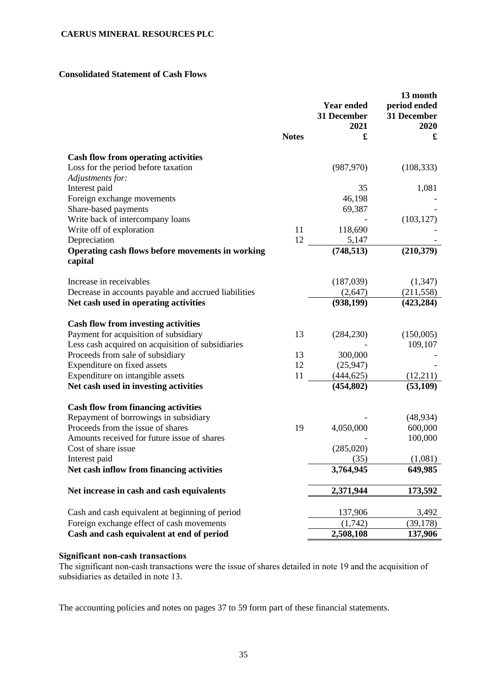### <span id="page-34-0"></span>**Consolidated Statement of Cash Flows**

|                                                      |              | <b>Year ended</b><br>31 December<br>2021 | 13 month<br>period ended<br>31 December<br>2020 |
|------------------------------------------------------|--------------|------------------------------------------|-------------------------------------------------|
|                                                      | <b>Notes</b> | £                                        | £                                               |
| <b>Cash flow from operating activities</b>           |              |                                          |                                                 |
| Loss for the period before taxation                  |              | (987, 970)                               | (108, 333)                                      |
| Adjustments for:                                     |              |                                          |                                                 |
| Interest paid                                        |              | 35                                       | 1,081                                           |
| Foreign exchange movements                           |              | 46,198                                   |                                                 |
| Share-based payments                                 |              | 69,387                                   |                                                 |
| Write back of intercompany loans                     |              |                                          | (103, 127)                                      |
| Write off of exploration                             | 11           | 118,690                                  |                                                 |
| Depreciation                                         | 12           | 5,147                                    |                                                 |
| Operating cash flows before movements in working     |              | (748, 513)                               | (210,379)                                       |
| capital                                              |              |                                          |                                                 |
| Increase in receivables                              |              | (187,039)                                | (1, 347)                                        |
| Decrease in accounts payable and accrued liabilities |              | (2,647)                                  | (211, 558)                                      |
| Net cash used in operating activities                |              | (938, 199)                               | (423, 284)                                      |
| <b>Cash flow from investing activities</b>           |              |                                          |                                                 |
| Payment for acquisition of subsidiary                | 13           | (284, 230)                               | (150,005)                                       |
| Less cash acquired on acquisition of subsidiaries    |              |                                          | 109,107                                         |
| Proceeds from sale of subsidiary                     | 13           | 300,000                                  |                                                 |
| Expenditure on fixed assets                          | 12           | (25, 947)                                |                                                 |
| Expenditure on intangible assets                     | 11           | (444, 625)                               | (12,211)                                        |
| Net cash used in investing activities                |              | (454, 802)                               | (53,109)                                        |
| <b>Cash flow from financing activities</b>           |              |                                          |                                                 |
| Repayment of borrowings in subsidiary                |              |                                          | (48, 934)                                       |
| Proceeds from the issue of shares                    | 19           | 4,050,000                                | 600,000                                         |
| Amounts received for future issue of shares          |              |                                          | 100,000                                         |
| Cost of share issue                                  |              | (285,020)                                |                                                 |
| Interest paid                                        |              | (35)                                     | (1,081)                                         |
| Net cash inflow from financing activities            |              | 3,764,945                                | 649,985                                         |
| Net increase in cash and cash equivalents            |              | 2,371,944                                | 173,592                                         |
|                                                      |              |                                          |                                                 |
| Cash and cash equivalent at beginning of period      |              | 137,906                                  | 3,492                                           |
| Foreign exchange effect of cash movements            |              | (1,742)                                  | (39, 178)                                       |
| Cash and cash equivalent at end of period            |              | 2,508,108                                | 137,906                                         |

### **Significant non-cash transactions**

The significant non-cash transactions were the issue of shares detailed in note 19 and the acquisition of subsidiaries as detailed in note 13.

The accounting policies and notes on pages 37 to 59 form part of these financial statements.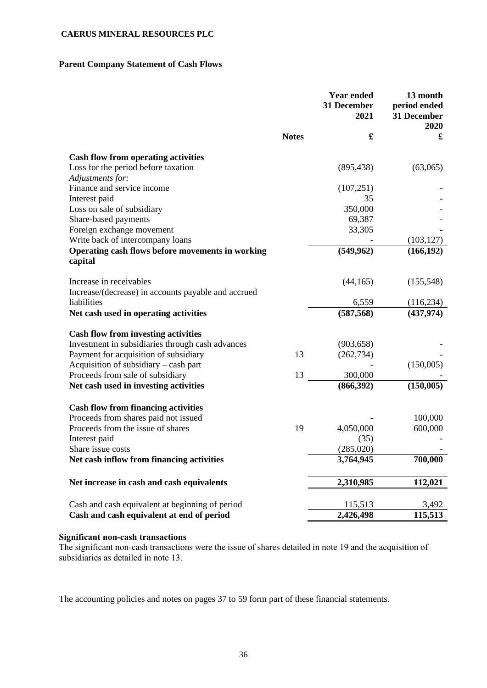### <span id="page-35-0"></span>**Parent Company Statement of Cash Flows**

|                                                             |              | <b>Year ended</b><br>31 December<br>2021 | 13 month<br>period ended<br>31 December<br>2020 |
|-------------------------------------------------------------|--------------|------------------------------------------|-------------------------------------------------|
|                                                             | <b>Notes</b> | £                                        | £                                               |
| <b>Cash flow from operating activities</b>                  |              |                                          |                                                 |
| Loss for the period before taxation                         |              | (895, 438)                               | (63,065)                                        |
| Adjustments for:                                            |              |                                          |                                                 |
| Finance and service income                                  |              | (107, 251)                               |                                                 |
| Interest paid                                               |              | 35                                       |                                                 |
| Loss on sale of subsidiary                                  |              | 350,000                                  |                                                 |
| Share-based payments                                        |              | 69,387                                   |                                                 |
| Foreign exchange movement                                   |              | 33,305                                   |                                                 |
| Write back of intercompany loans                            |              |                                          | (103, 127)                                      |
| Operating cash flows before movements in working<br>capital |              | (549, 962)                               | (166, 192)                                      |
|                                                             |              |                                          |                                                 |
| Increase in receivables                                     |              | (44, 165)                                | (155,548)                                       |
| Increase/(decrease) in accounts payable and accrued         |              |                                          |                                                 |
| liabilities                                                 |              | 6,559                                    | (116, 234)                                      |
| Net cash used in operating activities                       |              | (587, 568)                               | (437, 974)                                      |
| <b>Cash flow from investing activities</b>                  |              |                                          |                                                 |
| Investment in subsidiaries through cash advances            |              | (903, 658)                               |                                                 |
| Payment for acquisition of subsidiary                       | 13           | (262, 734)                               |                                                 |
| Acquisition of subsidiary – cash part                       |              |                                          | (150,005)                                       |
| Proceeds from sale of subsidiary                            | 13           | 300,000                                  |                                                 |
| Net cash used in investing activities                       |              | (866, 392)                               | (150,005)                                       |
|                                                             |              |                                          |                                                 |
| <b>Cash flow from financing activities</b>                  |              |                                          |                                                 |
| Proceeds from shares paid not issued                        |              |                                          | 100,000                                         |
| Proceeds from the issue of shares                           | 19           | 4,050,000                                | 600,000                                         |
| Interest paid<br>Share issue costs                          |              | (35)<br>(285,020)                        |                                                 |
|                                                             |              |                                          |                                                 |
| Net cash inflow from financing activities                   |              | 3,764,945                                | 700,000                                         |
| Net increase in cash and cash equivalents                   |              | 2,310,985                                | 112,021                                         |
|                                                             |              |                                          |                                                 |
| Cash and cash equivalent at beginning of period             |              | 115,513                                  | 3,492                                           |
| Cash and cash equivalent at end of period                   |              | 2,426,498                                | 115,513                                         |

### **Significant non-cash transactions**

The significant non-cash transactions were the issue of shares detailed in note 19 and the acquisition of subsidiaries as detailed in note 13.

The accounting policies and notes on pages 37 to 59 form part of these financial statements.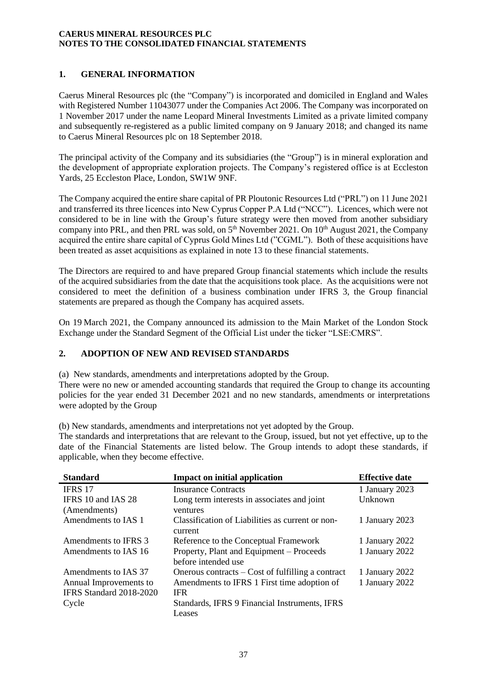### **1. GENERAL INFORMATION**

Caerus Mineral Resources plc (the "Company") is incorporated and domiciled in England and Wales with Registered Number 11043077 under the Companies Act 2006. The Company was incorporated on 1 November 2017 under the name Leopard Mineral Investments Limited as a private limited company and subsequently re-registered as a public limited company on 9 January 2018; and changed its name to Caerus Mineral Resources plc on 18 September 2018.

The principal activity of the Company and its subsidiaries (the "Group") is in mineral exploration and the development of appropriate exploration projects. The Company's registered office is at Eccleston Yards, 25 Eccleston Place, London, SW1W 9NF.

The Company acquired the entire share capital of PR Ploutonic Resources Ltd ("PRL") on 11 June 2021 and transferred its three licences into New Cyprus Copper P.A Ltd ("NCC"). Licences, which were not considered to be in line with the Group's future strategy were then moved from another subsidiary company into PRL, and then PRL was sold, on 5<sup>th</sup> November 2021. On 10<sup>th</sup> August 2021, the Company acquired the entire share capital of Cyprus Gold Mines Ltd ("CGML"). Both of these acquisitions have been treated as asset acquisitions as explained in note 13 to these financial statements.

The Directors are required to and have prepared Group financial statements which include the results of the acquired subsidiaries from the date that the acquisitions took place. As the acquisitions were not considered to meet the definition of a business combination under IFRS 3, the Group financial statements are prepared as though the Company has acquired assets.

On 19 March 2021, the Company announced its admission to the Main Market of the London Stock Exchange under the Standard Segment of the Official List under the ticker "LSE:CMRS".

### **2. ADOPTION OF NEW AND REVISED STANDARDS**

(a) New standards, amendments and interpretations adopted by the Group.

There were no new or amended accounting standards that required the Group to change its accounting policies for the year ended 31 December 2021 and no new standards, amendments or interpretations were adopted by the Group

(b) New standards, amendments and interpretations not yet adopted by the Group.

The standards and interpretations that are relevant to the Group, issued, but not yet effective, up to the date of the Financial Statements are listed below. The Group intends to adopt these standards, if applicable, when they become effective.

| <b>Standard</b>         | <b>Impact on initial application</b>                            | <b>Effective date</b> |
|-------------------------|-----------------------------------------------------------------|-----------------------|
| <b>IFRS 17</b>          | <b>Insurance Contracts</b>                                      | 1 January 2023        |
| IFRS 10 and IAS 28      | Long term interests in associates and joint                     | Unknown               |
| (Amendments)            | ventures                                                        |                       |
| Amendments to IAS 1     | Classification of Liabilities as current or non-<br>current     | 1 January 2023        |
| Amendments to IFRS 3    | Reference to the Conceptual Framework                           | 1 January 2022        |
| Amendments to IAS 16    | Property, Plant and Equipment – Proceeds<br>before intended use | 1 January 2022        |
| Amendments to IAS 37    | Onerous contracts $-$ Cost of fulfilling a contract             | 1 January 2022        |
| Annual Improvements to  | Amendments to IFRS 1 First time adoption of                     | 1 January 2022        |
| IFRS Standard 2018-2020 | <b>IFR</b>                                                      |                       |
| Cycle                   | Standards, IFRS 9 Financial Instruments, IFRS                   |                       |
|                         | Leases                                                          |                       |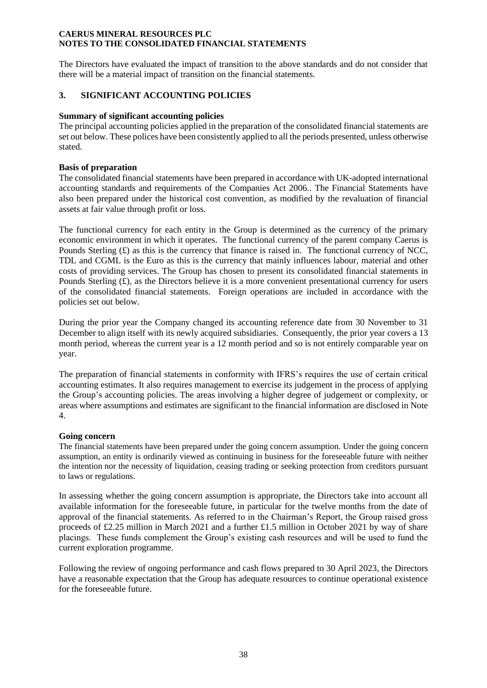The Directors have evaluated the impact of transition to the above standards and do not consider that there will be a material impact of transition on the financial statements.

### **3. SIGNIFICANT ACCOUNTING POLICIES**

### **Summary of significant accounting policies**

The principal accounting policies applied in the preparation of the consolidated financial statements are set out below. These polices have been consistently applied to all the periods presented, unless otherwise stated.

### **Basis of preparation**

The consolidated financial statements have been prepared in accordance with UK-adopted international accounting standards and requirements of the Companies Act 2006.. The Financial Statements have also been prepared under the historical cost convention, as modified by the revaluation of financial assets at fair value through profit or loss.

The functional currency for each entity in the Group is determined as the currency of the primary economic environment in which it operates. The functional currency of the parent company Caerus is Pounds Sterling (£) as this is the currency that finance is raised in. The functional currency of NCC, TDL and CGML is the Euro as this is the currency that mainly influences labour, material and other costs of providing services. The Group has chosen to present its consolidated financial statements in Pounds Sterling (£), as the Directors believe it is a more convenient presentational currency for users of the consolidated financial statements. Foreign operations are included in accordance with the policies set out below.

During the prior year the Company changed its accounting reference date from 30 November to 31 December to align itself with its newly acquired subsidiaries. Consequently, the prior year covers a 13 month period, whereas the current year is a 12 month period and so is not entirely comparable year on year.

The preparation of financial statements in conformity with IFRS's requires the use of certain critical accounting estimates. It also requires management to exercise its judgement in the process of applying the Group's accounting policies. The areas involving a higher degree of judgement or complexity, or areas where assumptions and estimates are significant to the financial information are disclosed in Note 4.

### **Going concern**

The financial statements have been prepared under the going concern assumption. Under the going concern assumption, an entity is ordinarily viewed as continuing in business for the foreseeable future with neither the intention nor the necessity of liquidation, ceasing trading or seeking protection from creditors pursuant to laws or regulations.

In assessing whether the going concern assumption is appropriate, the Directors take into account all available information for the foreseeable future, in particular for the twelve months from the date of approval of the financial statements. As referred to in the Chairman's Report, the Group raised gross proceeds of £2.25 million in March 2021 and a further £1.5 million in October 2021 by way of share placings. These funds complement the Group's existing cash resources and will be used to fund the current exploration programme.

Following the review of ongoing performance and cash flows prepared to 30 April 2023, the Directors have a reasonable expectation that the Group has adequate resources to continue operational existence for the foreseeable future.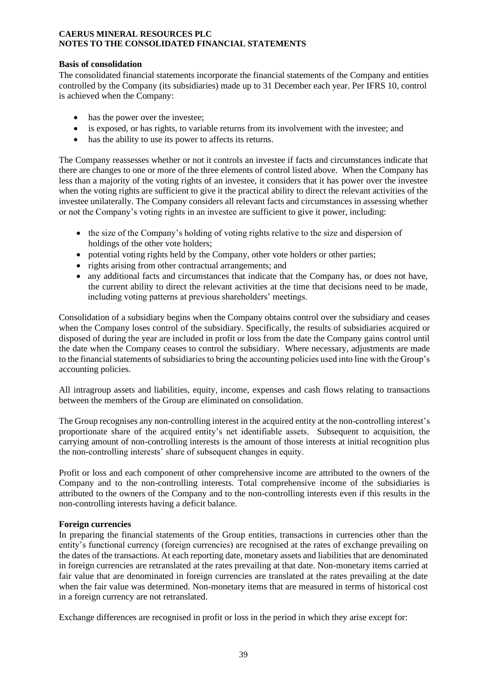### **Basis of consolidation**

The consolidated financial statements incorporate the financial statements of the Company and entities controlled by the Company (its subsidiaries) made up to 31 December each year. Per IFRS 10, control is achieved when the Company:

- has the power over the investee;
- is exposed, or has rights, to variable returns from its involvement with the investee; and
- has the ability to use its power to affects its returns.

The Company reassesses whether or not it controls an investee if facts and circumstances indicate that there are changes to one or more of the three elements of control listed above. When the Company has less than a majority of the voting rights of an investee, it considers that it has power over the investee when the voting rights are sufficient to give it the practical ability to direct the relevant activities of the investee unilaterally. The Company considers all relevant facts and circumstances in assessing whether or not the Company's voting rights in an investee are sufficient to give it power, including:

- the size of the Company's holding of voting rights relative to the size and dispersion of holdings of the other vote holders;
- potential voting rights held by the Company, other vote holders or other parties;
- rights arising from other contractual arrangements; and
- any additional facts and circumstances that indicate that the Company has, or does not have, the current ability to direct the relevant activities at the time that decisions need to be made, including voting patterns at previous shareholders' meetings.

Consolidation of a subsidiary begins when the Company obtains control over the subsidiary and ceases when the Company loses control of the subsidiary. Specifically, the results of subsidiaries acquired or disposed of during the year are included in profit or loss from the date the Company gains control until the date when the Company ceases to control the subsidiary. Where necessary, adjustments are made to the financial statements of subsidiaries to bring the accounting policies used into line with the Group's accounting policies.

All intragroup assets and liabilities, equity, income, expenses and cash flows relating to transactions between the members of the Group are eliminated on consolidation.

The Group recognises any non-controlling interest in the acquired entity at the non-controlling interest's proportionate share of the acquired entity's net identifiable assets. Subsequent to acquisition, the carrying amount of non-controlling interests is the amount of those interests at initial recognition plus the non-controlling interests' share of subsequent changes in equity.

Profit or loss and each component of other comprehensive income are attributed to the owners of the Company and to the non-controlling interests. Total comprehensive income of the subsidiaries is attributed to the owners of the Company and to the non-controlling interests even if this results in the non-controlling interests having a deficit balance.

### **Foreign currencies**

In preparing the financial statements of the Group entities, transactions in currencies other than the entity's functional currency (foreign currencies) are recognised at the rates of exchange prevailing on the dates of the transactions. At each reporting date, monetary assets and liabilities that are denominated in foreign currencies are retranslated at the rates prevailing at that date. Non-monetary items carried at fair value that are denominated in foreign currencies are translated at the rates prevailing at the date when the fair value was determined. Non-monetary items that are measured in terms of historical cost in a foreign currency are not retranslated.

Exchange differences are recognised in profit or loss in the period in which they arise except for: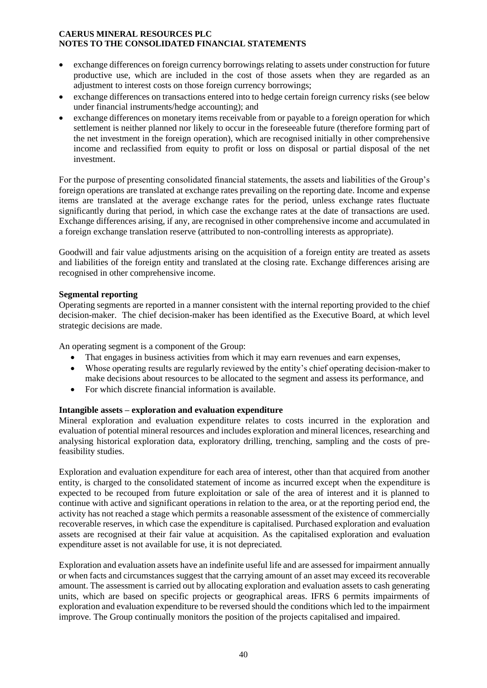- exchange differences on foreign currency borrowings relating to assets under construction for future productive use, which are included in the cost of those assets when they are regarded as an adjustment to interest costs on those foreign currency borrowings;
- exchange differences on transactions entered into to hedge certain foreign currency risks (see below under financial instruments/hedge accounting); and
- exchange differences on monetary items receivable from or payable to a foreign operation for which settlement is neither planned nor likely to occur in the foreseeable future (therefore forming part of the net investment in the foreign operation), which are recognised initially in other comprehensive income and reclassified from equity to profit or loss on disposal or partial disposal of the net investment.

For the purpose of presenting consolidated financial statements, the assets and liabilities of the Group's foreign operations are translated at exchange rates prevailing on the reporting date. Income and expense items are translated at the average exchange rates for the period, unless exchange rates fluctuate significantly during that period, in which case the exchange rates at the date of transactions are used. Exchange differences arising, if any, are recognised in other comprehensive income and accumulated in a foreign exchange translation reserve (attributed to non-controlling interests as appropriate).

Goodwill and fair value adjustments arising on the acquisition of a foreign entity are treated as assets and liabilities of the foreign entity and translated at the closing rate. Exchange differences arising are recognised in other comprehensive income.

### **Segmental reporting**

Operating segments are reported in a manner consistent with the internal reporting provided to the chief decision-maker. The chief decision-maker has been identified as the Executive Board, at which level strategic decisions are made.

An operating segment is a component of the Group:

- That engages in business activities from which it may earn revenues and earn expenses,
- Whose operating results are regularly reviewed by the entity's chief operating decision-maker to make decisions about resources to be allocated to the segment and assess its performance, and
- For which discrete financial information is available.

### **Intangible assets – exploration and evaluation expenditure**

Mineral exploration and evaluation expenditure relates to costs incurred in the exploration and evaluation of potential mineral resources and includes exploration and mineral licences, researching and analysing historical exploration data, exploratory drilling, trenching, sampling and the costs of prefeasibility studies.

Exploration and evaluation expenditure for each area of interest, other than that acquired from another entity, is charged to the consolidated statement of income as incurred except when the expenditure is expected to be recouped from future exploitation or sale of the area of interest and it is planned to continue with active and significant operations in relation to the area, or at the reporting period end, the activity has not reached a stage which permits a reasonable assessment of the existence of commercially recoverable reserves, in which case the expenditure is capitalised. Purchased exploration and evaluation assets are recognised at their fair value at acquisition. As the capitalised exploration and evaluation expenditure asset is not available for use, it is not depreciated.

Exploration and evaluation assets have an indefinite useful life and are assessed for impairment annually or when facts and circumstances suggest that the carrying amount of an asset may exceed its recoverable amount. The assessment is carried out by allocating exploration and evaluation assets to cash generating units, which are based on specific projects or geographical areas. IFRS 6 permits impairments of exploration and evaluation expenditure to be reversed should the conditions which led to the impairment improve. The Group continually monitors the position of the projects capitalised and impaired.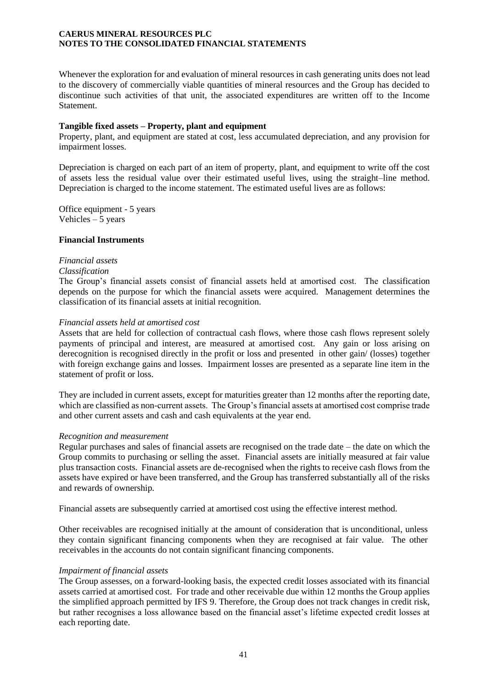Whenever the exploration for and evaluation of mineral resources in cash generating units does not lead to the discovery of commercially viable quantities of mineral resources and the Group has decided to discontinue such activities of that unit, the associated expenditures are written off to the Income Statement.

### **Tangible fixed assets – Property, plant and equipment**

Property, plant, and equipment are stated at cost, less accumulated depreciation, and any provision for impairment losses.

Depreciation is charged on each part of an item of property, plant, and equipment to write off the cost of assets less the residual value over their estimated useful lives, using the straight–line method. Depreciation is charged to the income statement. The estimated useful lives are as follows:

Office equipment - 5 years Vehicles  $-5$  years

### **Financial Instruments**

### *Financial assets*

### *Classification*

The Group's financial assets consist of financial assets held at amortised cost. The classification depends on the purpose for which the financial assets were acquired. Management determines the classification of its financial assets at initial recognition.

### *Financial assets held at amortised cost*

Assets that are held for collection of contractual cash flows, where those cash flows represent solely payments of principal and interest, are measured at amortised cost. Any gain or loss arising on derecognition is recognised directly in the profit or loss and presented in other gain/ (losses) together with foreign exchange gains and losses. Impairment losses are presented as a separate line item in the statement of profit or loss.

They are included in current assets, except for maturities greater than 12 months after the reporting date, which are classified as non-current assets. The Group's financial assets at amortised cost comprise trade and other current assets and cash and cash equivalents at the year end.

### *Recognition and measurement*

Regular purchases and sales of financial assets are recognised on the trade date – the date on which the Group commits to purchasing or selling the asset. Financial assets are initially measured at fair value plus transaction costs. Financial assets are de-recognised when the rights to receive cash flows from the assets have expired or have been transferred, and the Group has transferred substantially all of the risks and rewards of ownership.

Financial assets are subsequently carried at amortised cost using the effective interest method.

Other receivables are recognised initially at the amount of consideration that is unconditional, unless they contain significant financing components when they are recognised at fair value. The other receivables in the accounts do not contain significant financing components.

### *Impairment of financial assets*

The Group assesses, on a forward-looking basis, the expected credit losses associated with its financial assets carried at amortised cost. For trade and other receivable due within 12 months the Group applies the simplified approach permitted by IFS 9. Therefore, the Group does not track changes in credit risk, but rather recognises a loss allowance based on the financial asset's lifetime expected credit losses at each reporting date.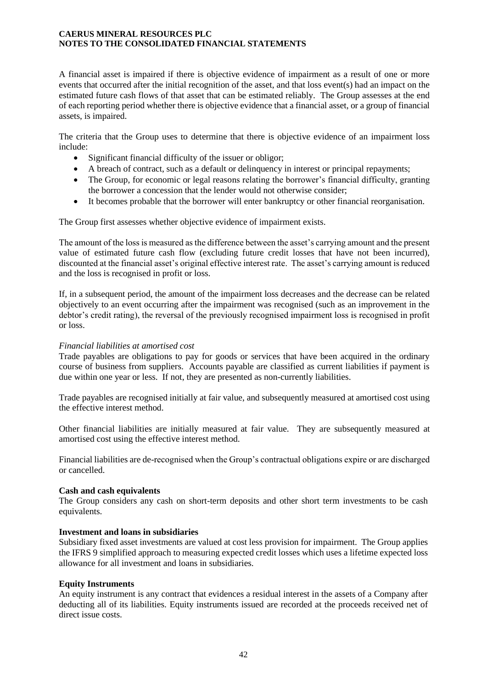A financial asset is impaired if there is objective evidence of impairment as a result of one or more events that occurred after the initial recognition of the asset, and that loss event(s) had an impact on the estimated future cash flows of that asset that can be estimated reliably. The Group assesses at the end of each reporting period whether there is objective evidence that a financial asset, or a group of financial assets, is impaired.

The criteria that the Group uses to determine that there is objective evidence of an impairment loss include:

- Significant financial difficulty of the issuer or obligor;
- A breach of contract, such as a default or delinquency in interest or principal repayments;
- The Group, for economic or legal reasons relating the borrower's financial difficulty, granting the borrower a concession that the lender would not otherwise consider;
- It becomes probable that the borrower will enter bankruptcy or other financial reorganisation.

The Group first assesses whether objective evidence of impairment exists.

The amount of the loss is measured as the difference between the asset's carrying amount and the present value of estimated future cash flow (excluding future credit losses that have not been incurred), discounted at the financial asset's original effective interest rate. The asset's carrying amount is reduced and the loss is recognised in profit or loss.

If, in a subsequent period, the amount of the impairment loss decreases and the decrease can be related objectively to an event occurring after the impairment was recognised (such as an improvement in the debtor's credit rating), the reversal of the previously recognised impairment loss is recognised in profit or loss.

### *Financial liabilities at amortised cost*

Trade payables are obligations to pay for goods or services that have been acquired in the ordinary course of business from suppliers. Accounts payable are classified as current liabilities if payment is due within one year or less. If not, they are presented as non-currently liabilities.

Trade payables are recognised initially at fair value, and subsequently measured at amortised cost using the effective interest method.

Other financial liabilities are initially measured at fair value. They are subsequently measured at amortised cost using the effective interest method.

Financial liabilities are de-recognised when the Group's contractual obligations expire or are discharged or cancelled.

### **Cash and cash equivalents**

The Group considers any cash on short-term deposits and other short term investments to be cash equivalents.

### **Investment and loans in subsidiaries**

Subsidiary fixed asset investments are valued at cost less provision for impairment. The Group applies the IFRS 9 simplified approach to measuring expected credit losses which uses a lifetime expected loss allowance for all investment and loans in subsidiaries.

### **Equity Instruments**

An equity instrument is any contract that evidences a residual interest in the assets of a Company after deducting all of its liabilities. Equity instruments issued are recorded at the proceeds received net of direct issue costs.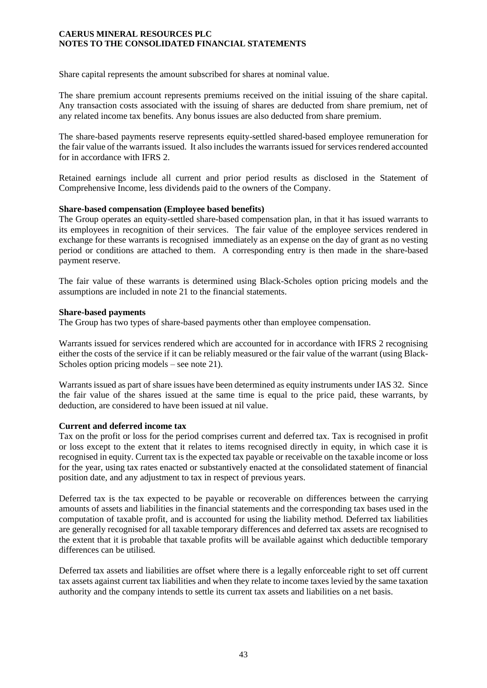Share capital represents the amount subscribed for shares at nominal value.

The share premium account represents premiums received on the initial issuing of the share capital. Any transaction costs associated with the issuing of shares are deducted from share premium, net of any related income tax benefits. Any bonus issues are also deducted from share premium.

The share-based payments reserve represents equity-settled shared-based employee remuneration for the fair value of the warrants issued. It also includes the warrants issued for services rendered accounted for in accordance with IFRS 2.

Retained earnings include all current and prior period results as disclosed in the Statement of Comprehensive Income, less dividends paid to the owners of the Company.

### **Share-based compensation (Employee based benefits)**

The Group operates an equity-settled share-based compensation plan, in that it has issued warrants to its employees in recognition of their services. The fair value of the employee services rendered in exchange for these warrants is recognised immediately as an expense on the day of grant as no vesting period or conditions are attached to them. A corresponding entry is then made in the share-based payment reserve.

The fair value of these warrants is determined using Black-Scholes option pricing models and the assumptions are included in note 21 to the financial statements.

### **Share-based payments**

The Group has two types of share-based payments other than employee compensation.

Warrants issued for services rendered which are accounted for in accordance with IFRS 2 recognising either the costs of the service if it can be reliably measured or the fair value of the warrant (using Black-Scholes option pricing models – see note 21).

Warrants issued as part of share issues have been determined as equity instruments under IAS 32. Since the fair value of the shares issued at the same time is equal to the price paid, these warrants, by deduction, are considered to have been issued at nil value.

### **Current and deferred income tax**

Tax on the profit or loss for the period comprises current and deferred tax. Tax is recognised in profit or loss except to the extent that it relates to items recognised directly in equity, in which case it is recognised in equity. Current tax is the expected tax payable or receivable on the taxable income or loss for the year, using tax rates enacted or substantively enacted at the consolidated statement of financial position date, and any adjustment to tax in respect of previous years.

Deferred tax is the tax expected to be payable or recoverable on differences between the carrying amounts of assets and liabilities in the financial statements and the corresponding tax bases used in the computation of taxable profit, and is accounted for using the liability method. Deferred tax liabilities are generally recognised for all taxable temporary differences and deferred tax assets are recognised to the extent that it is probable that taxable profits will be available against which deductible temporary differences can be utilised.

Deferred tax assets and liabilities are offset where there is a legally enforceable right to set off current tax assets against current tax liabilities and when they relate to income taxes levied by the same taxation authority and the company intends to settle its current tax assets and liabilities on a net basis.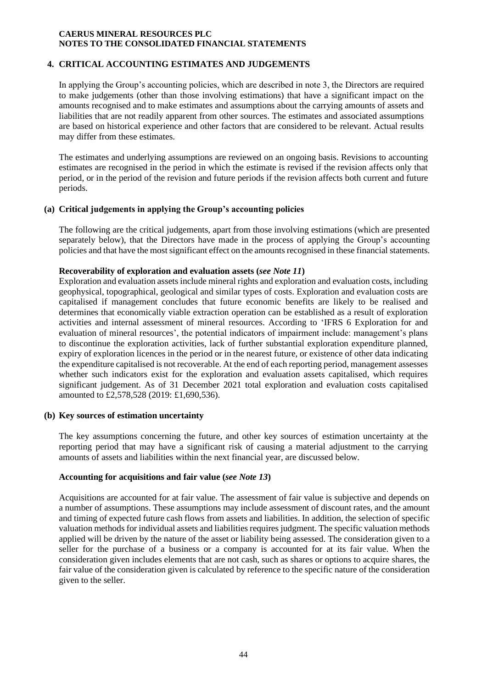### **4. CRITICAL ACCOUNTING ESTIMATES AND JUDGEMENTS**

In applying the Group's accounting policies, which are described in note 3, the Directors are required to make judgements (other than those involving estimations) that have a significant impact on the amounts recognised and to make estimates and assumptions about the carrying amounts of assets and liabilities that are not readily apparent from other sources. The estimates and associated assumptions are based on historical experience and other factors that are considered to be relevant. Actual results may differ from these estimates.

The estimates and underlying assumptions are reviewed on an ongoing basis. Revisions to accounting estimates are recognised in the period in which the estimate is revised if the revision affects only that period, or in the period of the revision and future periods if the revision affects both current and future periods.

### **(a) Critical judgements in applying the Group's accounting policies**

The following are the critical judgements, apart from those involving estimations (which are presented separately below), that the Directors have made in the process of applying the Group's accounting policies and that have the most significant effect on the amounts recognised in these financial statements.

### **Recoverability of exploration and evaluation assets (***see Note 11***)**

Exploration and evaluation assets include mineral rights and exploration and evaluation costs, including geophysical, topographical, geological and similar types of costs. Exploration and evaluation costs are capitalised if management concludes that future economic benefits are likely to be realised and determines that economically viable extraction operation can be established as a result of exploration activities and internal assessment of mineral resources. According to 'IFRS 6 Exploration for and evaluation of mineral resources', the potential indicators of impairment include: management's plans to discontinue the exploration activities, lack of further substantial exploration expenditure planned, expiry of exploration licences in the period or in the nearest future, or existence of other data indicating the expenditure capitalised is not recoverable. At the end of each reporting period, management assesses whether such indicators exist for the exploration and evaluation assets capitalised, which requires significant judgement. As of 31 December 2021 total exploration and evaluation costs capitalised amounted to £2,578,528 (2019: £1,690,536).

### **(b) Key sources of estimation uncertainty**

The key assumptions concerning the future, and other key sources of estimation uncertainty at the reporting period that may have a significant risk of causing a material adjustment to the carrying amounts of assets and liabilities within the next financial year, are discussed below.

### **Accounting for acquisitions and fair value (***see Note 13***)**

Acquisitions are accounted for at fair value. The assessment of fair value is subjective and depends on a number of assumptions. These assumptions may include assessment of discount rates, and the amount and timing of expected future cash flows from assets and liabilities. In addition, the selection of specific valuation methods for individual assets and liabilities requires judgment. The specific valuation methods applied will be driven by the nature of the asset or liability being assessed. The consideration given to a seller for the purchase of a business or a company is accounted for at its fair value. When the consideration given includes elements that are not cash, such as shares or options to acquire shares, the fair value of the consideration given is calculated by reference to the specific nature of the consideration given to the seller.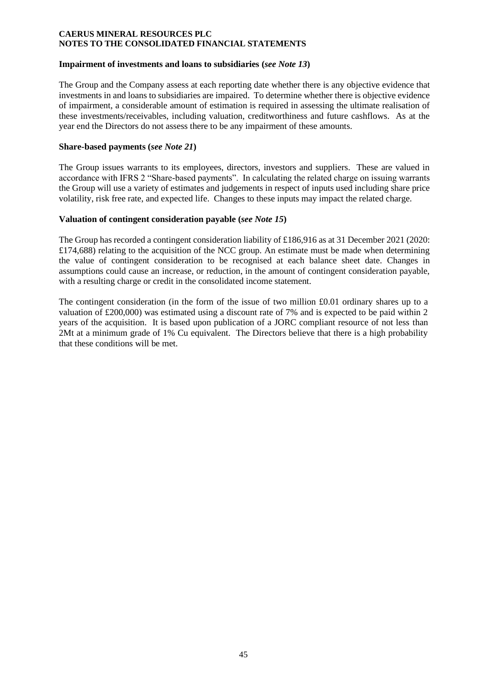### **Impairment of investments and loans to subsidiaries (***see Note 13***)**

The Group and the Company assess at each reporting date whether there is any objective evidence that investments in and loans to subsidiaries are impaired. To determine whether there is objective evidence of impairment, a considerable amount of estimation is required in assessing the ultimate realisation of these investments/receivables, including valuation, creditworthiness and future cashflows. As at the year end the Directors do not assess there to be any impairment of these amounts.

### **Share-based payments (***see Note 21***)**

The Group issues warrants to its employees, directors, investors and suppliers. These are valued in accordance with IFRS 2 "Share-based payments". In calculating the related charge on issuing warrants the Group will use a variety of estimates and judgements in respect of inputs used including share price volatility, risk free rate, and expected life. Changes to these inputs may impact the related charge.

### **Valuation of contingent consideration payable (***see Note 15***)**

The Group has recorded a contingent consideration liability of £186,916 as at 31 December 2021 (2020: £174,688) relating to the acquisition of the NCC group. An estimate must be made when determining the value of contingent consideration to be recognised at each balance sheet date. Changes in assumptions could cause an increase, or reduction, in the amount of contingent consideration payable, with a resulting charge or credit in the consolidated income statement.

The contingent consideration (in the form of the issue of two million  $\text{\pounds}0.01$  ordinary shares up to a valuation of £200,000) was estimated using a discount rate of 7% and is expected to be paid within 2 years of the acquisition. It is based upon publication of a JORC compliant resource of not less than 2Mt at a minimum grade of 1% Cu equivalent. The Directors believe that there is a high probability that these conditions will be met.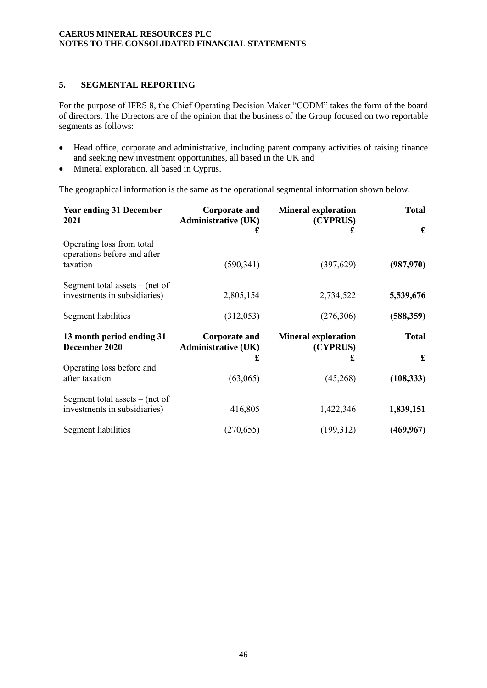### **5. SEGMENTAL REPORTING**

For the purpose of IFRS 8, the Chief Operating Decision Maker "CODM" takes the form of the board of directors. The Directors are of the opinion that the business of the Group focused on two reportable segments as follows:

- Head office, corporate and administrative, including parent company activities of raising finance and seeking new investment opportunities, all based in the UK and
- Mineral exploration, all based in Cyprus.

The geographical information is the same as the operational segmental information shown below.

| <b>Year ending 31 December</b><br>2021                               | <b>Corporate and</b><br><b>Administrative (UK)</b> | <b>Mineral exploration</b><br>(CYPRUS) | <b>Total</b> |
|----------------------------------------------------------------------|----------------------------------------------------|----------------------------------------|--------------|
|                                                                      | £                                                  | £                                      | £            |
| Operating loss from total<br>operations before and after<br>taxation | (590, 341)                                         | (397,629)                              | (987, 970)   |
| Segment total assets $-$ (net of<br>investments in subsidiaries)     | 2,805,154                                          | 2,734,522                              | 5,539,676    |
| Segment liabilities                                                  | (312,053)                                          | (276,306)                              | (588, 359)   |
| 13 month period ending 31<br>December 2020                           | <b>Corporate and</b><br><b>Administrative (UK)</b> | <b>Mineral exploration</b><br>(CYPRUS) | <b>Total</b> |
|                                                                      | £                                                  | £                                      | £            |
| Operating loss before and<br>after taxation                          | (63,065)                                           | (45,268)                               | (108, 333)   |
| Segment total assets $-$ (net of<br>investments in subsidiaries)     | 416,805                                            | 1,422,346                              | 1,839,151    |
| Segment liabilities                                                  | (270, 655)                                         | (199,312)                              | (469, 967)   |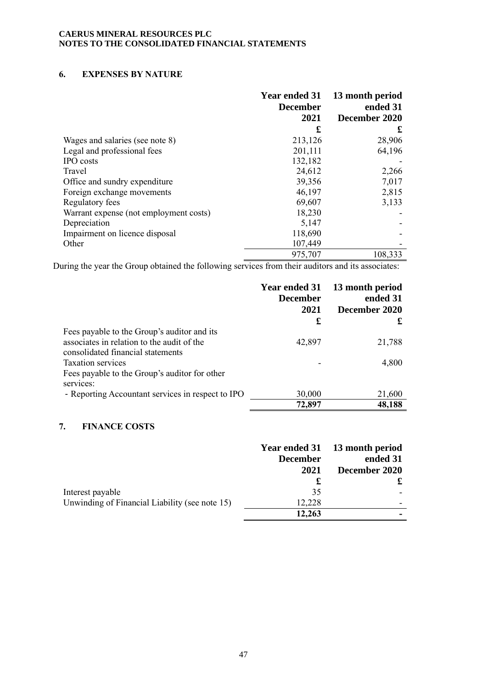### **6. EXPENSES BY NATURE**

|                                        | <b>Year ended 31</b><br><b>December</b> | 13 month period<br>ended 31 |
|----------------------------------------|-----------------------------------------|-----------------------------|
|                                        | 2021                                    | December 2020               |
|                                        | £                                       | £                           |
| Wages and salaries (see note 8)        | 213,126                                 | 28,906                      |
| Legal and professional fees            | 201,111                                 | 64,196                      |
| <b>IPO</b> costs                       | 132,182                                 |                             |
| Travel                                 | 24,612                                  | 2,266                       |
| Office and sundry expenditure          | 39,356                                  | 7,017                       |
| Foreign exchange movements             | 46,197                                  | 2,815                       |
| Regulatory fees                        | 69,607                                  | 3,133                       |
| Warrant expense (not employment costs) | 18,230                                  |                             |
| Depreciation                           | 5,147                                   |                             |
| Impairment on licence disposal         | 118,690                                 |                             |
| Other                                  | 107,449                                 |                             |
|                                        | 975,707                                 | 108,333                     |

During the year the Group obtained the following services from their auditors and its associates:

|                                                   | <b>Year ended 31</b> | 13 month period |
|---------------------------------------------------|----------------------|-----------------|
|                                                   | <b>December</b>      | ended 31        |
|                                                   | 2021                 | December 2020   |
|                                                   | £                    | x               |
| Fees payable to the Group's auditor and its       |                      |                 |
| associates in relation to the audit of the        | 42,897               | 21,788          |
| consolidated financial statements                 |                      |                 |
| Taxation services                                 |                      | 4,800           |
| Fees payable to the Group's auditor for other     |                      |                 |
| services:                                         |                      |                 |
| - Reporting Accountant services in respect to IPO | 30,000               | 21,600          |
|                                                   | 72,897               | 48,188          |

### **7. FINANCE COSTS**

|                                                |                 | Year ended 31 13 month period |
|------------------------------------------------|-----------------|-------------------------------|
|                                                | <b>December</b> | ended 31                      |
|                                                | 2021            | December 2020                 |
|                                                |                 |                               |
| Interest payable                               | 35              |                               |
| Unwinding of Financial Liability (see note 15) | 12,228          |                               |
|                                                | 12,263          |                               |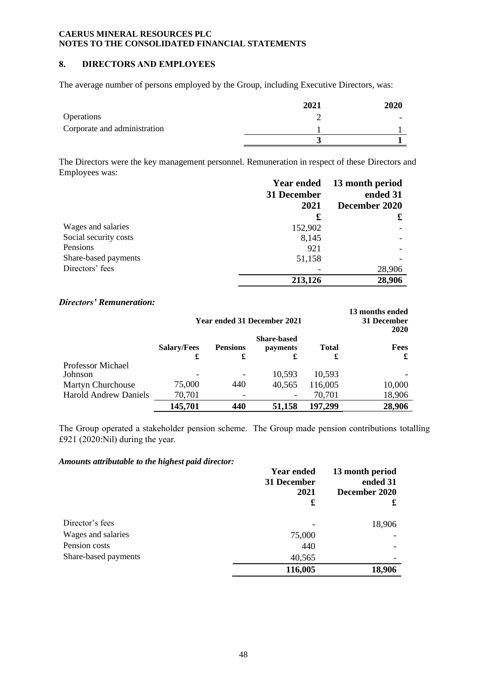### **8. DIRECTORS AND EMPLOYEES**

The average number of persons employed by the Group, including Executive Directors, was:

|                              | 2021 | 2020 |
|------------------------------|------|------|
| <b>Operations</b>            |      |      |
| Corporate and administration |      |      |
|                              |      |      |

The Directors were the key management personnel. Remuneration in respect of these Directors and Employees was:

|                       | <b>Year ended</b> | 13 month period |
|-----------------------|-------------------|-----------------|
|                       | 31 December       | ended 31        |
|                       | 2021              | December 2020   |
|                       | £                 | £               |
| Wages and salaries    | 152,902           |                 |
| Social security costs | 8,145             |                 |
| Pensions              | 921               |                 |
| Share-based payments  | 51,158            |                 |
| Directors' fees       |                   | 28,906          |
|                       | 213,126           | 28,906          |

### *Directors' Remuneration:*

| ouetions Remuneration.              | Year ended 31 December 2021 |                      |                                            |                   | 13 months ended<br>31 December<br>2020 |
|-------------------------------------|-----------------------------|----------------------|--------------------------------------------|-------------------|----------------------------------------|
|                                     | <b>Salary/Fees</b><br>£     | <b>Pensions</b><br>£ | <b>Share-based</b><br><i>payments</i><br>£ | <b>Total</b><br>£ | <b>Fees</b><br>£                       |
| <b>Professor Michael</b><br>Johnson |                             |                      | 10,593                                     | 10,593            |                                        |
| <b>Martyn Churchouse</b>            | 75,000                      | 440                  | 40,565                                     | 116,005           | 10,000                                 |
| <b>Harold Andrew Daniels</b>        | 70,701                      |                      |                                            | 70,701            | 18,906                                 |
|                                     | 145,701                     | 440                  | 51,158                                     | 197,299           | 28,906                                 |

The Group operated a stakeholder pension scheme. The Group made pension contributions totalling £921 (2020:Nil) during the year.

### *Amounts attributable to the highest paid director:*

|                      | <b>Year ended</b><br>31 December | 13 month period<br>ended 31 |
|----------------------|----------------------------------|-----------------------------|
|                      | 2021                             | December 2020               |
|                      | £                                | £                           |
| Director's fees      |                                  | 18,906                      |
| Wages and salaries   | 75,000                           |                             |
| Pension costs        | 440                              |                             |
| Share-based payments | 40,565                           |                             |
|                      | 116,005                          | 18,906                      |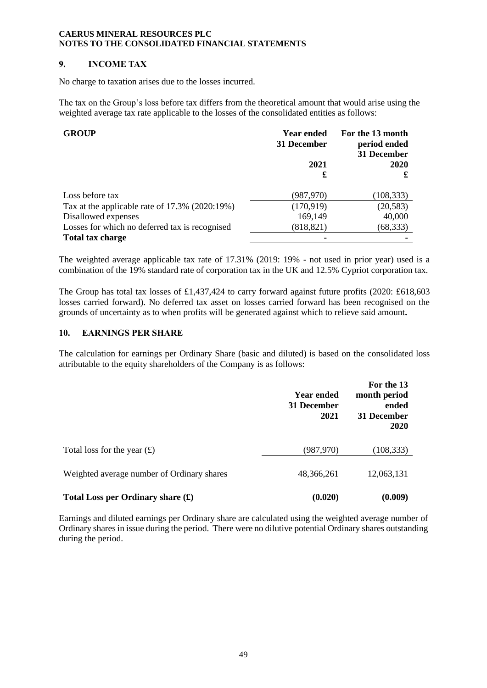### **9. INCOME TAX**

No charge to taxation arises due to the losses incurred.

The tax on the Group's loss before tax differs from the theoretical amount that would arise using the weighted average tax rate applicable to the losses of the consolidated entities as follows:

| <b>GROUP</b>                                      | <b>Year ended</b><br>31 December<br>2021<br>£ | For the 13 month<br>period ended<br>31 December<br>2020<br>£ |
|---------------------------------------------------|-----------------------------------------------|--------------------------------------------------------------|
| Loss before tax                                   | (987, 970)                                    | (108, 333)                                                   |
| Tax at the applicable rate of $17.3\%$ (2020:19%) | (170, 919)                                    | (20, 583)                                                    |
| Disallowed expenses                               | 169,149                                       | 40,000                                                       |
| Losses for which no deferred tax is recognised    | (818, 821)                                    | (68, 333)                                                    |
| <b>Total tax charge</b>                           |                                               |                                                              |

The weighted average applicable tax rate of 17.31% (2019: 19% - not used in prior year) used is a combination of the 19% standard rate of corporation tax in the UK and 12.5% Cypriot corporation tax.

The Group has total tax losses of £1,437,424 to carry forward against future profits (2020: £618,603 losses carried forward). No deferred tax asset on losses carried forward has been recognised on the grounds of uncertainty as to when profits will be generated against which to relieve said amount**.**

### **10. EARNINGS PER SHARE**

The calculation for earnings per Ordinary Share (basic and diluted) is based on the consolidated loss attributable to the equity shareholders of the Company is as follows:

|                                            | <b>Year ended</b><br>31 December<br>2021 | For the 13<br>month period<br>ended<br>31 December<br>2020 |
|--------------------------------------------|------------------------------------------|------------------------------------------------------------|
| Total loss for the year $(f)$              | (987,970)                                | (108, 333)                                                 |
| Weighted average number of Ordinary shares | 48,366,261                               | 12,063,131                                                 |
| Total Loss per Ordinary share $(\pounds)$  | (0.020)                                  | (0.009)                                                    |

Earnings and diluted earnings per Ordinary share are calculated using the weighted average number of Ordinary shares in issue during the period. There were no dilutive potential Ordinary shares outstanding during the period.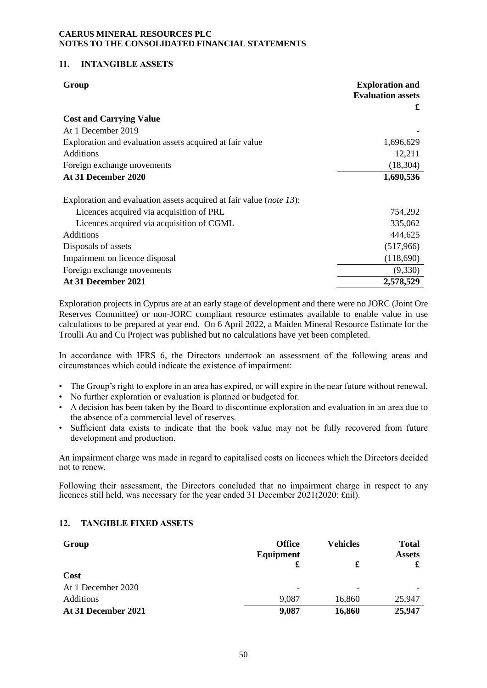### **11. INTANGIBLE ASSETS**

| Group                                                                        | <b>Exploration and</b><br><b>Evaluation assets</b><br>£ |
|------------------------------------------------------------------------------|---------------------------------------------------------|
| <b>Cost and Carrying Value</b>                                               |                                                         |
| At 1 December 2019                                                           |                                                         |
| Exploration and evaluation assets acquired at fair value                     | 1,696,629                                               |
| <b>Additions</b>                                                             | 12,211                                                  |
| Foreign exchange movements                                                   | (18, 304)                                               |
| At 31 December 2020                                                          | 1,690,536                                               |
| Exploration and evaluation assets acquired at fair value ( <i>note 13</i> ): |                                                         |
| Licences acquired via acquisition of PRL                                     | 754,292                                                 |
| Licences acquired via acquisition of CGML                                    | 335,062                                                 |
| <b>Additions</b>                                                             | 444,625                                                 |
| Disposals of assets                                                          | (517,966)                                               |
| Impairment on licence disposal                                               | (118,690)                                               |
| Foreign exchange movements                                                   | (9,330)                                                 |
| At 31 December 2021                                                          | 2,578,529                                               |

Exploration projects in Cyprus are at an early stage of development and there were no JORC (Joint Ore Reserves Committee) or non-JORC compliant resource estimates available to enable value in use calculations to be prepared at year end. On 6 April 2022, a Maiden Mineral Resource Estimate for the Troulli Au and Cu Project was published but no calculations have yet been completed.

In accordance with IFRS 6, the Directors undertook an assessment of the following areas and circumstances which could indicate the existence of impairment:

- The Group's right to explore in an area has expired, or will expire in the near future without renewal.
- No further exploration or evaluation is planned or budgeted for.
- A decision has been taken by the Board to discontinue exploration and evaluation in an area due to the absence of a commercial level of reserves.
- Sufficient data exists to indicate that the book value may not be fully recovered from future development and production.

An impairment charge was made in regard to capitalised costs on licences which the Directors decided not to renew.

Following their assessment, the Directors concluded that no impairment charge in respect to any licences still held, was necessary for the year ended 31 December 2021(2020: £nil).

### **12. TANGIBLE FIXED ASSETS**

| Group               | <b>Office</b><br>Equipment | Vehicles | <b>Total</b><br><b>Assets</b> |
|---------------------|----------------------------|----------|-------------------------------|
| Cost                | £                          | £        | £                             |
| At 1 December 2020  | $\overline{\phantom{0}}$   | -        |                               |
| <b>Additions</b>    | 9,087                      | 16,860   | 25,947                        |
| At 31 December 2021 | 9,087                      | 16,860   | 25,947                        |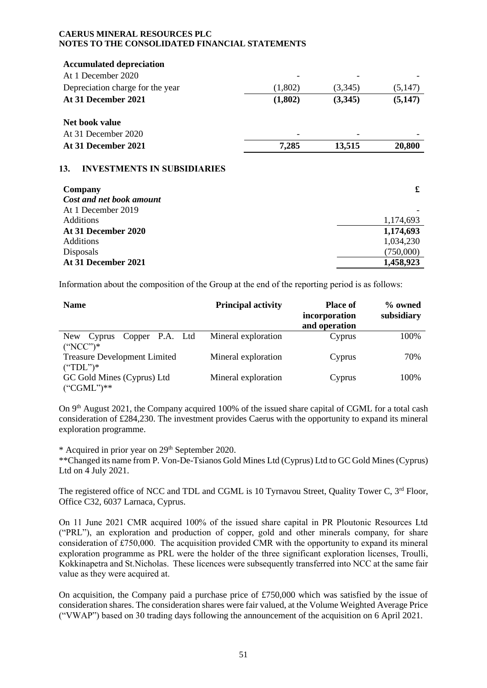| <b>Accumulated depreciation</b>  |         |         |          |
|----------------------------------|---------|---------|----------|
| At 1 December 2020               |         |         |          |
| Depreciation charge for the year | (1,802) | (3,345) | (5,147)  |
| At 31 December 2021              | (1,802) | (3,345) | (5, 147) |
| Net book value                   |         |         |          |
| At 31 December 2020              | -       | -       |          |
| At 31 December 2021              | 7,285   | 13,515  | 20,800   |

### **13. INVESTMENTS IN SUBSIDIARIES**

| Company                  |           |
|--------------------------|-----------|
| Cost and net book amount |           |
| At 1 December 2019       |           |
| Additions                | 1,174,693 |
| At 31 December 2020      | 1,174,693 |
| Additions                | 1,034,230 |
| Disposals                | (750,000) |
| At 31 December 2021      | 1,458,923 |

Information about the composition of the Group at the end of the reporting period is as follows:

| <b>Name</b>                                        | <b>Principal activity</b> | <b>Place of</b><br>incorporation<br>and operation | % owned<br>subsidiary |
|----------------------------------------------------|---------------------------|---------------------------------------------------|-----------------------|
| New Cyprus Copper P.A. Ltd<br>$(^{\circ}NCC")^*$   | Mineral exploration       | Cyprus                                            | 100%                  |
| <b>Treasure Development Limited</b><br>$("TDL")^*$ | Mineral exploration       | Cyprus                                            | 70%                   |
| GC Gold Mines (Cyprus) Ltd<br>$("CGML")$ **        | Mineral exploration       | Cyprus                                            | 100%                  |

On 9<sup>th</sup> August 2021, the Company acquired 100% of the issued share capital of CGML for a total cash consideration of £284,230. The investment provides Caerus with the opportunity to expand its mineral exploration programme.

\* Acquired in prior year on 29th September 2020. \*\*Changed its name from P. Von-De-Tsianos Gold Mines Ltd (Cyprus) Ltd to GC Gold Mines (Cyprus) Ltd on 4 July 2021.

The registered office of NCC and TDL and CGML is 10 Tyrnavou Street, Quality Tower C, 3<sup>rd</sup> Floor, Office C32, 6037 Larnaca, Cyprus.

On 11 June 2021 CMR acquired 100% of the issued share capital in PR Ploutonic Resources Ltd ("PRL"), an exploration and production of copper, gold and other minerals company, for share consideration of £750,000. The acquisition provided CMR with the opportunity to expand its mineral exploration programme as PRL were the holder of the three significant exploration licenses, Troulli, Kokkinapetra and St.Nicholas. These licences were subsequently transferred into NCC at the same fair value as they were acquired at.

On acquisition, the Company paid a purchase price of £750,000 which was satisfied by the issue of consideration shares. The consideration shares were fair valued, at the Volume Weighted Average Price ("VWAP") based on 30 trading days following the announcement of the acquisition on 6 April 2021.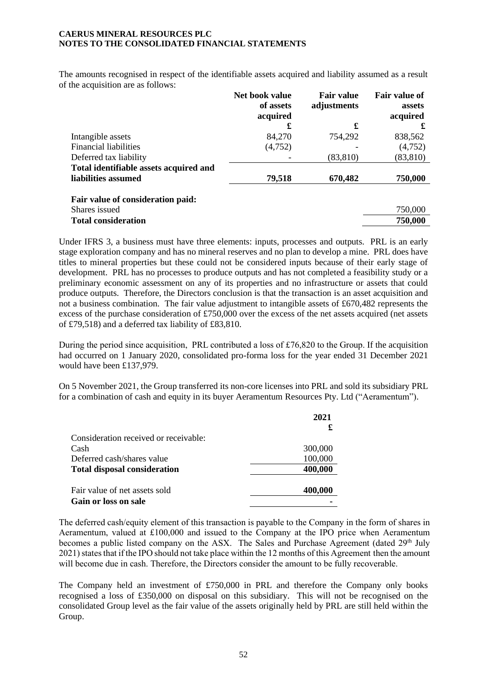The amounts recognised in respect of the identifiable assets acquired and liability assumed as a result of the acquisition are as follows:

|                                        | Net book value<br>of assets | <b>Fair value</b><br>adjustments | Fair value of<br>assets |
|----------------------------------------|-----------------------------|----------------------------------|-------------------------|
|                                        | acquired                    |                                  | acquired                |
|                                        | £                           | £                                | £                       |
| Intangible assets                      | 84,270                      | 754,292                          | 838,562                 |
| <b>Financial liabilities</b>           | (4,752)                     |                                  | (4,752)                 |
| Deferred tax liability                 |                             | (83, 810)                        | (83, 810)               |
| Total identifiable assets acquired and |                             |                                  |                         |
| liabilities assumed                    | 79,518                      | 670,482                          | 750,000                 |
| Fair value of consideration paid:      |                             |                                  |                         |
| Shares issued                          |                             |                                  | 750,000                 |
| <b>Total consideration</b>             |                             |                                  | 750,000                 |

Under IFRS 3, a business must have three elements: inputs, processes and outputs. PRL is an early stage exploration company and has no mineral reserves and no plan to develop a mine. PRL does have titles to mineral properties but these could not be considered inputs because of their early stage of development. PRL has no processes to produce outputs and has not completed a feasibility study or a preliminary economic assessment on any of its properties and no infrastructure or assets that could produce outputs. Therefore, the Directors conclusion is that the transaction is an asset acquisition and not a business combination. The fair value adjustment to intangible assets of £670,482 represents the excess of the purchase consideration of £750,000 over the excess of the net assets acquired (net assets of £79,518) and a deferred tax liability of £83,810.

During the period since acquisition, PRL contributed a loss of  $\text{\pounds}76,820$  to the Group. If the acquisition had occurred on 1 January 2020, consolidated pro-forma loss for the year ended 31 December 2021 would have been £137,979.

On 5 November 2021, the Group transferred its non-core licenses into PRL and sold its subsidiary PRL for a combination of cash and equity in its buyer Aeramentum Resources Pty. Ltd ("Aeramentum").

|                                       | 2021    |
|---------------------------------------|---------|
|                                       | £       |
| Consideration received or receivable: |         |
| Cash                                  | 300,000 |
| Deferred cash/shares value            | 100,000 |
| <b>Total disposal consideration</b>   | 400,000 |
| Fair value of net assets sold         | 400,000 |
| Gain or loss on sale                  |         |

The deferred cash/equity element of this transaction is payable to the Company in the form of shares in Aeramentum, valued at £100,000 and issued to the Company at the IPO price when Aeramentum becomes a public listed company on the ASX. The Sales and Purchase Agreement (dated 29<sup>th</sup> July 2021) states that if the IPO should not take place within the 12 months of this Agreement then the amount will become due in cash. Therefore, the Directors consider the amount to be fully recoverable.

The Company held an investment of £750,000 in PRL and therefore the Company only books recognised a loss of £350,000 on disposal on this subsidiary. This will not be recognised on the consolidated Group level as the fair value of the assets originally held by PRL are still held within the Group.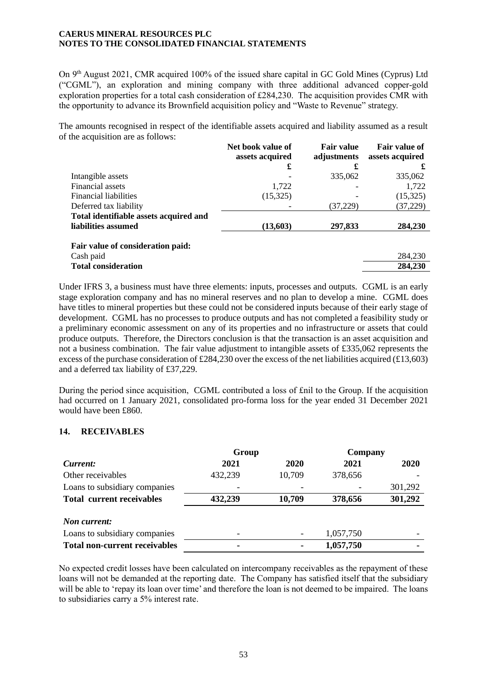On 9<sup>th</sup> August 2021, CMR acquired 100% of the issued share capital in GC Gold Mines (Cyprus) Ltd ("CGML"), an exploration and mining company with three additional advanced copper-gold exploration properties for a total cash consideration of £284,230. The acquisition provides CMR with the opportunity to advance its Brownfield acquisition policy and "Waste to Revenue" strategy.

The amounts recognised in respect of the identifiable assets acquired and liability assumed as a result of the acquisition are as follows:

|                                        | Net book value of<br>assets acquired | <b>Fair value</b><br>adjustments | <b>Fair value of</b><br>assets acquired |
|----------------------------------------|--------------------------------------|----------------------------------|-----------------------------------------|
|                                        | £                                    | £                                |                                         |
| Intangible assets                      |                                      | 335,062                          | 335,062                                 |
| Financial assets                       | 1,722                                |                                  | 1,722                                   |
| <b>Financial liabilities</b>           | (15,325)                             |                                  | (15,325)                                |
| Deferred tax liability                 |                                      | (37,229)                         | (37, 229)                               |
| Total identifiable assets acquired and |                                      |                                  |                                         |
| liabilities assumed                    | (13,603)                             | 297,833                          | 284,230                                 |
| Fair value of consideration paid:      |                                      |                                  |                                         |
| Cash paid                              |                                      |                                  | 284,230                                 |
| <b>Total consideration</b>             |                                      |                                  | 284,230                                 |

Under IFRS 3, a business must have three elements: inputs, processes and outputs. CGML is an early stage exploration company and has no mineral reserves and no plan to develop a mine. CGML does have titles to mineral properties but these could not be considered inputs because of their early stage of development. CGML has no processes to produce outputs and has not completed a feasibility study or a preliminary economic assessment on any of its properties and no infrastructure or assets that could produce outputs. Therefore, the Directors conclusion is that the transaction is an asset acquisition and not a business combination. The fair value adjustment to intangible assets of £335,062 represents the excess of the purchase consideration of £284,230 over the excess of the net liabilities acquired (£13,603) and a deferred tax liability of £37,229.

During the period since acquisition, CGML contributed a loss of £nil to the Group. If the acquisition had occurred on 1 January 2021, consolidated pro-forma loss for the year ended 31 December 2021 would have been £860.

### **14. RECEIVABLES**

|                                               | Group   |        | <b>Company</b> |         |
|-----------------------------------------------|---------|--------|----------------|---------|
| Current:                                      | 2021    | 2020   | 2021           | 2020    |
| Other receivables                             | 432,239 | 10,709 | 378,656        |         |
| Loans to subsidiary companies                 | -       |        |                | 301,292 |
| <b>Total current receivables</b>              | 432,239 | 10,709 | 378,656        | 301,292 |
| Non current:<br>Loans to subsidiary companies | -       |        | 1,057,750      |         |
| <b>Total non-current receivables</b>          | ٠       |        | 1,057,750      |         |

No expected credit losses have been calculated on intercompany receivables as the repayment of these loans will not be demanded at the reporting date. The Company has satisfied itself that the subsidiary will be able to 'repay its loan over time' and therefore the loan is not deemed to be impaired. The loans to subsidiaries carry a 5% interest rate.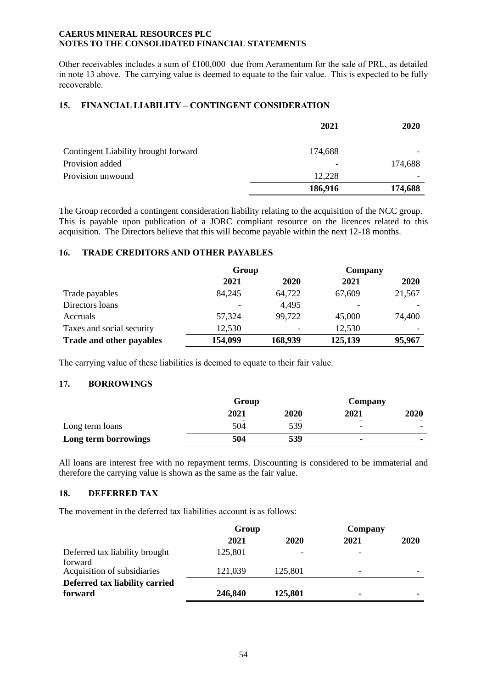Other receivables includes a sum of £100,000 due from Aeramentum for the sale of PRL, as detailed in note 13 above. The carrying value is deemed to equate to the fair value. This is expected to be fully recoverable.

### **15. FINANCIAL LIABILITY – CONTINGENT CONSIDERATION**

|                                      | 2021    | 2020    |
|--------------------------------------|---------|---------|
| Contingent Liability brought forward | 174,688 |         |
| Provision added                      |         | 174,688 |
| Provision unwound                    | 12,228  |         |
|                                      | 186,916 | 174,688 |

The Group recorded a contingent consideration liability relating to the acquisition of the NCC group. This is payable upon publication of a JORC compliant resource on the licences related to this acquisition. The Directors believe that this will become payable within the next 12-18 months.

### **16. TRADE CREDITORS AND OTHER PAYABLES**

|                           | Group   |             | Company |             |
|---------------------------|---------|-------------|---------|-------------|
|                           | 2021    | <b>2020</b> | 2021    | <b>2020</b> |
| Trade payables            | 84,245  | 64,722      | 67,609  | 21,567      |
| Directors loans           |         | 4,495       |         |             |
| Accruals                  | 57,324  | 99,722      | 45,000  | 74,400      |
| Taxes and social security | 12,530  |             | 12,530  |             |
| Trade and other payables  | 154,099 | 168,939     | 125,139 | 95,967      |

The carrying value of these liabilities is deemed to equate to their fair value.

### **17. BORROWINGS**

|                      | Group |      | Company |                |
|----------------------|-------|------|---------|----------------|
|                      | 2021  | 2020 | 2021    | 2020           |
| Long term loans      | 504   | 539  | -       |                |
| Long term borrowings | 504   | 539  | -       | $\blacksquare$ |

All loans are interest free with no repayment terms. Discounting is considered to be immaterial and therefore the carrying value is shown as the same as the fair value.

### **18. DEFERRED TAX**

The movement in the deferred tax liabilities account is as follows:

|                                        | Group   |         | Company                  |      |
|----------------------------------------|---------|---------|--------------------------|------|
|                                        | 2021    | 2020    | 2021                     | 2020 |
| Deferred tax liability brought         | 125,801 | ٠       |                          |      |
| forward<br>Acquisition of subsidiaries | 121,039 | 125,801 | $\overline{\phantom{a}}$ |      |
| Deferred tax liability carried         |         |         |                          |      |
| forward                                | 246,840 | 125,801 | $\blacksquare$           |      |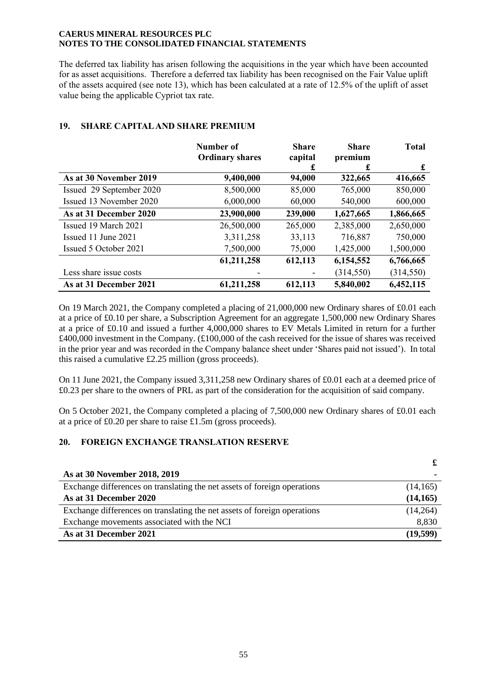The deferred tax liability has arisen following the acquisitions in the year which have been accounted for as asset acquisitions. Therefore a deferred tax liability has been recognised on the Fair Value uplift of the assets acquired (see note 13), which has been calculated at a rate of 12.5% of the uplift of asset value being the applicable Cypriot tax rate.

|                          | Number of<br><b>Ordinary shares</b> | <b>Share</b><br>capital | <b>Share</b><br>premium | <b>Total</b> |
|--------------------------|-------------------------------------|-------------------------|-------------------------|--------------|
|                          |                                     | £                       | £                       | £            |
| As at 30 November 2019   | 9,400,000                           | 94,000                  | 322,665                 | 416,665      |
| Issued 29 September 2020 | 8,500,000                           | 85,000                  | 765,000                 | 850,000      |
| Issued 13 November 2020  | 6,000,000                           | 60,000                  | 540,000                 | 600,000      |
| As at 31 December 2020   | 23,900,000                          | 239,000                 | 1,627,665               | 1,866,665    |
| Issued 19 March 2021     | 26,500,000                          | 265,000                 | 2,385,000               | 2,650,000    |
| Issued 11 June 2021      | 3,311,258                           | 33,113                  | 716,887                 | 750,000      |
| Issued 5 October 2021    | 7,500,000                           | 75,000                  | 1,425,000               | 1,500,000    |
|                          | 61,211,258                          | 612,113                 | 6,154,552               | 6,766,665    |
| Less share issue costs   |                                     |                         | (314, 550)              | (314, 550)   |
| As at 31 December 2021   | 61,211,258                          | 612,113                 | 5,840,002               | 6,452,115    |

### **19. SHARE CAPITAL AND SHARE PREMIUM**

On 19 March 2021, the Company completed a placing of 21,000,000 new Ordinary shares of £0.01 each at a price of £0.10 per share, a Subscription Agreement for an aggregate 1,500,000 new Ordinary Shares at a price of £0.10 and issued a further 4,000,000 shares to EV Metals Limited in return for a further £400,000 investment in the Company. (£100,000 of the cash received for the issue of shares was received in the prior year and was recorded in the Company balance sheet under 'Shares paid not issued'). In total this raised a cumulative £2.25 million (gross proceeds).

On 11 June 2021, the Company issued 3,311,258 new Ordinary shares of £0.01 each at a deemed price of £0.23 per share to the owners of PRL as part of the consideration for the acquisition of said company.

On 5 October 2021, the Company completed a placing of 7,500,000 new Ordinary shares of £0.01 each at a price of £0.20 per share to raise £1.5m (gross proceeds).

### **20. FOREIGN EXCHANGE TRANSLATION RESERVE**

| As at 30 November 2018, 2019                                             |           |
|--------------------------------------------------------------------------|-----------|
| Exchange differences on translating the net assets of foreign operations | (14,165)  |
| As at 31 December 2020                                                   | (14, 165) |
| Exchange differences on translating the net assets of foreign operations | (14,264)  |
| Exchange movements associated with the NCI                               | 8,830     |
| As at 31 December 2021                                                   | (19, 599) |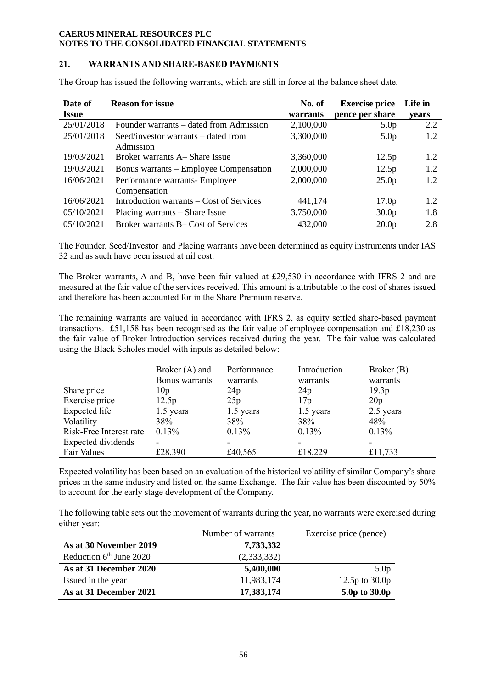### **21. WARRANTS AND SHARE-BASED PAYMENTS**

The Group has issued the following warrants, which are still in force at the balance sheet date.

| Date of<br><b>Issue</b> | <b>Reason for issue</b>                          | No. of<br>warrants | <b>Exercise price</b><br>pence per share | Life in<br>vears |
|-------------------------|--------------------------------------------------|--------------------|------------------------------------------|------------------|
| 25/01/2018              | Founder warrants – dated from Admission          | 2,100,000          | 5.0 <sub>p</sub>                         | 2.2              |
| 25/01/2018              | Seed/investor warrants – dated from<br>Admission | 3,300,000          | 5.0 <sub>p</sub>                         | 1.2              |
| 19/03/2021              | Broker warrants A– Share Issue                   | 3,360,000          | 12.5p                                    | 1.2              |
| 19/03/2021              | Bonus warrants – Employee Compensation           | 2,000,000          | 12.5p                                    | 1.2              |
| 16/06/2021              | Performance warrants- Employee<br>Compensation   | 2,000,000          | 25.0 <sub>p</sub>                        | 1.2              |
| 16/06/2021              | Introduction warrants – Cost of Services         | 441,174            | 17.0 <sub>p</sub>                        | 1.2              |
| 05/10/2021              | Placing warrants $-$ Share Issue                 | 3,750,000          | 30.0 <sub>p</sub>                        | 1.8              |
| 05/10/2021              | Broker warrants B– Cost of Services              | 432,000            | 20.0 <sub>p</sub>                        | 2.8              |

The Founder, Seed/Investor and Placing warrants have been determined as equity instruments under IAS 32 and as such have been issued at nil cost.

The Broker warrants, A and B, have been fair valued at £29,530 in accordance with IFRS 2 and are measured at the fair value of the services received. This amount is attributable to the cost of shares issued and therefore has been accounted for in the Share Premium reserve.

The remaining warrants are valued in accordance with IFRS 2, as equity settled share-based payment transactions. £51,158 has been recognised as the fair value of employee compensation and £18,230 as the fair value of Broker Introduction services received during the year. The fair value was calculated using the Black Scholes model with inputs as detailed below:

|                         | Broker (A) and           | Performance | Introduction | Broker (B) |
|-------------------------|--------------------------|-------------|--------------|------------|
|                         | Bonus warrants           | warrants    | warrants     | warrants   |
| Share price             | 10 <sub>p</sub>          | 24p         | 24p          | 19.3p      |
| Exercise price          | 12.5p                    | 25p         | 17p          | 20p        |
| Expected life           | 1.5 years                | 1.5 years   | 1.5 years    | 2.5 years  |
| Volatility              | 38%                      | 38%         | 38%          | 48%        |
| Risk-Free Interest rate | $0.13\%$                 | 0.13%       | 0.13%        | 0.13%      |
| Expected dividends      | $\overline{\phantom{0}}$ |             |              |            |
| Fair Values             | £28,390                  | £40,565     | £18,229      | £11,733    |

Expected volatility has been based on an evaluation of the historical volatility of similar Company's share prices in the same industry and listed on the same Exchange. The fair value has been discounted by 50% to account for the early stage development of the Company.

The following table sets out the movement of warrants during the year, no warrants were exercised during either year:

|                                     | Number of warrants | Exercise price (pence) |
|-------------------------------------|--------------------|------------------------|
| As at 30 November 2019              | 7,733,332          |                        |
| Reduction 6 <sup>th</sup> June 2020 | (2,333,332)        |                        |
| As at 31 December 2020              | 5,400,000          | 5.0 <sub>p</sub>       |
| Issued in the year                  | 11,983,174         | 12.5 $p$ to 30.0 $p$   |
| As at 31 December 2021              | 17,383,174         | 5.0p to 30.0p          |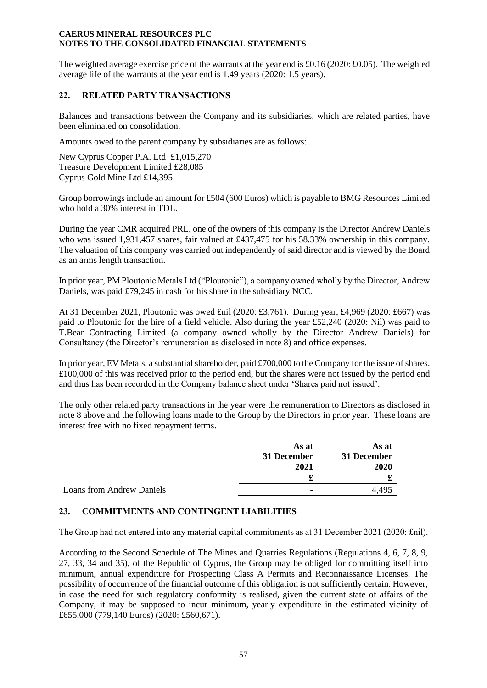The weighted average exercise price of the warrants at the year end is £0.16 (2020: £0.05). The weighted average life of the warrants at the year end is 1.49 years (2020: 1.5 years).

### **22. RELATED PARTY TRANSACTIONS**

Balances and transactions between the Company and its subsidiaries, which are related parties, have been eliminated on consolidation.

Amounts owed to the parent company by subsidiaries are as follows:

New Cyprus Copper P.A. Ltd £1,015,270 Treasure Development Limited £28,085 Cyprus Gold Mine Ltd £14,395

Group borrowings include an amount for £504 (600 Euros) which is payable to BMG Resources Limited who hold a 30% interest in TDL.

During the year CMR acquired PRL, one of the owners of this company is the Director Andrew Daniels who was issued 1,931,457 shares, fair valued at £437,475 for his 58.33% ownership in this company. The valuation of this company was carried out independently of said director and is viewed by the Board as an arms length transaction.

In prior year, PM Ploutonic Metals Ltd ("Ploutonic"), a company owned wholly by the Director, Andrew Daniels, was paid £79,245 in cash for his share in the subsidiary NCC.

At 31 December 2021, Ploutonic was owed £nil (2020: £3,761). During year, £4,969 (2020: £667) was paid to Ploutonic for the hire of a field vehicle. Also during the year £52,240 (2020: Nil) was paid to T.Bear Contracting Limited (a company owned wholly by the Director Andrew Daniels) for Consultancy (the Director's remuneration as disclosed in note 8) and office expenses.

In prior year, EV Metals, a substantial shareholder, paid £700,000 to the Company for the issue of shares.  $£100,000$  of this was received prior to the period end, but the shares were not issued by the period end and thus has been recorded in the Company balance sheet under 'Shares paid not issued'.

The only other related party transactions in the year were the remuneration to Directors as disclosed in note 8 above and the following loans made to the Group by the Directors in prior year. These loans are interest free with no fixed repayment terms.

|                                  | As at                    | As at       |
|----------------------------------|--------------------------|-------------|
|                                  | 31 December              | 31 December |
|                                  | 2021                     | 2020        |
|                                  |                          |             |
| <b>Loans from Andrew Daniels</b> | $\overline{\phantom{0}}$ | 495         |

### **23. COMMITMENTS AND CONTINGENT LIABILITIES**

The Group had not entered into any material capital commitments as at 31 December 2021 (2020: £nil).

According to the Second Schedule of The Mines and Quarries Regulations (Regulations 4, 6, 7, 8, 9, 27, 33, 34 and 35), of the Republic of Cyprus, the Group may be obliged for committing itself into minimum, annual expenditure for Prospecting Class A Permits and Reconnaissance Licenses. The possibility of occurrence of the financial outcome of this obligation is not sufficiently certain. However, in case the need for such regulatory conformity is realised, given the current state of affairs of the Company, it may be supposed to incur minimum, yearly expenditure in the estimated vicinity of £655,000 (779,140 Euros) (2020: £560,671).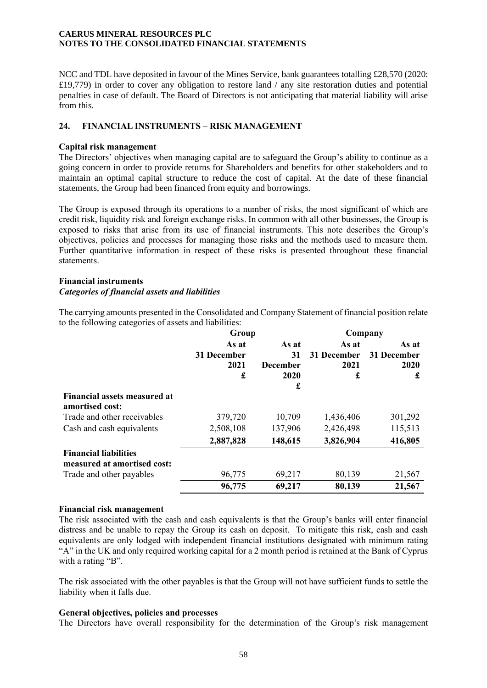NCC and TDL have deposited in favour of the Mines Service, bank guarantees totalling £28,570 (2020: £19,779) in order to cover any obligation to restore land / any site restoration duties and potential penalties in case of default. The Board of Directors is not anticipating that material liability will arise from this.

### **24. FINANCIAL INSTRUMENTS – RISK MANAGEMENT**

### **Capital risk management**

The Directors' objectives when managing capital are to safeguard the Group's ability to continue as a going concern in order to provide returns for Shareholders and benefits for other stakeholders and to maintain an optimal capital structure to reduce the cost of capital. At the date of these financial statements, the Group had been financed from equity and borrowings.

The Group is exposed through its operations to a number of risks, the most significant of which are credit risk, liquidity risk and foreign exchange risks. In common with all other businesses, the Group is exposed to risks that arise from its use of financial instruments. This note describes the Group's objectives, policies and processes for managing those risks and the methods used to measure them. Further quantitative information in respect of these risks is presented throughout these financial statements.

### **Financial instruments** *Categories of financial assets and liabilities*

The carrying amounts presented in the Consolidated and Company Statement of financial position relate to the following categories of assets and liabilities:

|                                                             | Group                        |                                | Company                      |                              |
|-------------------------------------------------------------|------------------------------|--------------------------------|------------------------------|------------------------------|
|                                                             | As at<br>31 December<br>2021 | As at<br>31<br><b>December</b> | As at<br>31 December<br>2021 | As at<br>31 December<br>2020 |
|                                                             | £                            | 2020                           | £                            | £                            |
|                                                             |                              | £                              |                              |                              |
| <b>Financial assets measured at</b><br>amortised cost:      |                              |                                |                              |                              |
| Trade and other receivables                                 | 379,720                      | 10,709                         | 1,436,406                    | 301,292                      |
| Cash and cash equivalents                                   | 2,508,108                    | 137,906                        | 2,426,498                    | 115,513                      |
|                                                             | 2,887,828                    | 148,615                        | 3,826,904                    | 416,805                      |
| <b>Financial liabilities</b><br>measured at amortised cost: |                              |                                |                              |                              |
| Trade and other payables                                    | 96,775                       | 69,217                         | 80,139                       | 21,567                       |
|                                                             | 96,775                       | 69,217                         | 80,139                       | 21,567                       |

### **Financial risk management**

The risk associated with the cash and cash equivalents is that the Group's banks will enter financial distress and be unable to repay the Group its cash on deposit. To mitigate this risk, cash and cash equivalents are only lodged with independent financial institutions designated with minimum rating "A" in the UK and only required working capital for a 2 month period is retained at the Bank of Cyprus with a rating "B".

The risk associated with the other payables is that the Group will not have sufficient funds to settle the liability when it falls due.

### **General objectives, policies and processes**

The Directors have overall responsibility for the determination of the Group's risk management